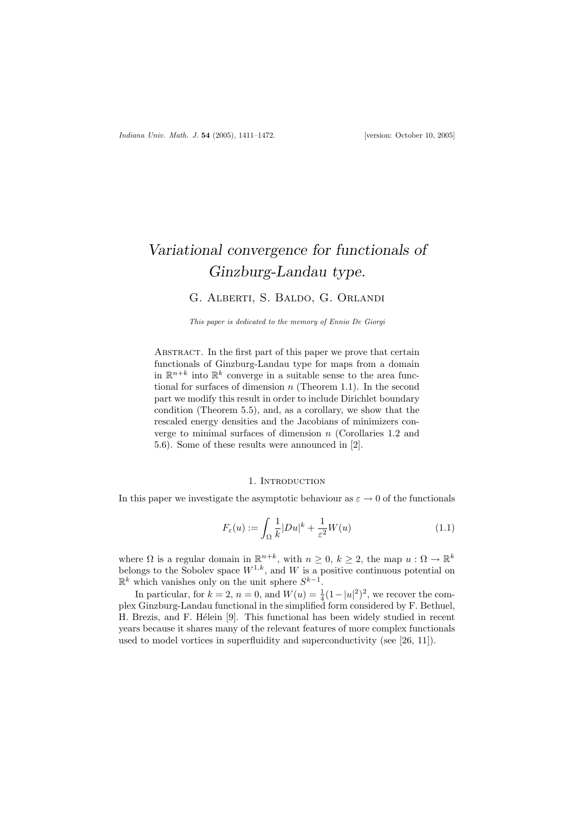# Variational convergence for functionals of Ginzburg-Landau type.

## G. Alberti, S. Baldo, G. Orlandi

This paper is dedicated to the memory of Ennio De Giorgi

ABSTRACT. In the first part of this paper we prove that certain functionals of Ginzburg-Landau type for maps from a domain in  $\mathbb{R}^{n+k}$  into  $\mathbb{R}^k$  converge in a suitable sense to the area functional for surfaces of dimension  $n$  (Theorem 1.1). In the second part we modify this result in order to include Dirichlet boundary condition (Theorem 5.5), and, as a corollary, we show that the rescaled energy densities and the Jacobians of minimizers converge to minimal surfaces of dimension n (Corollaries 1.2 and 5.6). Some of these results were announced in [2].

#### 1. INTRODUCTION

In this paper we investigate the asymptotic behaviour as  $\varepsilon \to 0$  of the functionals

$$
F_{\varepsilon}(u) := \int_{\Omega} \frac{1}{k} |Du|^{k} + \frac{1}{\varepsilon^{2}} W(u)
$$
\n(1.1)

where  $\Omega$  is a regular domain in  $\mathbb{R}^{n+k}$ , with  $n \geq 0$ ,  $k \geq 2$ , the map  $u : \Omega \to \mathbb{R}^k$ belongs to the Sobolev space  $W^{1,k}$ , and W is a positive continuous potential on  $\mathbb{R}^k$  which vanishes only on the unit sphere  $S^{k-1}$ .

In particular, for  $k = 2$ ,  $n = 0$ , and  $W(u) = \frac{1}{4}(1 - |u|^2)^2$ , we recover the complex Ginzburg-Landau functional in the simplified form considered by F. Bethuel, H. Brezis, and F. Hélein [9]. This functional has been widely studied in recent years because it shares many of the relevant features of more complex functionals used to model vortices in superfluidity and superconductivity (see [26, 11]).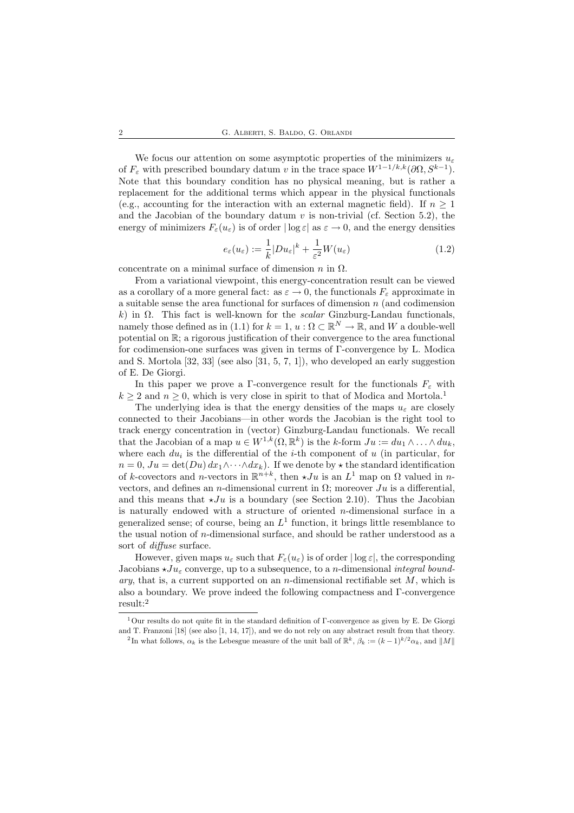We focus our attention on some asymptotic properties of the minimizers  $u_{\varepsilon}$ of  $F_{\varepsilon}$  with prescribed boundary datum v in the trace space  $W^{1-1/k,k}(\partial\Omega, S^{k-1})$ . Note that this boundary condition has no physical meaning, but is rather a replacement for the additional terms which appear in the physical functionals (e.g., accounting for the interaction with an external magnetic field). If  $n \geq 1$ and the Jacobian of the boundary datum  $v$  is non-trivial (cf. Section 5.2), the energy of minimizers  $F_{\varepsilon}(u_{\varepsilon})$  is of order  $|\log \varepsilon|$  as  $\varepsilon \to 0$ , and the energy densities

$$
e_{\varepsilon}(u_{\varepsilon}) := \frac{1}{k} |Du_{\varepsilon}|^{k} + \frac{1}{\varepsilon^{2}} W(u_{\varepsilon})
$$
\n(1.2)

concentrate on a minimal surface of dimension  $n$  in  $\Omega$ .

From a variational viewpoint, this energy-concentration result can be viewed as a corollary of a more general fact: as  $\varepsilon \to 0$ , the functionals  $F_{\varepsilon}$  approximate in a suitable sense the area functional for surfaces of dimension  $n$  (and codimension k) in  $\Omega$ . This fact is well-known for the *scalar* Ginzburg-Landau functionals, namely those defined as in (1.1) for  $k = 1, u : \Omega \subset \mathbb{R}^N \to \mathbb{R}$ , and W a double-well potential on R; a rigorous justification of their convergence to the area functional for codimension-one surfaces was given in terms of Γ-convergence by L. Modica and S. Mortola [32, 33] (see also [31, 5, 7, 1]), who developed an early suggestion of E. De Giorgi.

In this paper we prove a Γ-convergence result for the functionals  $F_{\varepsilon}$  with  $k \geq 2$  and  $n \geq 0$ , which is very close in spirit to that of Modica and Mortola.<sup>1</sup>

The underlying idea is that the energy densities of the maps  $u_{\varepsilon}$  are closely connected to their Jacobians—in other words the Jacobian is the right tool to track energy concentration in (vector) Ginzburg-Landau functionals. We recall that the Jacobian of a map  $u \in W^{1,k}(\Omega,\mathbb{R}^k)$  is the k-form  $Ju := du_1 \wedge \ldots \wedge du_k$ , where each  $du_i$  is the differential of the *i*-th component of u (in particular, for  $n = 0, Ju = \det(Du) dx_1 \wedge \cdots \wedge dx_k$ . If we denote by  $\star$  the standard identification of k-covectors and n-vectors in  $\mathbb{R}^{n+k}$ , then  $\star Ju$  is an  $L^1$  map on  $\Omega$  valued in nvectors, and defines an *n*-dimensional current in  $\Omega$ ; moreover  $Ju$  is a differential, and this means that  $\star Ju$  is a boundary (see Section 2.10). Thus the Jacobian is naturally endowed with a structure of oriented  $n$ -dimensional surface in a generalized sense; of course, being an  $L^1$  function, it brings little resemblance to the usual notion of n-dimensional surface, and should be rather understood as a sort of diffuse surface.

However, given maps  $u_{\varepsilon}$  such that  $F_{\varepsilon}(u_{\varepsilon})$  is of order  $|\log \varepsilon|$ , the corresponding Jacobians  $\star Ju_{\epsilon}$  converge, up to a subsequence, to a *n*-dimensional *integral bound*ary, that is, a current supported on an *n*-dimensional rectifiable set  $M$ , which is also a boundary. We prove indeed the following compactness and Γ-convergence result:<sup>2</sup>

<sup>1</sup>Our results do not quite fit in the standard definition of Γ-convergence as given by E. De Giorgi and T. Franzoni [18] (see also [1, 14, 17]), and we do not rely on any abstract result from that theory.

<sup>&</sup>lt;sup>2</sup>In what follows,  $\alpha_k$  is the Lebesgue measure of the unit ball of  $\mathbb{R}^k$ ,  $\beta_k := (k-1)^{k/2} \alpha_k$ , and  $||M||$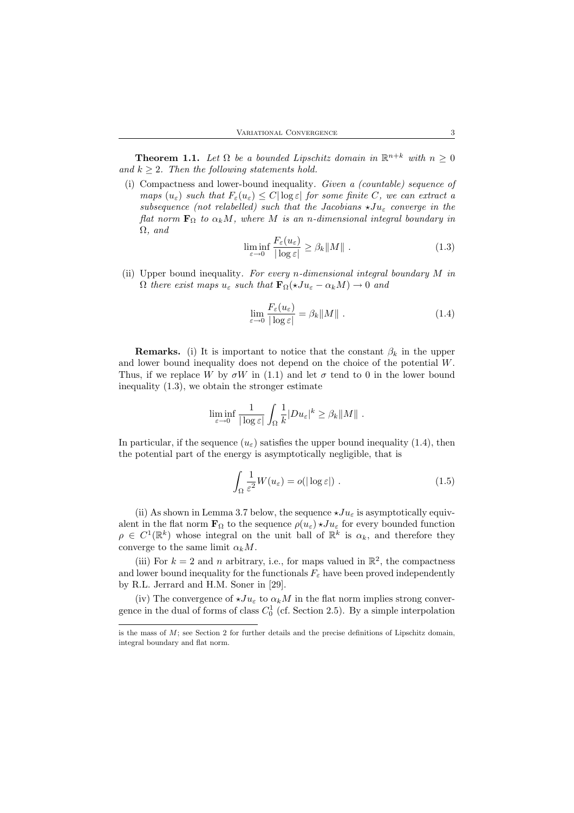**Theorem 1.1.** Let  $\Omega$  be a bounded Lipschitz domain in  $\mathbb{R}^{n+k}$  with  $n \geq 0$ and  $k \geq 2$ . Then the following statements hold.

(i) Compactness and lower-bound inequality. Given a (countable) sequence of maps  $(u_{\varepsilon})$  such that  $F_{\varepsilon}(u_{\varepsilon}) \leq C |\log \varepsilon|$  for some finite C, we can extract a subsequence (not relabelled) such that the Jacobians  $\star Ju_{\varepsilon}$  converge in the flat norm  $\mathbf{F}_{\Omega}$  to  $\alpha_k M$ , where M is an n-dimensional integral boundary in  $\Omega$ , and

$$
\liminf_{\varepsilon \to 0} \frac{F_{\varepsilon}(u_{\varepsilon})}{|\log \varepsilon|} \ge \beta_k \|M\| \tag{1.3}
$$

(ii) Upper bound inequality. For every n-dimensional integral boundary  $M$  in  $\Omega$  there exist maps  $u_{\varepsilon}$  such that  $\mathbf{F}_{\Omega}(*Ju_{\varepsilon} - \alpha_k M) \to 0$  and

$$
\lim_{\varepsilon \to 0} \frac{F_{\varepsilon}(u_{\varepsilon})}{|\log \varepsilon|} = \beta_k \|M\| \tag{1.4}
$$

**Remarks.** (i) It is important to notice that the constant  $\beta_k$  in the upper and lower bound inequality does not depend on the choice of the potential W. Thus, if we replace W by  $\sigma W$  in (1.1) and let  $\sigma$  tend to 0 in the lower bound inequality (1.3), we obtain the stronger estimate

$$
\liminf_{\varepsilon\to 0}\frac{1}{|\log\varepsilon|}\int_\Omega \frac{1}{k}|Du_\varepsilon|^k\geq \beta_k\|M\|\;.
$$

In particular, if the sequence  $(u_{\varepsilon})$  satisfies the upper bound inequality (1.4), then the potential part of the energy is asymptotically negligible, that is

$$
\int_{\Omega} \frac{1}{\varepsilon^2} W(u_{\varepsilon}) = o(|\log \varepsilon|) . \tag{1.5}
$$

(ii) As shown in Lemma 3.7 below, the sequence  $\star Ju_{\varepsilon}$  is asymptotically equivalent in the flat norm  $\mathbf{F}_{\Omega}$  to the sequence  $\rho(u_{\varepsilon}) \star Ju_{\varepsilon}$  for every bounded function  $\rho \in C^1(\mathbb{R}^k)$  whose integral on the unit ball of  $\mathbb{R}^k$  is  $\alpha_k$ , and therefore they converge to the same limit  $\alpha_k M$ .

(iii) For  $k = 2$  and n arbitrary, i.e., for maps valued in  $\mathbb{R}^2$ , the compactness and lower bound inequality for the functionals  $F_{\varepsilon}$  have been proved independently by R.L. Jerrard and H.M. Soner in [29].

(iv) The convergence of  $\star Ju_{\varepsilon}$  to  $\alpha_k M$  in the flat norm implies strong convergence in the dual of forms of class  $C_0^1$  (cf. Section 2.5). By a simple interpolation

is the mass of  $M$ ; see Section 2 for further details and the precise definitions of Lipschitz domain, integral boundary and flat norm.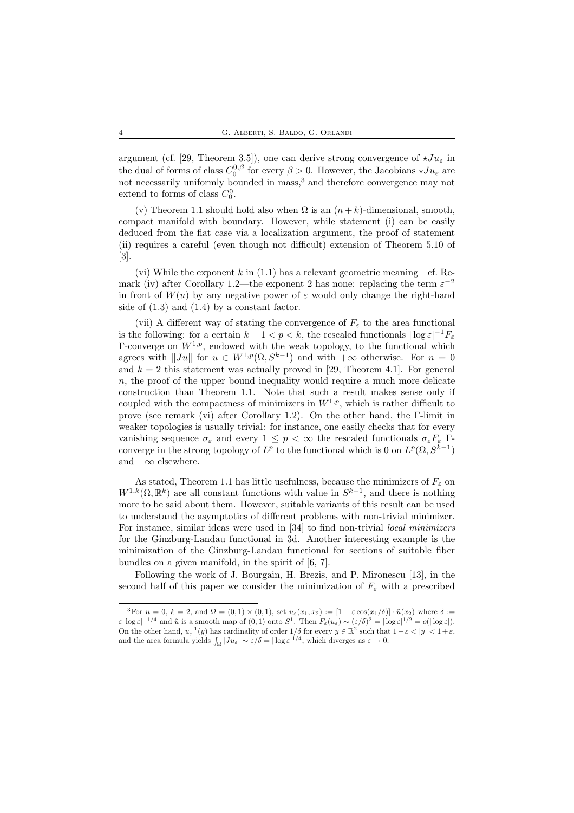argument (cf. [29, Theorem 3.5]), one can derive strong convergence of  $\star Ju_{\varepsilon}$  in the dual of forms of class  $C_0^{0,\beta}$  for every  $\beta > 0$ . However, the Jacobians  $\star Ju_{\varepsilon}$  are not necessarily uniformly bounded in mass,<sup>3</sup> and therefore convergence may not extend to forms of class  $C_0^0$ .

(v) Theorem 1.1 should hold also when  $\Omega$  is an  $(n+k)$ -dimensional, smooth, compact manifold with boundary. However, while statement (i) can be easily deduced from the flat case via a localization argument, the proof of statement (ii) requires a careful (even though not difficult) extension of Theorem 5.10 of [3].

(vi) While the exponent k in  $(1.1)$  has a relevant geometric meaning—cf. Remark (iv) after Corollary 1.2—the exponent 2 has none: replacing the term  $\varepsilon^{-2}$ in front of  $W(u)$  by any negative power of  $\varepsilon$  would only change the right-hand side of (1.3) and (1.4) by a constant factor.

(vii) A different way of stating the convergence of  $F<sub>\varepsilon</sub>$  to the area functional is the following: for a certain  $k - 1 < p < k$ , the rescaled functionals  $|\log \varepsilon|^{-1} F_{\varepsilon}$ Γ-converge on  $W^{1,p}$ , endowed with the weak topology, to the functional which agrees with  $||Ju||$  for  $u \in W^{1,p}(\Omega, S^{k-1})$  and with  $+\infty$  otherwise. For  $n = 0$ and  $k = 2$  this statement was actually proved in [29, Theorem 4.1]. For general  $n$ , the proof of the upper bound inequality would require a much more delicate construction than Theorem 1.1. Note that such a result makes sense only if coupled with the compactness of minimizers in  $W^{1,p}$ , which is rather difficult to prove (see remark (vi) after Corollary 1.2). On the other hand, the Γ-limit in weaker topologies is usually trivial: for instance, one easily checks that for every vanishing sequence  $\sigma_{\varepsilon}$  and every  $1 \leq p < \infty$  the rescaled functionals  $\sigma_{\varepsilon}F_{\varepsilon}$  Γconverge in the strong topology of  $L^p$  to the functional which is 0 on  $L^p(\Omega, S^{k-1})$ and  $+\infty$  elsewhere.

As stated, Theorem 1.1 has little usefulness, because the minimizers of  $F_{\varepsilon}$  on  $W^{1,k}(\Omega,\mathbb{R}^k)$  are all constant functions with value in  $S^{k-1}$ , and there is nothing more to be said about them. However, suitable variants of this result can be used to understand the asymptotics of different problems with non-trivial minimizer. For instance, similar ideas were used in [34] to find non-trivial local minimizers for the Ginzburg-Landau functional in 3d. Another interesting example is the minimization of the Ginzburg-Landau functional for sections of suitable fiber bundles on a given manifold, in the spirit of [6, 7].

Following the work of J. Bourgain, H. Brezis, and P. Mironescu [13], in the second half of this paper we consider the minimization of  $F_{\varepsilon}$  with a prescribed

<sup>&</sup>lt;sup>3</sup>For  $n = 0$ ,  $k = 2$ , and  $\Omega = (0, 1) \times (0, 1)$ , set  $u_{\varepsilon}(x_1, x_2) := [1 + \varepsilon \cos(x_1/\delta)] \cdot \tilde{u}(x_2)$  where  $\delta :=$  $\varepsilon |\log \varepsilon|^{-1/4}$  and  $\tilde{u}$  is a smooth map of  $(0, 1)$  onto  $S^1$ . Then  $F_{\varepsilon}(u_{\varepsilon}) \sim (\varepsilon/\delta)^2 = |\log \varepsilon|^{1/2} = o(|\log \varepsilon|)$ . On the other hand,  $u_{\varepsilon}^{-1}(y)$  has cardinality of order  $1/\delta$  for every  $y \in \mathbb{R}^2$  such that  $1-\varepsilon < |y| < 1+\varepsilon$ , and the area formula yields  $\int_{\Omega} |Ju_{\varepsilon}| \sim \varepsilon/\delta = |\log \varepsilon|^{1/4}$ , which diverges as  $\varepsilon \to 0$ .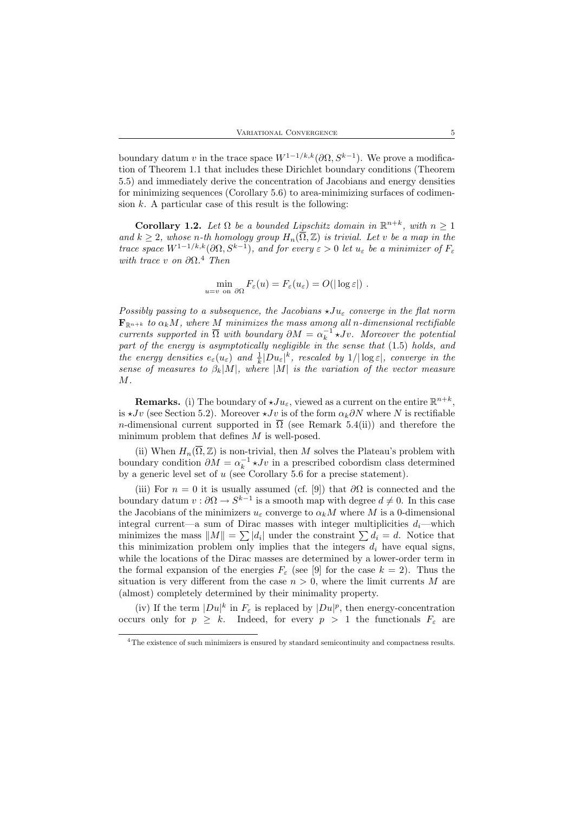boundary datum v in the trace space  $W^{1-1/k, k}(\partial\Omega, S^{k-1})$ . We prove a modification of Theorem 1.1 that includes these Dirichlet boundary conditions (Theorem 5.5) and immediately derive the concentration of Jacobians and energy densities for minimizing sequences (Corollary 5.6) to area-minimizing surfaces of codimension  $k$ . A particular case of this result is the following:

**Corollary 1.2.** Let  $\Omega$  be a bounded Lipschitz domain in  $\mathbb{R}^{n+k}$ , with  $n \geq 1$ and  $k \geq 2$ , whose n-th homology group  $H_n(\overline{\Omega}, \mathbb{Z})$  is trivial. Let v be a map in the trace space  $W^{1-1/k, k}(\partial\Omega, S^{k-1})$ , and for every  $\varepsilon > 0$  let  $u_{\varepsilon}$  be a minimizer of  $F_{\varepsilon}$ with trace v on  $\partial \Omega$ .<sup>4</sup> Then

$$
\min_{u=v \text{ on } \partial\Omega} F_{\varepsilon}(u) = F_{\varepsilon}(u_{\varepsilon}) = O(|\log \varepsilon|) .
$$

Possibly passing to a subsequence, the Jacobians  $\star Ju_{\varepsilon}$  converge in the flat norm  $\mathbf{F}_{\mathbb{R}^{n+k}}$  to  $\alpha_k M$ , where M minimizes the mass among all n-dimensional rectifiable currents supported in  $\overline{\Omega}$  with boundary  $\partial M = \alpha_k^{-1} \star Jv$ . Moreover the potential part of the energy is asymptotically negligible in the sense that (1.5) holds, and the energy densities  $e_{\varepsilon}(u_{\varepsilon})$  and  $\frac{1}{k}|Du_{\varepsilon}|^{k}$ , rescaled by  $1/|\log \varepsilon|$ , converge in the sense of measures to  $\beta_k|M|$ , where |M| is the variation of the vector measure M.

**Remarks.** (i) The boundary of  $\star Ju_{\varepsilon}$ , viewed as a current on the entire  $\mathbb{R}^{n+k}$ , is  $\star Jv$  (see Section 5.2). Moreover  $\star Jv$  is of the form  $\alpha_k\partial N$  where N is rectifiable n-dimensional current supported in  $\Omega$  (see Remark 5.4(ii)) and therefore the minimum problem that defines  $M$  is well-posed.

(ii) When  $H_n(\overline{\Omega}, \mathbb{Z})$  is non-trivial, then M solves the Plateau's problem with boundary condition  $\partial M = \alpha_k^{-1} \star Jv$  in a prescribed cobordism class determined by a generic level set of  $u$  (see Corollary 5.6 for a precise statement).

(iii) For  $n = 0$  it is usually assumed (cf. [9]) that  $\partial\Omega$  is connected and the boundary datum  $v : \partial \Omega \to S^{k-1}$  is a smooth map with degree  $d \neq 0$ . In this case the Jacobians of the minimizers  $u_{\varepsilon}$  converge to  $\alpha_k M$  where M is a 0-dimensional integral current—a sum of Dirac masses with integer multiplicities  $d_i$ —which minimizes the mass  $||M|| = \sum |d_i|$  under the constraint  $\sum d_i = d$ . Notice that this minimization problem only implies that the integers  $d_i$  have equal signs, while the locations of the Dirac masses are determined by a lower-order term in the formal expansion of the energies  $F_{\varepsilon}$  (see [9] for the case  $k = 2$ ). Thus the situation is very different from the case  $n > 0$ , where the limit currents M are (almost) completely determined by their minimality property.

(iv) If the term  $|Du|^k$  in  $F_\varepsilon$  is replaced by  $|Du|^p$ , then energy-concentration occurs only for  $p \geq k$ . Indeed, for every  $p > 1$  the functionals  $F_{\varepsilon}$  are

<sup>&</sup>lt;sup>4</sup>The existence of such minimizers is ensured by standard semicontinuity and compactness results.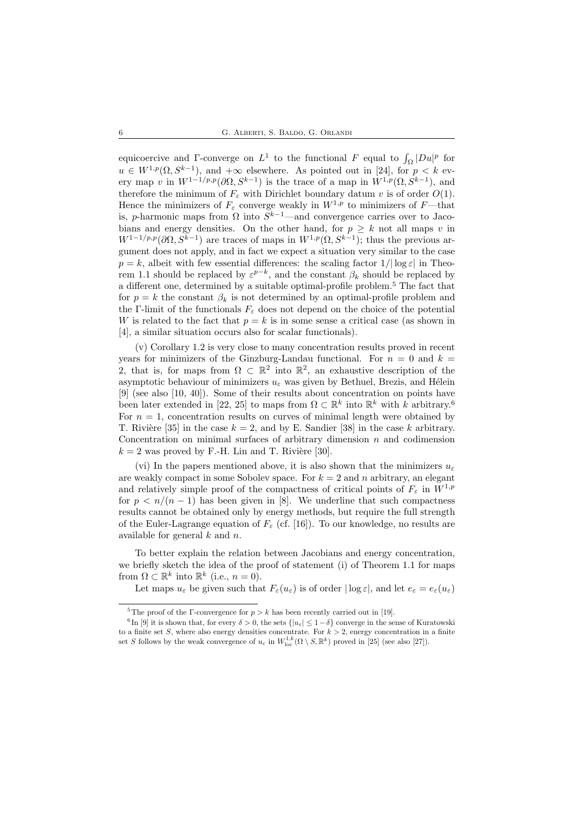equicoercive and Γ-converge on  $L^1$  to the functional F equal to  $\int_{\Omega} |Du|^p$  for  $u \in W^{1,p}(\Omega, S^{k-1}),$  and  $+\infty$  elsewhere. As pointed out in [24], for  $p < k$  every map v in  $W^{1-1/p,p}(\partial\Omega, S^{k-1})$  is the trace of a map in  $W^{1,p}(\Omega, S^{k-1})$ , and therefore the minimum of  $F_{\varepsilon}$  with Dirichlet boundary datum v is of order  $O(1)$ . Hence the minimizers of  $F_{\varepsilon}$  converge weakly in  $W^{1,p}$  to minimizers of  $F$ —that is, p-harmonic maps from  $\Omega$  into  $S^{k-1}$ —and convergence carries over to Jacobians and energy densities. On the other hand, for  $p \geq k$  not all maps v in  $W^{1-1/p,p}(\partial\Omega, S^{k-1})$  are traces of maps in  $W^{1,p}(\Omega, S^{k-1})$ ; thus the previous argument does not apply, and in fact we expect a situation very similar to the case  $p = k$ , albeit with few essential differences: the scaling factor  $1/|\log \varepsilon|$  in Theorem 1.1 should be replaced by  $\varepsilon^{p-k}$ , and the constant  $\beta_k$  should be replaced by a different one, determined by a suitable optimal-profile problem.<sup>5</sup> The fact that for  $p = k$  the constant  $\beta_k$  is not determined by an optimal-profile problem and the Γ-limit of the functionals  $F_{\varepsilon}$  does not depend on the choice of the potential W is related to the fact that  $p = k$  is in some sense a critical case (as shown in [4], a similar situation occurs also for scalar functionals).

(v) Corollary 1.2 is very close to many concentration results proved in recent years for minimizers of the Ginzburg-Landau functional. For  $n = 0$  and  $k =$ 2, that is, for maps from  $\Omega \subset \mathbb{R}^2$  into  $\mathbb{R}^2$ , an exhaustive description of the asymptotic behaviour of minimizers  $u_{\varepsilon}$  was given by Bethuel, Brezis, and Hélein [9] (see also [10, 40]). Some of their results about concentration on points have been later extended in [22, 25] to maps from  $\Omega \subset \mathbb{R}^k$  into  $\mathbb{R}^k$  with k arbitrary.<sup>6</sup> For  $n = 1$ , concentration results on curves of minimal length were obtained by T. Rivière [35] in the case  $k = 2$ , and by E. Sandier [38] in the case k arbitrary. Concentration on minimal surfaces of arbitrary dimension  $n$  and codimension  $k = 2$  was proved by F.-H. Lin and T. Rivière [30].

(vi) In the papers mentioned above, it is also shown that the minimizers  $u_{\varepsilon}$ are weakly compact in some Sobolev space. For  $k = 2$  and n arbitrary, an elegant and relatively simple proof of the compactness of critical points of  $F_{\varepsilon}$  in  $W^{1,p}$ for  $p \le n/(n-1)$  has been given in [8]. We underline that such compactness results cannot be obtained only by energy methods, but require the full strength of the Euler-Lagrange equation of  $F_{\varepsilon}$  (cf. [16]). To our knowledge, no results are available for general k and n.

To better explain the relation between Jacobians and energy concentration, we briefly sketch the idea of the proof of statement (i) of Theorem 1.1 for maps from  $\Omega \subset \mathbb{R}^k$  into  $\mathbb{R}^k$  (i.e.,  $n = 0$ ).

Let maps  $u_{\varepsilon}$  be given such that  $F_{\varepsilon}(u_{\varepsilon})$  is of order  $|\log \varepsilon|$ , and let  $e_{\varepsilon} = e_{\varepsilon}(u_{\varepsilon})$ 

<sup>&</sup>lt;sup>5</sup>The proof of the Γ-convergence for  $p > k$  has been recently carried out in [19].

<sup>&</sup>lt;sup>6</sup>In [9] it is shown that, for every  $\delta > 0$ , the sets  $\{|u_{\varepsilon}| \leq 1-\delta\}$  converge in the sense of Kuratowski to a finite set S, where also energy densities concentrate. For  $k > 2$ , energy concentration in a finite set S follows by the weak convergence of  $u_{\varepsilon}$  in  $W^{1,k}_{loc}(\Omega \setminus S, \mathbb{R}^k)$  proved in [25] (see also [27]).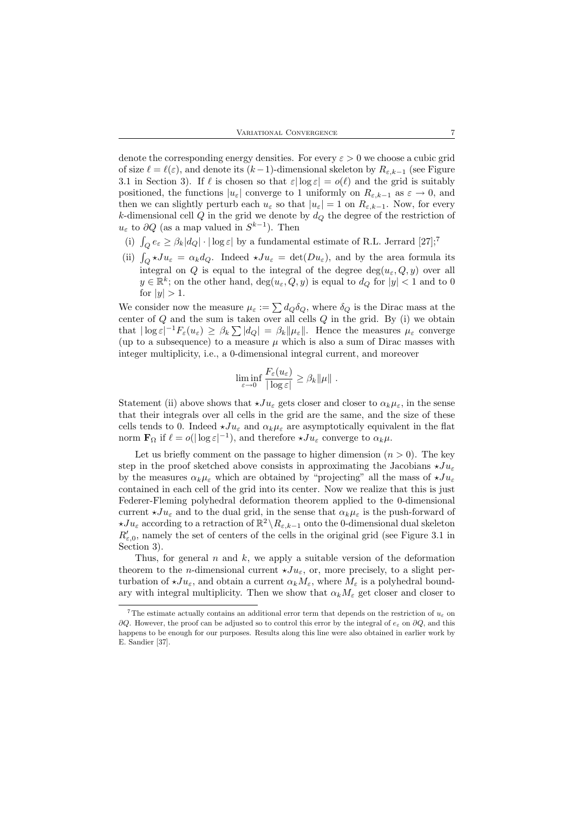denote the corresponding energy densities. For every  $\varepsilon > 0$  we choose a cubic grid of size  $\ell = \ell(\varepsilon)$ , and denote its  $(k-1)$ -dimensional skeleton by  $R_{\varepsilon,k-1}$  (see Figure 3.1 in Section 3). If  $\ell$  is chosen so that  $\varepsilon|\log \varepsilon| = o(\ell)$  and the grid is suitably positioned, the functions  $|u_{\varepsilon}|$  converge to 1 uniformly on  $R_{\varepsilon,k-1}$  as  $\varepsilon \to 0$ , and then we can slightly perturb each  $u_{\varepsilon}$  so that  $|u_{\varepsilon}| = 1$  on  $R_{\varepsilon,k-1}$ . Now, for every k-dimensional cell  $Q$  in the grid we denote by  $d<sub>Q</sub>$  the degree of the restriction of  $u_{\varepsilon}$  to  $\partial Q$  (as a map valued in  $S^{k-1}$ ). Then

- (i)  $\int_Q e_\varepsilon \geq \beta_k |d_Q| \cdot |\log \varepsilon|$  by a fundamental estimate of R.L. Jerrard [27];<sup>7</sup>
- (ii)  $\int_Q \star Ju_\varepsilon = \alpha_k d_Q$ . Indeed  $\star Ju_\varepsilon = \det(Du_\varepsilon)$ , and by the area formula its integral on Q is equal to the integral of the degree  $deg(u_{\varepsilon}, Q, y)$  over all  $y \in \mathbb{R}^k$ ; on the other hand,  $\deg(u_{\varepsilon}, Q, y)$  is equal to  $d_Q$  for  $|y| < 1$  and to 0 for  $|y| > 1$ .

We consider now the measure  $\mu_{\varepsilon} := \sum d_Q \delta_Q$ , where  $\delta_Q$  is the Dirac mass at the center of  $Q$  and the sum is taken over all cells  $Q$  in the grid. By (i) we obtain that  $|\log \varepsilon|^{-1} F_{\varepsilon}(u_{\varepsilon}) \geq \beta_k \sum |d_Q| = \beta_k ||\mu_{\varepsilon}||$ . Hence the measures  $\mu_{\varepsilon}$  converge (up to a subsequence) to a measure  $\mu$  which is also a sum of Dirac masses with integer multiplicity, i.e., a 0-dimensional integral current, and moreover

$$
\liminf_{\varepsilon \to 0} \frac{F_{\varepsilon}(u_{\varepsilon})}{|\log \varepsilon|} \geq \beta_k ||\mu||.
$$

Statement (ii) above shows that  $\star Ju_{\varepsilon}$  gets closer and closer to  $\alpha_k \mu_{\varepsilon}$ , in the sense that their integrals over all cells in the grid are the same, and the size of these cells tends to 0. Indeed  $\star Ju_{\varepsilon}$  and  $\alpha_k \mu_{\varepsilon}$  are asymptotically equivalent in the flat norm  $\mathbf{F}_{\Omega}$  if  $\ell = o(|\log \varepsilon|^{-1})$ , and therefore  $\star Ju_{\varepsilon}$  converge to  $\alpha_k \mu$ .

Let us briefly comment on the passage to higher dimension  $(n > 0)$ . The key step in the proof sketched above consists in approximating the Jacobians  $\star J u_{\varepsilon}$ by the measures  $\alpha_k \mu_{\varepsilon}$  which are obtained by "projecting" all the mass of  $\star Ju_{\varepsilon}$ contained in each cell of the grid into its center. Now we realize that this is just Federer-Fleming polyhedral deformation theorem applied to the 0-dimensional current  $\star Ju_{\varepsilon}$  and to the dual grid, in the sense that  $\alpha_k \mu_{\varepsilon}$  is the push-forward of  $\star Ju_{\varepsilon}$  according to a retraction of  $\mathbb{R}^2 \setminus R_{\varepsilon,k-1}$  onto the 0-dimensional dual skeleton  $R_{\varepsilon,0}$ , namely the set of centers of the cells in the original grid (see Figure 3.1 in Section 3).

Thus, for general  $n$  and  $k$ , we apply a suitable version of the deformation theorem to the *n*-dimensional current  $\star Ju_{\varepsilon}$ , or, more precisely, to a slight perturbation of  $\star Ju_{\varepsilon}$ , and obtain a current  $\alpha_k M_{\varepsilon}$ , where  $M_{\varepsilon}$  is a polyhedral boundary with integral multiplicity. Then we show that  $\alpha_k M_{\epsilon}$  get closer and closer to

<sup>&</sup>lt;sup>7</sup>The estimate actually contains an additional error term that depends on the restriction of  $u<sub>\epsilon</sub>$  on  $\partial Q$ . However, the proof can be adjusted so to control this error by the integral of  $e_{\varepsilon}$  on  $\partial Q$ , and this happens to be enough for our purposes. Results along this line were also obtained in earlier work by E. Sandier [37].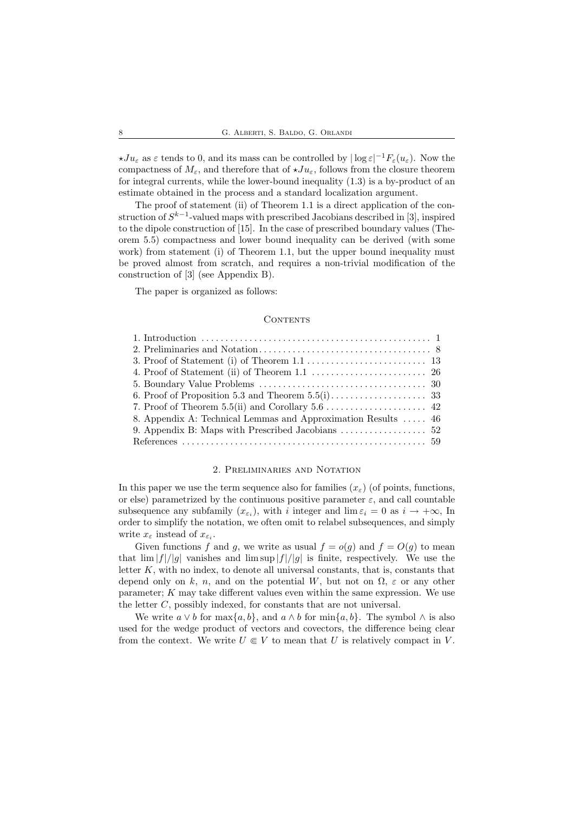$\star Ju_{\varepsilon}$  as  $\varepsilon$  tends to 0, and its mass can be controlled by  $|\log \varepsilon|^{-1} F_{\varepsilon}(u_{\varepsilon})$ . Now the compactness of  $M_{\varepsilon}$ , and therefore that of  $\star Ju_{\varepsilon}$ , follows from the closure theorem for integral currents, while the lower-bound inequality (1.3) is a by-product of an estimate obtained in the process and a standard localization argument.

The proof of statement (ii) of Theorem 1.1 is a direct application of the construction of  $S^{k-1}$ -valued maps with prescribed Jacobians described in [3], inspired to the dipole construction of [15]. In the case of prescribed boundary values (Theorem 5.5) compactness and lower bound inequality can be derived (with some work) from statement (i) of Theorem 1.1, but the upper bound inequality must be proved almost from scratch, and requires a non-trivial modification of the construction of [3] (see Appendix B).

The paper is organized as follows:

#### CONTENTS

| 8. Appendix A: Technical Lemmas and Approximation Results  46 |  |
|---------------------------------------------------------------|--|
|                                                               |  |
|                                                               |  |

## 2. Preliminaries and Notation

In this paper we use the term sequence also for families  $(x<sub>\epsilon</sub>)$  (of points, functions, or else) parametrized by the continuous positive parameter  $\varepsilon$ , and call countable subsequence any subfamily  $(x_{\varepsilon_i})$ , with i integer and  $\lim \varepsilon_i = 0$  as  $i \to +\infty$ , In order to simplify the notation, we often omit to relabel subsequences, and simply write  $x_{\varepsilon}$  instead of  $x_{\varepsilon_i}$ .

Given functions f and g, we write as usual  $f = o(g)$  and  $f = O(g)$  to mean that  $\lim |f|/|g|$  vanishes and  $\limsup |f|/|g|$  is finite, respectively. We use the letter  $K$ , with no index, to denote all universal constants, that is, constants that depend only on k, n, and on the potential W, but not on  $\Omega$ ,  $\varepsilon$  or any other parameter; K may take different values even within the same expression. We use the letter C, possibly indexed, for constants that are not universal.

We write  $a \vee b$  for max $\{a, b\}$ , and  $a \wedge b$  for min $\{a, b\}$ . The symbol  $\wedge$  is also used for the wedge product of vectors and covectors, the difference being clear from the context. We write  $U \in V$  to mean that U is relatively compact in V.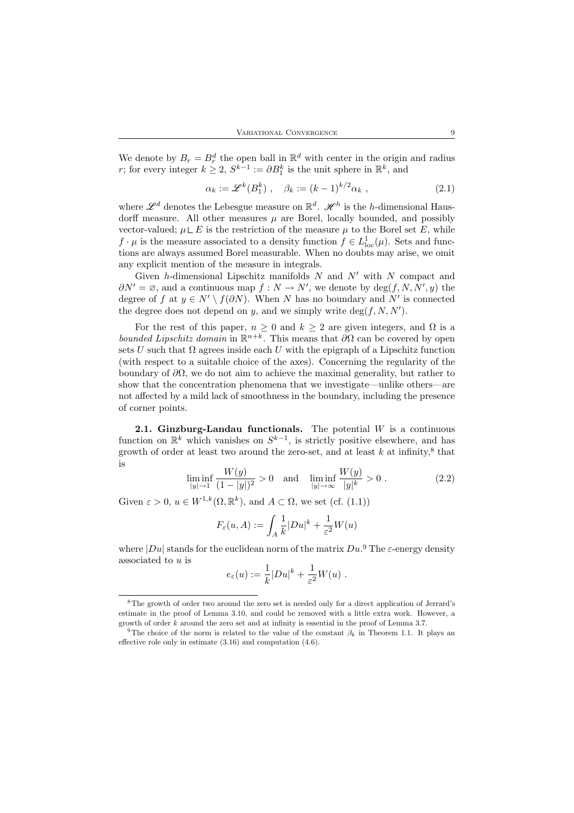We denote by  $B_r = B_r^d$  the open ball in  $\mathbb{R}^d$  with center in the origin and radius r; for every integer  $k \geq 2$ ,  $S^{k-1} := \partial B_1^k$  is the unit sphere in  $\mathbb{R}^k$ , and

$$
\alpha_k := \mathscr{L}^k(B_1^k) \ , \quad \beta_k := (k-1)^{k/2} \alpha_k \ , \tag{2.1}
$$

where  $\mathscr{L}^d$  denotes the Lebesgue measure on  $\mathbb{R}^d$ .  $\mathscr{H}^h$  is the h-dimensional Hausdorff measure. All other measures  $\mu$  are Borel, locally bounded, and possibly vector-valued;  $\mu \mathsf{L} E$  is the restriction of the measure  $\mu$  to the Borel set E, while  $f \cdot \mu$  is the measure associated to a density function  $f \in L^1_{loc}(\mu)$ . Sets and functions are always assumed Borel measurable. When no doubts may arise, we omit any explicit mention of the measure in integrals.

Given h-dimensional Lipschitz manifolds  $N$  and  $N'$  with  $N$  compact and  $\partial N' = \emptyset$ , and a continuous map  $f : N \to N'$ , we denote by  $\deg(f, N, N', y)$  the degree of f at  $y \in N' \setminus f(\partial N)$ . When N has no boundary and N' is connected the degree does not depend on y, and we simply write  $deg(f, N, N')$ .

For the rest of this paper,  $n \geq 0$  and  $k \geq 2$  are given integers, and  $\Omega$  is a *bounded Lipschitz domain* in  $\mathbb{R}^{n+k}$ . This means that  $\partial\Omega$  can be covered by open sets U such that  $\Omega$  agrees inside each U with the epigraph of a Lipschitz function (with respect to a suitable choice of the axes). Concerning the regularity of the boundary of  $\partial\Omega$ , we do not aim to achieve the maximal generality, but rather to show that the concentration phenomena that we investigate—unlike others—are not affected by a mild lack of smoothness in the boundary, including the presence of corner points.

**2.1. Ginzburg-Landau functionals.** The potential  $W$  is a continuous function on  $\mathbb{R}^k$  which vanishes on  $S^{k-1}$ , is strictly positive elsewhere, and has growth of order at least two around the zero-set, and at least  $k$  at infinity,<sup>8</sup> that is

$$
\liminf_{|y| \to 1} \frac{W(y)}{(1 - |y|)^2} > 0 \quad \text{and} \quad \liminf_{|y| \to \infty} \frac{W(y)}{|y|^k} > 0 \tag{2.2}
$$

Given  $\varepsilon > 0$ ,  $u \in W^{1,k}(\Omega, \mathbb{R}^k)$ , and  $A \subset \Omega$ , we set (cf. (1.1))

$$
F_{\varepsilon}(u, A) := \int_{A} \frac{1}{k} |Du|^{k} + \frac{1}{\varepsilon^{2}} W(u)
$$

where  $|Du|$  stands for the euclidean norm of the matrix  $Du$ . The  $\varepsilon$ -energy density associated to u is

$$
e_{\varepsilon}(u) := \frac{1}{k} |Du|^k + \frac{1}{\varepsilon^2} W(u) .
$$

<sup>8</sup>The growth of order two around the zero set is needed only for a direct application of Jerrard's estimate in the proof of Lemma 3.10, and could be removed with a little extra work. However, a growth of order k around the zero set and at infinity is essential in the proof of Lemma 3.7.

<sup>&</sup>lt;sup>9</sup>The choice of the norm is related to the value of the constant  $\beta_k$  in Theorem 1.1. It plays an effective role only in estimate (3.16) and computation (4.6).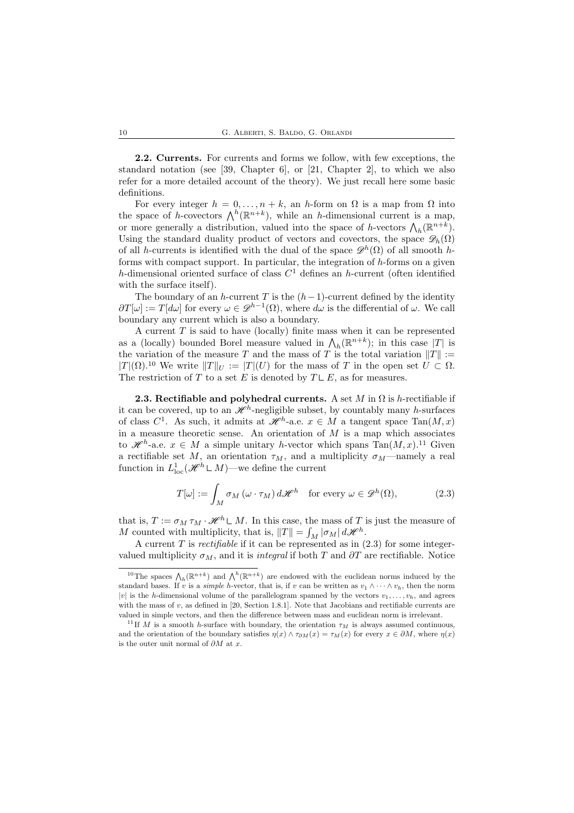2.2. Currents. For currents and forms we follow, with few exceptions, the standard notation (see [39, Chapter 6], or [21, Chapter 2], to which we also refer for a more detailed account of the theory). We just recall here some basic definitions.

For every integer  $h = 0, \ldots, n + k$ , an h-form on  $\Omega$  is a map from  $\Omega$  into the space of h-covectors  $\bigwedge^h (\mathbb{R}^{n+k})$ , while an h-dimensional current is a map, or more generally a distribution, valued into the space of h-vectors  $\bigwedge_h (\mathbb{R}^{n+k})$ . Using the standard duality product of vectors and covectors, the space  $\mathscr{D}_h(\Omega)$ of all h-currents is identified with the dual of the space  $\mathcal{D}^h(\Omega)$  of all smooth hforms with compact support. In particular, the integration of  $h$ -forms on a given h-dimensional oriented surface of class  $C<sup>1</sup>$  defines an h-current (often identified with the surface itself).

The boundary of an h-current T is the  $(h-1)$ -current defined by the identity  $\partial T[\omega] := T[d\omega]$  for every  $\omega \in \mathscr{D}^{h-1}(\Omega)$ , where  $d\omega$  is the differential of  $\omega$ . We call boundary any current which is also a boundary.

A current  $T$  is said to have (locally) finite mass when it can be represented as a (locally) bounded Borel measure valued in  $\bigwedge_h(\mathbb{R}^{n+k})$ ; in this case |T| is the variation of the measure T and the mass of T is the total variation  $||T|| :=$  $|T|(\Omega)$ .<sup>10</sup> We write  $||T||_U := |T|(U)$  for the mass of T in the open set  $U \subset \Omega$ . The restriction of T to a set E is denoted by  $T \cup E$ , as for measures.

**2.3. Rectifiable and polyhedral currents.** A set M in  $\Omega$  is h-rectifiable if it can be covered, up to an  $\mathscr{H}^h$ -negligible subset, by countably many h-surfaces of class  $C^1$ . As such, it admits at  $\mathcal{H}^h$ -a.e.  $x \in M$  a tangent space  $\text{Tan}(M, x)$ in a measure theoretic sense. An orientation of  $M$  is a map which associates to  $\mathscr{H}^h$ -a.e.  $x \in M$  a simple unitary h-vector which spans  $Tan(M, x)$ .<sup>11</sup> Given a rectifiable set M, an orientation  $\tau_M$ , and a multiplicity  $\sigma_M$ —namely a real function in  $L^1_{loc}(\mathcal{H}^h \mathsf{L} M)$ —we define the current

$$
T[\omega] := \int_M \sigma_M(\omega \cdot \tau_M) d\mathscr{H}^h \quad \text{for every } \omega \in \mathscr{D}^h(\Omega), \tag{2.3}
$$

that is,  $T := \sigma_M \tau_M \cdot \mathcal{H}^h \mathsf{L} M$ . In this case, the mass of T is just the measure of M counted with multiplicity, that is,  $||T|| = \int_M |\sigma_M| d\mathcal{H}^h$ .

A current  $T$  is *rectifiable* if it can be represented as in  $(2.3)$  for some integervalued multiplicity  $\sigma_M$ , and it is *integral* if both T and  $\partial T$  are rectifiable. Notice

<sup>&</sup>lt;sup>10</sup>The spaces  $\bigwedge_h (\mathbb{R}^{n+k})$  and  $\bigwedge^h (\mathbb{R}^{n+k})$  are endowed with the euclidean norms induced by the standard bases. If v is a *simple h*-vector, that is, if v can be written as  $v_1 \wedge \cdots \wedge v_h$ , then the norm |v| is the h-dimensional volume of the parallelogram spanned by the vectors  $v_1, \ldots, v_h$ , and agrees with the mass of  $v$ , as defined in [20, Section 1.8.1]. Note that Jacobians and rectifiable currents are valued in simple vectors, and then the difference between mass and euclidean norm is irrelevant.

<sup>&</sup>lt;sup>11</sup> If M is a smooth h-surface with boundary, the orientation  $\tau_M$  is always assumed continuous, and the orientation of the boundary satisfies  $\eta(x) \wedge \tau_{\partial M}(x) = \tau_M(x)$  for every  $x \in \partial M$ , where  $\eta(x)$ is the outer unit normal of  $\partial M$  at x.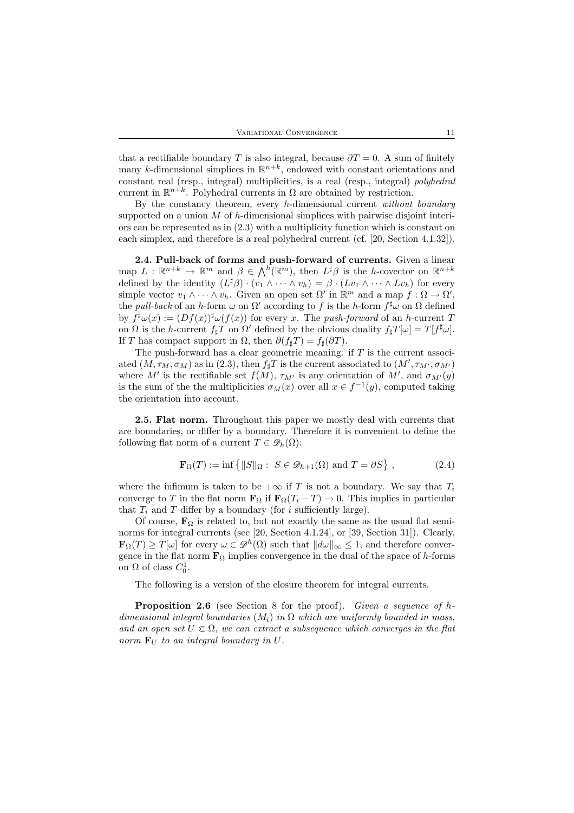that a rectifiable boundary T is also integral, because  $\partial T = 0$ . A sum of finitely many k-dimensional simplices in  $\mathbb{R}^{n+k}$ , endowed with constant orientations and constant real (resp., integral) multiplicities, is a real (resp., integral) polyhedral current in  $\mathbb{R}^{n+k}$ . Polyhedral currents in  $\Omega$  are obtained by restriction.

By the constancy theorem, every  $h$ -dimensional current without boundary supported on a union  $M$  of  $h$ -dimensional simplices with pairwise disjoint interiors can be represented as in (2.3) with a multiplicity function which is constant on each simplex, and therefore is a real polyhedral current (cf. [20, Section 4.1.32]).

2.4. Pull-back of forms and push-forward of currents. Given a linear map  $L : \mathbb{R}^{n+k} \to \mathbb{R}^m$  and  $\beta \in \Lambda^h(\mathbb{R}^m)$ , then  $L^{\sharp}\beta$  is the *h*-covector on  $\mathbb{R}^{n+k}$ defined by the identity  $(L^{\sharp}\beta) \cdot (v_1 \wedge \cdots \wedge v_h) = \beta \cdot (Lv_1 \wedge \cdots \wedge Lv_h)$  for every simple vector  $v_1 \wedge \cdots \wedge v_h$ . Given an open set  $\Omega'$  in  $\mathbb{R}^m$  and a map  $f : \Omega \to \Omega'$ , the *pull-back* of an h-form  $\omega$  on  $\Omega'$  according to f is the h-form  $f^{\sharp}\omega$  on  $\Omega$  defined by  $f^{\sharp}\omega(x) := (Df(x))^{\sharp}\omega(f(x))$  for every x. The push-forward of an h-current T on  $\Omega$  is the h-current  $f_{\sharp}T$  on  $\Omega'$  defined by the obvious duality  $f_{\sharp}T[\omega] = T[f^{\sharp}\omega]$ . If T has compact support in  $\Omega$ , then  $\partial(f_{\sharp}T) = f_{\sharp}(\partial T)$ .

The push-forward has a clear geometric meaning: if  $T$  is the current associated  $(M, \tau_M, \sigma_M)$  as in (2.3), then  $f_\sharp T$  is the current associated to  $(M', \tau_{M'}, \sigma_{M'})$ where M' is the rectifiable set  $f(M)$ ,  $\tau_{M'}$  is any orientation of M', and  $\sigma_{M'}(y)$ is the sum of the the multiplicities  $\sigma_M(x)$  over all  $x \in f^{-1}(y)$ , computed taking the orientation into account.

2.5. Flat norm. Throughout this paper we mostly deal with currents that are boundaries, or differ by a boundary. Therefore it is convenient to define the following flat norm of a current  $T \in \mathscr{D}_h(\Omega)$ :

$$
\mathbf{F}_{\Omega}(T) := \inf \{ ||S||_{\Omega} : S \in \mathcal{D}_{h+1}(\Omega) \text{ and } T = \partial S \},
$$
 (2.4)

where the infimum is taken to be  $+\infty$  if T is not a boundary. We say that  $T_i$ converge to T in the flat norm  $\mathbf{F}_{\Omega}$  if  $\mathbf{F}_{\Omega}(T_i - T) \to 0$ . This implies in particular that  $T_i$  and  $T$  differ by a boundary (for i sufficiently large).

Of course,  $\mathbf{F}_{\Omega}$  is related to, but not exactly the same as the usual flat seminorms for integral currents (see [20, Section 4.1.24], or [39, Section 31]). Clearly,  $\mathbf{F}_{\Omega}(T) \geq T[\omega]$  for every  $\omega \in \mathscr{D}^h(\Omega)$  such that  $||d\omega||_{\infty} \leq 1$ , and therefore convergence in the flat norm  $\mathbf{F}_{\Omega}$  implies convergence in the dual of the space of h-forms on  $\Omega$  of class  $C_0^1$ .

The following is a version of the closure theorem for integral currents.

**Proposition 2.6** (see Section 8 for the proof). Given a sequence of  $h$ dimensional integral boundaries  $(M_i)$  in  $\Omega$  which are uniformly bounded in mass, and an open set  $U \\\in \Omega$ , we can extract a subsequence which converges in the flat norm  $\mathbf{F}_U$  to an integral boundary in U.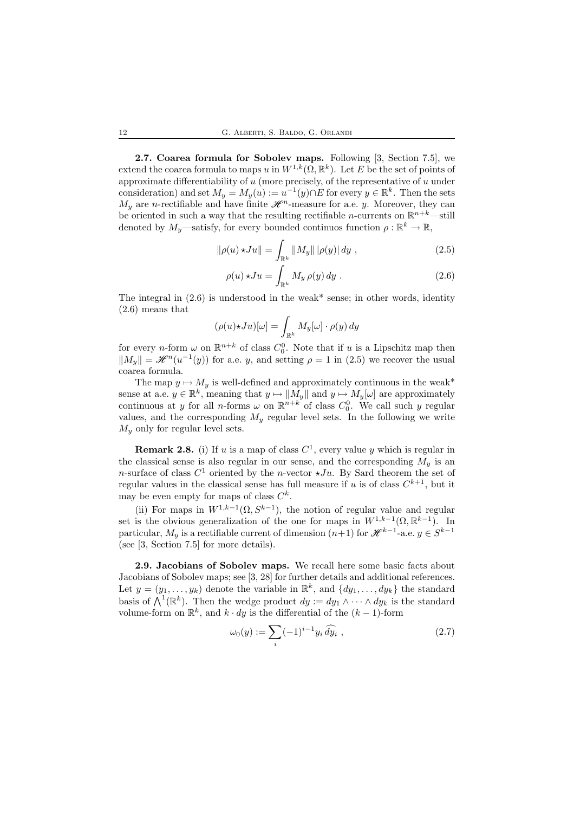2.7. Coarea formula for Sobolev maps. Following [3, Section 7.5], we extend the coarea formula to maps u in  $W^{1,k}(\Omega,\mathbb{R}^k)$ . Let E be the set of points of approximate differentiability of  $u$  (more precisely, of the representative of  $u$  under consideration) and set  $M_y = M_y(u) := u^{-1}(y) \cap E$  for every  $y \in \mathbb{R}^k$ . Then the sets  $M_y$  are n-rectifiable and have finite  $\mathscr{H}^n$ -measure for a.e. y. Moreover, they can be oriented in such a way that the resulting rectifiable *n*-currents on  $\mathbb{R}^{n+k}$ —still denoted by  $M_y$ —satisfy, for every bounded continuos function  $\rho : \mathbb{R}^k \to \mathbb{R}$ ,

$$
\|\rho(u)\star Ju\| = \int_{\mathbb{R}^k} \|M_y\| |\rho(y)| \, dy \;, \tag{2.5}
$$

$$
\rho(u) \star Ju = \int_{\mathbb{R}^k} M_y \, \rho(y) \, dy \tag{2.6}
$$

The integral in  $(2.6)$  is understood in the weak\* sense; in other words, identity (2.6) means that

$$
(\rho(u)\star Ju)[\omega] = \int_{\mathbb{R}^k} M_y[\omega] \cdot \rho(y) \, dy
$$

for every *n*-form  $\omega$  on  $\mathbb{R}^{n+k}$  of class  $C_0^0$ . Note that if u is a Lipschitz map then  $||M_y|| = \mathcal{H}^n(u^{-1}(y))$  for a.e. y, and setting  $\rho = 1$  in (2.5) we recover the usual coarea formula.

The map  $y \mapsto M_y$  is well-defined and approximately continuous in the weak\* sense at a.e.  $y \in \mathbb{R}^k$ , meaning that  $y \mapsto ||M_y||$  and  $y \mapsto M_y[\omega]$  are approximately continuous at y for all *n*-forms  $\omega$  on  $\mathbb{R}^{n+k}$  of class  $C_0^0$ . We call such y regular values, and the corresponding  $M_y$  regular level sets. In the following we write  $M_y$  only for regular level sets.

**Remark 2.8.** (i) If u is a map of class  $C^1$ , every value y which is regular in the classical sense is also regular in our sense, and the corresponding  $M_y$  is an n-surface of class  $C^1$  oriented by the n-vector  $\star Ju$ . By Sard theorem the set of regular values in the classical sense has full measure if u is of class  $C^{k+1}$ , but it may be even empty for maps of class  $C^k$ .

(ii) For maps in  $W^{1,k-1}(\Omega, S^{k-1})$ , the notion of regular value and regular set is the obvious generalization of the one for maps in  $W^{1,k-1}(\Omega,\mathbb{R}^{k-1})$ . In particular,  $M_y$  is a rectifiable current of dimension  $(n+1)$  for  $\mathscr{H}^{k-1}$ -a.e.  $y \in S^{k-1}$ (see [3, Section 7.5] for more details).

2.9. Jacobians of Sobolev maps. We recall here some basic facts about Jacobians of Sobolev maps; see [3, 28] for further details and additional references. Let  $y = (y_1, \ldots, y_k)$  denote the variable in  $\mathbb{R}^k$ , and  $\{dy_1, \ldots, dy_k\}$  the standard basis of  $\bigwedge^1(\mathbb{R}^k)$ . Then the wedge product  $dy := dy_1 \wedge \cdots \wedge dy_k$  is the standard volume-form on  $\mathbb{R}^k$ , and  $k \cdot dy$  is the differential of the  $(k-1)$ -form

$$
\omega_0(y) := \sum_i (-1)^{i-1} y_i \, \widehat{dy_i} \;, \tag{2.7}
$$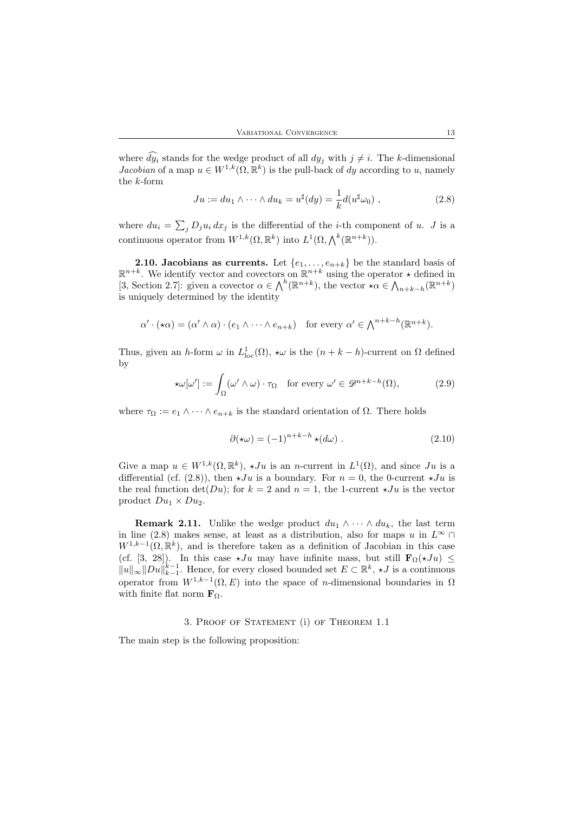where  $dy_i$  stands for the wedge product of all  $dy_j$  with  $j \neq i$ . The k-dimensional Jacobian of a map  $u \in W^{1,k}(\Omega,\mathbb{R}^k)$  is the pull-back of dy according to u, namely the k-form

$$
Ju := du_1 \wedge \cdots \wedge du_k = u^{\sharp}(dy) = \frac{1}{k} d(u^{\sharp}\omega_0) , \qquad (2.8)
$$

where  $du_i = \sum_j D_j u_i dx_j$  is the differential of the *i*-th component of u. J is a continuous operator from  $W^{1,k}(\Omega,\mathbb{R}^k)$  into  $L^1(\Omega,\bigwedge^k(\mathbb{R}^{n+k}))$ .

**2.10. Jacobians as currents.** Let  $\{e_1, \ldots, e_{n+k}\}\)$  be the standard basis of  $\mathbb{R}^{n+k}$ . We identify vector and covectors on  $\mathbb{R}^{n+k}$  using the operator  $\star$  defined in [3, Section 2.7]: given a covector  $\alpha \in \bigwedge^h (\mathbb{R}^{n+k})$ , the vector  $\star \alpha \in \bigwedge_{n+k-h} (\mathbb{R}^{n+k})$ is uniquely determined by the identity

$$
\alpha' \cdot (\star \alpha) = (\alpha' \wedge \alpha) \cdot (e_1 \wedge \cdots \wedge e_{n+k}) \quad \text{for every } \alpha' \in \bigwedge^{n+k-h} (\mathbb{R}^{n+k}).
$$

Thus, given an h-form  $\omega$  in  $L^1_{loc}(\Omega)$ ,  $\star \omega$  is the  $(n + k - h)$ -current on  $\Omega$  defined by

$$
\star \omega[\omega'] := \int_{\Omega} (\omega' \wedge \omega) \cdot \tau_{\Omega} \quad \text{for every } \omega' \in \mathcal{D}^{n+k-h}(\Omega), \tag{2.9}
$$

where  $\tau_{\Omega} := e_1 \wedge \cdots \wedge e_{n+k}$  is the standard orientation of  $\Omega$ . There holds

$$
\partial(\star\omega) = (-1)^{n+k-h} \star (d\omega) . \tag{2.10}
$$

Give a map  $u \in W^{1,k}(\Omega,\mathbb{R}^k)$ ,  $\star Ju$  is an *n*-current in  $L^1(\Omega)$ , and since Ju is a differential (cf. (2.8)), then  $\star Ju$  is a boundary. For  $n = 0$ , the 0-current  $\star Ju$  is the real function  $\det(Du)$ ; for  $k = 2$  and  $n = 1$ , the 1-current  $\star Ju$  is the vector product  $Du_1 \times Du_2$ .

**Remark 2.11.** Unlike the wedge product  $du_1 \wedge \cdots \wedge du_k$ , the last term in line (2.8) makes sense, at least as a distribution, also for maps u in  $L^{\infty} \cap$  $W^{1,k-1}(\Omega,\mathbb{R}^k)$ , and is therefore taken as a definition of Jacobian in this case (cf. [3, 28]). In this case  $\star Ju$  may have infinite mass, but still  $\mathbf{F}_{\Omega}(\star Ju) \le$  $||u||_{\infty}||Du||_{k-1}^{k-1}$ . Hence, for every closed bounded set  $E \subset \mathbb{R}^k$ ,  $\star J$  is a continuous operator from  $W^{1,k-1}(\Omega,E)$  into the space of *n*-dimensional boundaries in  $\Omega$ with finite flat norm  $\mathbf{F}_{\Omega}$ .

#### 3. Proof of Statement (i) of Theorem 1.1

The main step is the following proposition: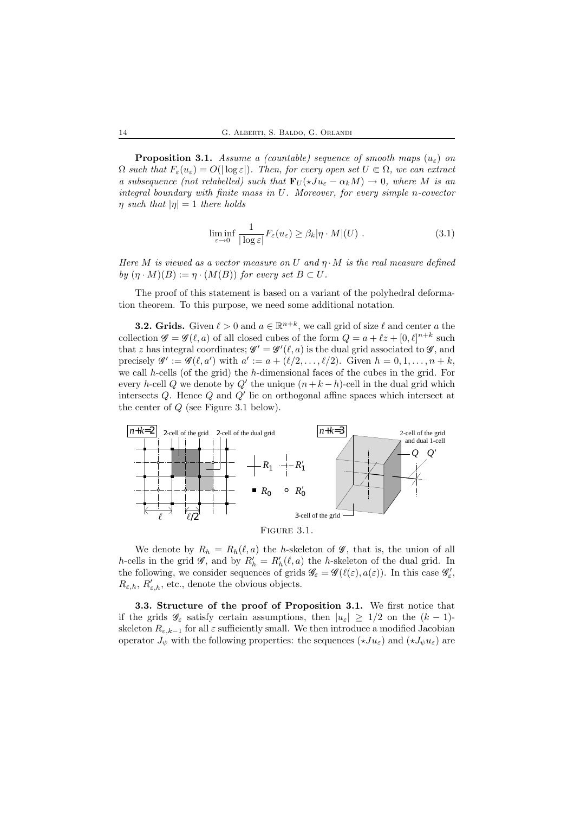**Proposition 3.1.** Assume a (countable) sequence of smooth maps  $(u_{\varepsilon})$  on  $\Omega$  such that  $F_{\varepsilon}(u_{\varepsilon}) = O(|\log \varepsilon|)$ . Then, for every open set  $U \in \Omega$ , we can extract a subsequence (not relabelled) such that  $\mathbf{F}_U(\star J u_\varepsilon - \alpha_k M) \to 0$ , where M is an integral boundary with finite mass in U. Moreover, for every simple n-covector  $\eta$  such that  $|\eta| = 1$  there holds

$$
\liminf_{\varepsilon \to 0} \frac{1}{|\log \varepsilon|} F_{\varepsilon}(u_{\varepsilon}) \geq \beta_k |\eta \cdot M|(U) . \tag{3.1}
$$

Here M is viewed as a vector measure on U and  $\eta \cdot M$  is the real measure defined by  $(\eta \cdot M)(B) := \eta \cdot (M(B))$  for every set  $B \subset U$ .

The proof of this statement is based on a variant of the polyhedral deformation theorem. To this purpose, we need some additional notation.

**3.2. Grids.** Given  $\ell > 0$  and  $a \in \mathbb{R}^{n+k}$ , we call grid of size  $\ell$  and center a the collection  $\mathscr{G} = \mathscr{G}(\ell, a)$  of all closed cubes of the form  $Q = a + \ell z + [0, \ell]^{n+k}$  such that z has integral coordinates;  $\mathscr{G}' = \mathscr{G}'(\ell, a)$  is the dual grid associated to  $\mathscr{G}$ , and precisely  $\mathscr{G}' := \mathscr{G}(\ell, a')$  with  $a' := a + (\ell/2, \ldots, \ell/2)$ . Given  $h = 0, 1, \ldots, n + k$ , we call h-cells (of the grid) the h-dimensional faces of the cubes in the grid. For every h-cell Q we denote by  $Q'$  the unique  $(n + k - h)$ -cell in the dual grid which intersects  $Q$ . Hence  $Q$  and  $Q'$  lie on orthogonal affine spaces which intersect at the center of Q (see Figure 3.1 below).



We denote by  $R_h = R_h(\ell, a)$  the h-skeleton of  $\mathscr{G}$ , that is, the union of all h-cells in the grid  $\mathscr{G}$ , and by  $R'_{h} = R'_{h}(\ell, a)$  the h-skeleton of the dual grid. In the following, we consider sequences of grids  $\mathscr{G}_{\varepsilon} = \mathscr{G}(\ell(\varepsilon), a(\varepsilon))$ . In this case  $\mathscr{G}'_{\varepsilon}$ ,  $R_{\varepsilon,h}, R'_{\varepsilon,h}$ , etc., denote the obvious objects.

3.3. Structure of the proof of Proposition 3.1. We first notice that if the grids  $\mathscr{G}_{\varepsilon}$  satisfy certain assumptions, then  $|u_{\varepsilon}| \geq 1/2$  on the  $(k-1)$ skeleton  $R_{\varepsilon,k-1}$  for all  $\varepsilon$  sufficiently small. We then introduce a modified Jacobian operator  $J_{\psi}$  with the following properties: the sequences  $(\star J u_{\varepsilon})$  and  $(\star J_{\psi} u_{\varepsilon})$  are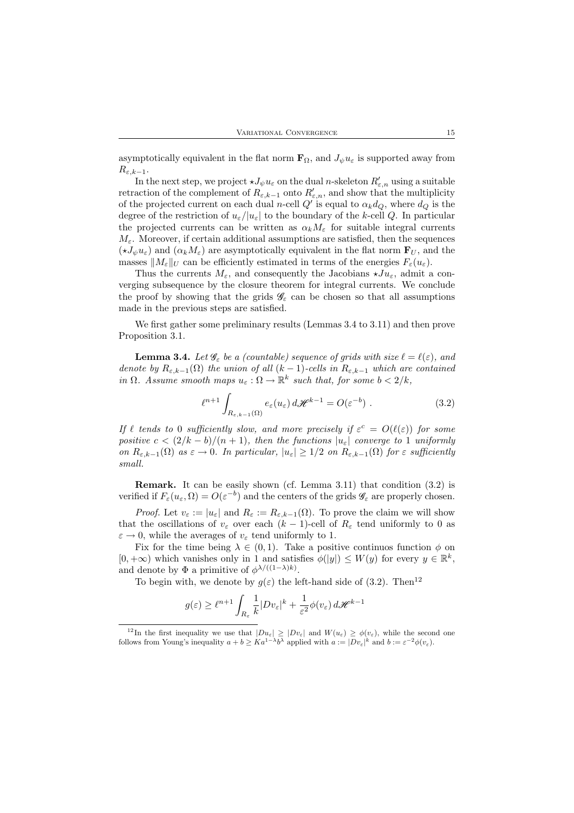asymptotically equivalent in the flat norm  $\mathbf{F}_{\Omega}$ , and  $J_{\psi}u_{\varepsilon}$  is supported away from  $R_{\varepsilon,k-1}.$ 

In the next step, we project  $\star J_{\psi}u_{\varepsilon}$  on the dual *n*-skeleton  $R'_{\varepsilon,n}$  using a suitable retraction of the complement of  $R_{\varepsilon,k-1}$  onto  $R'_{\varepsilon,n}$ , and show that the multiplicity of the projected current on each dual *n*-cell  $Q'$  is equal to  $\alpha_k d_Q$ , where  $d_Q$  is the degree of the restriction of  $u_{\varepsilon}/|u_{\varepsilon}|$  to the boundary of the k-cell Q. In particular the projected currents can be written as  $\alpha_k M_{\varepsilon}$  for suitable integral currents  $M_{\varepsilon}$ . Moreover, if certain additional assumptions are satisfied, then the sequences  $(\star J_{\psi}u_{\varepsilon})$  and  $(\alpha_k M_{\varepsilon})$  are asymptotically equivalent in the flat norm  $\mathbf{F}_{U}$ , and the masses  $||M_{\varepsilon}||_U$  can be efficiently estimated in terms of the energies  $F_{\varepsilon}(u_{\varepsilon}).$ 

Thus the currents  $M_{\varepsilon}$ , and consequently the Jacobians  $\star J u_{\varepsilon}$ , admit a converging subsequence by the closure theorem for integral currents. We conclude the proof by showing that the grids  $\mathscr{G}_{\varepsilon}$  can be chosen so that all assumptions made in the previous steps are satisfied.

We first gather some preliminary results (Lemmas 3.4 to 3.11) and then prove Proposition 3.1.

**Lemma 3.4.** Let  $\mathscr{G}_{\varepsilon}$  be a (countable) sequence of grids with size  $\ell = \ell(\varepsilon)$ , and denote by  $R_{\varepsilon,k-1}(\Omega)$  the union of all  $(k-1)$ -cells in  $R_{\varepsilon,k-1}$  which are contained in  $\Omega$ . Assume smooth maps  $u_{\varepsilon} : \Omega \to \mathbb{R}^k$  such that, for some  $b < 2/k$ ,

$$
\ell^{n+1} \int_{R_{\varepsilon,k-1}(\Omega)} e_{\varepsilon}(u_{\varepsilon}) d\mathscr{H}^{k-1} = O(\varepsilon^{-b}). \tag{3.2}
$$

If  $\ell$  tends to 0 sufficiently slow, and more precisely if  $\varepsilon^c = O(\ell(\varepsilon))$  for some positive  $c < (2/k - b)/(n + 1)$ , then the functions  $|u_{\varepsilon}|$  converge to 1 uniformly on  $R_{\varepsilon,k-1}(\Omega)$  as  $\varepsilon \to 0$ . In particular,  $|u_{\varepsilon}| \geq 1/2$  on  $R_{\varepsilon,k-1}(\Omega)$  for  $\varepsilon$  sufficiently small.

Remark. It can be easily shown (cf. Lemma 3.11) that condition (3.2) is verified if  $F_{\varepsilon}(u_{\varepsilon}, \Omega) = O(\varepsilon^{-b})$  and the centers of the grids  $\mathscr{G}_{\varepsilon}$  are properly chosen.

*Proof.* Let  $v_{\varepsilon} := |u_{\varepsilon}|$  and  $R_{\varepsilon} := R_{\varepsilon,k-1}(\Omega)$ . To prove the claim we will show that the oscillations of  $v_{\varepsilon}$  over each  $(k-1)$ -cell of  $R_{\varepsilon}$  tend uniformly to 0 as  $\varepsilon \to 0$ , while the averages of  $v_{\varepsilon}$  tend uniformly to 1.

Fix for the time being  $\lambda \in (0,1)$ . Take a positive continuos function  $\phi$  on  $[0, +\infty)$  which vanishes only in 1 and satisfies  $\phi(|y|) \leq W(y)$  for every  $y \in \mathbb{R}^k$ , and denote by  $\Phi$  a primitive of  $\phi^{\lambda/((1-\lambda)k)}$ .

To begin with, we denote by  $g(\varepsilon)$  the left-hand side of (3.2). Then<sup>12</sup>

$$
g(\varepsilon) \ge \ell^{n+1} \int_{R_{\varepsilon}} \frac{1}{k} |D v_{\varepsilon}|^k + \frac{1}{\varepsilon^2} \phi(v_{\varepsilon}) d\mathscr{H}^{k-1}
$$

<sup>&</sup>lt;sup>12</sup>In the first inequality we use that  $|D u_{\varepsilon}| \geq |D v_{\varepsilon}|$  and  $W(u_{\varepsilon}) \geq \phi(v_{\varepsilon})$ , while the second one follows from Young's inequality  $a + b \geq Ka^{1-\lambda}b^{\lambda}$  applied with  $a := |Dv_{\varepsilon}|^k$  and  $b := \varepsilon^{-2}\phi(v_{\varepsilon}).$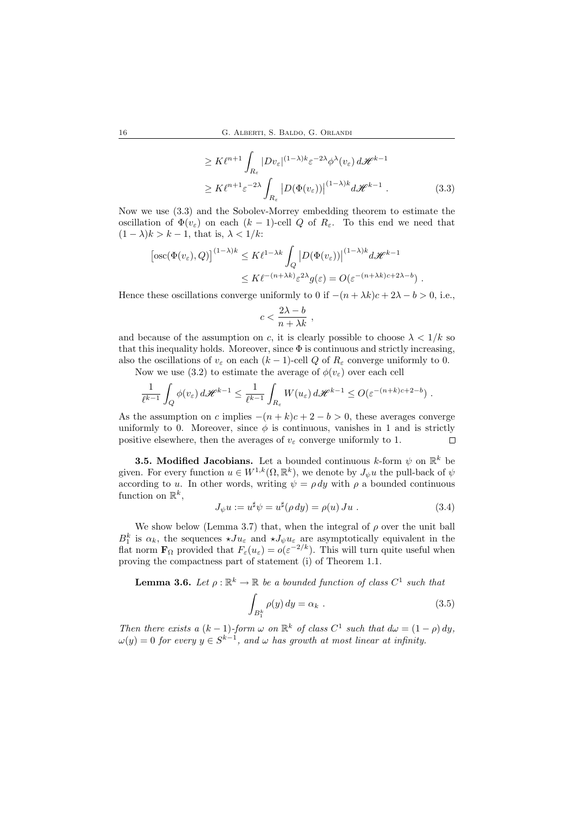$$
\geq K\ell^{n+1} \int_{R_{\varepsilon}} |Dv_{\varepsilon}|^{(1-\lambda)k} \varepsilon^{-2\lambda} \phi^{\lambda}(v_{\varepsilon}) d\mathcal{H}^{k-1}
$$
  

$$
\geq K\ell^{n+1} \varepsilon^{-2\lambda} \int_{R_{\varepsilon}} |D(\Phi(v_{\varepsilon}))|^{(1-\lambda)k} d\mathcal{H}^{k-1}.
$$
 (3.3)

Now we use (3.3) and the Sobolev-Morrey embedding theorem to estimate the oscillation of  $\Phi(v_{\varepsilon})$  on each  $(k-1)$ -cell Q of  $R_{\varepsilon}$ . To this end we need that  $(1 - \lambda)k > k - 1$ , that is,  $\lambda < 1/k$ :

$$
\begin{aligned} \left[ \operatorname{osc}(\Phi(v_{\varepsilon}), Q) \right]^{(1-\lambda)k} &\leq K\ell^{1-\lambda k} \int_{Q} \left| D(\Phi(v_{\varepsilon})) \right|^{(1-\lambda)k} d\mathscr{H}^{k-1} \\ &\leq K\ell^{-(n+\lambda k)} \varepsilon^{2\lambda} g(\varepsilon) = O(\varepsilon^{-(n+\lambda k)c+2\lambda-b}) \; . \end{aligned}
$$

Hence these oscillations converge uniformly to 0 if  $-(n + \lambda k)c + 2\lambda - b > 0$ , i.e.,

$$
c<\frac{2\lambda-b}{n+\lambda k}\;,
$$

and because of the assumption on c, it is clearly possible to choose  $\lambda < 1/k$  so that this inequality holds. Moreover, since  $\Phi$  is continuous and strictly increasing, also the oscillations of  $v_{\varepsilon}$  on each  $(k-1)$ -cell Q of  $R_{\varepsilon}$  converge uniformly to 0.

Now we use (3.2) to estimate the average of  $\phi(v_\varepsilon)$  over each cell

$$
\frac{1}{\ell^{k-1}}\int_Q \phi(v_\varepsilon)\,d\mathscr{H}^{k-1}\leq \frac{1}{\ell^{k-1}}\int_{R_\varepsilon}W(u_\varepsilon)\,d\mathscr{H}^{k-1}\leq O(\varepsilon^{-(n+k)c+2-b})\;.
$$

As the assumption on c implies  $-(n+k)c+2-b>0$ , these averages converge uniformly to 0. Moreover, since  $\phi$  is continuous, vanishes in 1 and is strictly positive elsewhere, then the averages of  $v_{\varepsilon}$  converge uniformly to 1.  $\Box$ 

**3.5. Modified Jacobians.** Let a bounded continuous k-form  $\psi$  on  $\mathbb{R}^k$  be given. For every function  $u \in W^{1,k}(\Omega,\mathbb{R}^k)$ , we denote by  $J_{\psi}u$  the pull-back of  $\psi$ according to u. In other words, writing  $\psi = \rho dy$  with  $\rho$  a bounded continuous function on  $\mathbb{R}^k$ ,

$$
J_{\psi}u := u^{\sharp}\psi = u^{\sharp}(\rho \, dy) = \rho(u) \, Ju \tag{3.4}
$$

We show below (Lemma 3.7) that, when the integral of  $\rho$  over the unit ball  $B_1^k$  is  $\alpha_k$ , the sequences  $\star Ju_\varepsilon$  and  $\star J_\psi u_\varepsilon$  are asymptotically equivalent in the flat norm  $\mathbf{F}_{\Omega}$  provided that  $F_{\varepsilon}(u_{\varepsilon}) = o(\varepsilon^{-2/k})$ . This will turn quite useful when proving the compactness part of statement (i) of Theorem 1.1.

**Lemma 3.6.** Let  $\rho : \mathbb{R}^k \to \mathbb{R}$  be a bounded function of class  $C^1$  such that

$$
\int_{B_1^k} \rho(y) dy = \alpha_k . \qquad (3.5)
$$

Then there exists a  $(k-1)$ -form  $\omega$  on  $\mathbb{R}^k$  of class  $C^1$  such that  $d\omega = (1-\rho) dy$ ,  $\omega(y) = 0$  for every  $y \in S^{k-1}$ , and  $\omega$  has growth at most linear at infinity.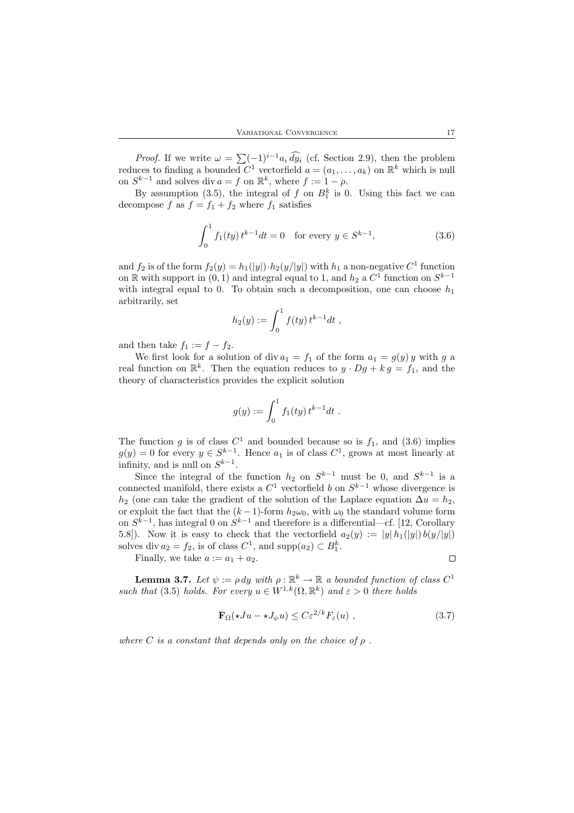*Proof.* If we write  $\omega = \sum_{i=1}^{n} (-1)^{i-1} a_i \widehat{dy}_i$  (cf. Section 2.9), then the problem reduces to finding a bounded  $C^1$  vectorfield  $a = (a_1, \ldots, a_k)$  on  $\mathbb{R}^k$  which is null on  $S^{k-1}$  and solves div  $a = f$  on  $\mathbb{R}^k$ , where  $f := 1 - \rho$ .

By assumption (3.5), the integral of f on  $B_1^k$  is 0. Using this fact we can decompose f as  $f = f_1 + f_2$  where  $f_1$  satisfies

$$
\int_0^1 f_1(ty) t^{k-1} dt = 0 \quad \text{for every } y \in S^{k-1}, \tag{3.6}
$$

and  $f_2$  is of the form  $f_2(y) = h_1(|y|) \cdot h_2(y/|y|)$  with  $h_1$  a non-negative  $C^1$  function on  $\mathbb R$  with support in  $(0,1)$  and integral equal to 1, and  $h_2$  a  $C^1$  function on  $S^{k-1}$ with integral equal to 0. To obtain such a decomposition, one can choose  $h_1$ arbitrarily, set

$$
h_2(y) := \int_0^1 f(ty) t^{k-1} dt ,
$$

and then take  $f_1 := f - f_2$ .

We first look for a solution of div  $a_1 = f_1$  of the form  $a_1 = g(y) y$  with g a real function on  $\mathbb{R}^k$ . Then the equation reduces to  $y \cdot Dg + kg = f_1$ , and the theory of characteristics provides the explicit solution

$$
g(y) := \int_0^1 f_1(ty) t^{k-1} dt.
$$

The function g is of class  $C^1$  and bounded because so is  $f_1$ , and (3.6) implies  $g(y) = 0$  for every  $y \in S^{k-1}$ . Hence  $a_1$  is of class  $C^1$ , grows at most linearly at infinity, and is null on  $S^{k-1}$ .

Since the integral of the function  $h_2$  on  $S^{k-1}$  must be 0, and  $S^{k-1}$  is a connected manifold, there exists a  $C<sup>1</sup>$  vectorfield b on  $S<sup>k-1</sup>$  whose divergence is  $h_2$  (one can take the gradient of the solution of the Laplace equation  $\Delta u = h_2$ , or exploit the fact that the  $(k-1)$ -form  $h_2\omega_0$ , with  $\omega_0$  the standard volume form on  $S^{k-1}$ , has integral 0 on  $S^{k-1}$  and therefore is a differential—cf. [12, Corollary 5.8]). Now it is easy to check that the vectorfield  $a_2(y) := |y| h_1(|y|) b(y/|y|)$ solves div  $a_2 = f_2$ , is of class  $C^1$ , and supp $(a_2) \subset B_1^k$ .

Finally, we take  $a := a_1 + a_2$ .

 $\Box$ 

**Lemma 3.7.** Let  $\psi := \rho \, dy$  with  $\rho : \mathbb{R}^k \to \mathbb{R}$  a bounded function of class  $C^1$ such that (3.5) holds. For every  $u \in W^{1,k}(\Omega,\mathbb{R}^k)$  and  $\varepsilon > 0$  there holds

$$
\mathbf{F}_{\Omega}(\star Ju - \star J_{\psi}u) \leq C\varepsilon^{2/k} F_{\varepsilon}(u) , \qquad (3.7)
$$

where C is a constant that depends only on the choice of  $\rho$ .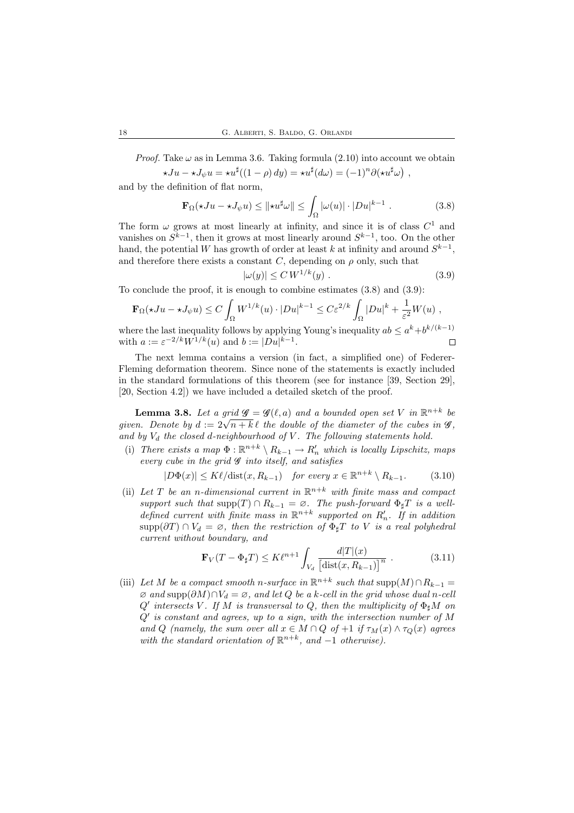*Proof.* Take  $\omega$  as in Lemma 3.6. Taking formula (2.10) into account we obtain  $\star Ju - \star J_{\psi} u = \star u^{\sharp}((1 - \rho) dy) = \star u^{\sharp}(d\omega) = (-1)^{n} \partial(\star u^{\sharp}\omega) ,$ 

and by the definition of flat norm,

$$
\mathbf{F}_{\Omega}(\star Ju - \star J_{\psi} u) \leq \|\star u^{\sharp}\omega\| \leq \int_{\Omega} |\omega(u)| \cdot |Du|^{k-1} . \tag{3.8}
$$

The form  $\omega$  grows at most linearly at infinity, and since it is of class  $C^1$  and vanishes on  $S^{k-1}$ , then it grows at most linearly around  $S^{k-1}$ , too. On the other hand, the potential W has growth of order at least k at infinity and around  $S^{k-1}$ , and therefore there exists a constant  $C$ , depending on  $\rho$  only, such that

$$
|\omega(y)| \leq C W^{1/k}(y) . \tag{3.9}
$$

To conclude the proof, it is enough to combine estimates (3.8) and (3.9):

$$
\mathbf{F}_{\Omega}(\star Ju - \star J_{\psi}u) \le C \int_{\Omega} W^{1/k}(u) \cdot |Du|^{k-1} \le C \varepsilon^{2/k} \int_{\Omega} |Du|^k + \frac{1}{\varepsilon^2} W(u) ,
$$

where the last inequality follows by applying Young's inequality  $ab \le a^k + b^{k/(k-1)}$ with  $a := \varepsilon^{-2/k} W^{1/k}(u)$  and  $b := |Du|^{k-1}$ .  $\Box$ 

The next lemma contains a version (in fact, a simplified one) of Federer-Fleming deformation theorem. Since none of the statements is exactly included in the standard formulations of this theorem (see for instance [39, Section 29], [20, Section 4.2]) we have included a detailed sketch of the proof.

**Lemma 3.8.** Let a grid  $\mathscr{G} = \mathscr{G}(\ell, a)$  and a bounded open set V in  $\mathbb{R}^{n+k}$  be given. Denote by  $d := 2\sqrt{n+k} \ell$  the double of the diameter of the cubes in  $\mathscr{G}$ , and by  $V_d$  the closed d-neighbourhood of V. The following statements hold.

(i) There exists a map  $\Phi : \mathbb{R}^{n+k} \setminus R_{k-1} \to R'_n$  which is locally Lipschitz, maps every cube in the grid  $\mathscr G$  into itself, and satisfies

$$
|D\Phi(x)| \le K\ell/\text{dist}(x, R_{k-1}) \quad \text{for every } x \in \mathbb{R}^{n+k} \setminus R_{k-1}.\tag{3.10}
$$

(ii) Let T be an n-dimensional current in  $\mathbb{R}^{n+k}$  with finite mass and compact support such that  $\text{supp}(T) \cap R_{k-1} = \emptyset$ . The push-forward  $\Phi_{\sharp}T$  is a welldefined current with finite mass in  $\mathbb{R}^{n+k}$  supported on  $R'_n$ . If in addition  $\text{supp}(\partial T) \cap V_d = \varnothing$ , then the restriction of  $\Phi_{\sharp}T$  to V is a real polyhedral current without boundary, and

$$
\mathbf{F}_V(T - \Phi_{\sharp}T) \le K\ell^{n+1} \int_{V_d} \frac{d|T|(x)}{\left[\text{dist}(x, R_{k-1})\right]^n} . \tag{3.11}
$$

(iii) Let M be a compact smooth n-surface in  $\mathbb{R}^{n+k}$  such that  $\text{supp}(M) \cap R_{k-1} =$  $\varnothing$  and supp $(\partial M) \cap V_d = \varnothing$ , and let Q be a k-cell in the grid whose dual n-cell  $Q'$  intersects V. If M is transversal to Q, then the multiplicity of  $\Phi_{\sharp}M$  on  $Q'$  is constant and agrees, up to a sign, with the intersection number of M and Q (namely, the sum over all  $x \in M \cap Q$  of  $+1$  if  $\tau_M(x) \wedge \tau_Q(x)$  agrees with the standard orientation of  $\mathbb{R}^{n+k}$ , and -1 otherwise).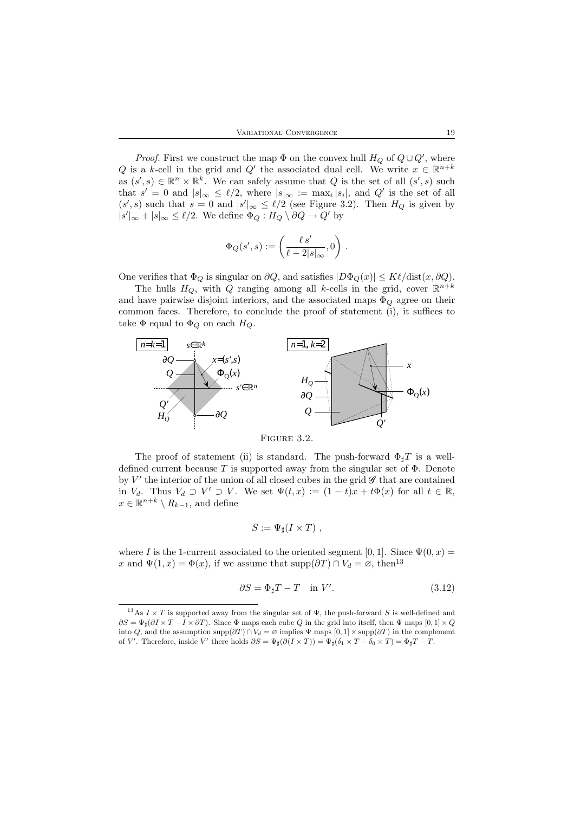*Proof.* First we construct the map  $\Phi$  on the convex hull  $H_Q$  of  $Q \cup Q'$ , where Q is a k-cell in the grid and Q' the associated dual cell. We write  $x \in \mathbb{R}^{n+k}$ as  $(s', s) \in \mathbb{R}^n \times \mathbb{R}^k$ . We can safely assume that Q is the set of all  $(s', s)$  such that  $s' = 0$  and  $|s|_{\infty} \le \ell/2$ , where  $|s|_{\infty} := \max_i |s_i|$ , and  $Q'$  is the set of all  $(s', s)$  such that  $s = 0$  and  $|s'|_{\infty} \leq \ell/2$  (see Figure 3.2). Then  $H_Q$  is given by  $|s'|_{\infty} + |s|_{\infty} \leq \ell/2$ . We define  $\Phi_Q : H_Q \setminus \partial Q \to Q'$  by

$$
\Phi_Q(s',s):=\left(\frac{\ell\,s'}{\ell-2|s|_\infty},0\right)\,.
$$

One verifies that  $\Phi_Q$  is singular on  $\partial Q$ , and satisfies  $|D\Phi_Q(x)| \leq K\ell/\text{dist}(x, \partial Q)$ .

The hulls  $H_Q$ , with Q ranging among all k-cells in the grid, cover  $\mathbb{R}^{n+k}$ and have pairwise disjoint interiors, and the associated maps  $\Phi_{Q}$  agree on their common faces. Therefore, to conclude the proof of statement (i), it suffices to take  $\Phi$  equal to  $\Phi_Q$  on each  $H_Q$ .



The proof of statement (ii) is standard. The push-forward  $\Phi_{\text{t}}T$  is a welldefined current because T is supported away from the singular set of  $\Phi$ . Denote by  $V'$  the interior of the union of all closed cubes in the grid  $\mathscr G$  that are contained in  $V_d$ . Thus  $V_d \supset V' \supset V$ . We set  $\Psi(t,x) := (1-t)x + t\Phi(x)$  for all  $t \in \mathbb{R}$ ,

 $x \in \mathbb{R}^{n+k} \setminus R_{k-1}$ , and define

$$
S:=\Psi_{\sharp}(I\times T)\;,
$$

where I is the 1-current associated to the oriented segment [0, 1]. Since  $\Psi(0, x) =$ x and  $\Psi(1, x) = \Phi(x)$ , if we assume that supp $(\partial T) \cap V_d = \emptyset$ , then<sup>13</sup>

$$
\partial S = \Phi_{\sharp} T - T \quad \text{in } V'. \tag{3.12}
$$

<sup>&</sup>lt;sup>13</sup>As  $I \times T$  is supported away from the singular set of  $\Psi$ , the push-forward S is well-defined and  $\partial S = \Psi_{\sharp}(\partial I \times T - I \times \partial T)$ . Since  $\Phi$  maps each cube Q in the grid into itself, then  $\Psi$  maps  $[0,1] \times Q$ into Q, and the assumption supp $(\partial T) \cap V_d = \varnothing$  implies  $\Psi$  maps  $[0, 1] \times \text{supp}(\partial T)$  in the complement of V'. Therefore, inside V' there holds  $\partial S = \Psi_{\sharp}(\partial (I \times T)) = \Psi_{\sharp}(\delta_1 \times T - \delta_0 \times T) = \Phi_{\sharp}T - T$ .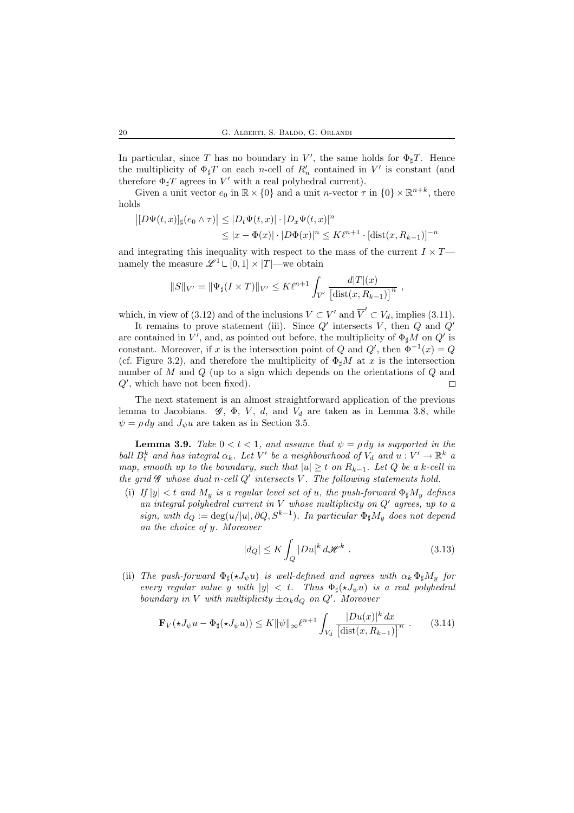In particular, since T has no boundary in V', the same holds for  $\Phi_{\sharp}T$ . Hence the multiplicity of  $\Phi_{\sharp}T$  on each *n*-cell of  $R'_n$  contained in  $V'$  is constant (and therefore  $\Phi_{\sharp}T$  agrees in  $V'$  with a real polyhedral current).

Given a unit vector  $e_0$  in  $\mathbb{R} \times \{0\}$  and a unit *n*-vector  $\tau$  in  $\{0\} \times \mathbb{R}^{n+k}$ , there holds

$$
|[D\Psi(t,x)]_{\sharp}(e_0 \wedge \tau)| \leq |D_t\Psi(t,x)| \cdot |D_x\Psi(t,x)|^n
$$
  

$$
\leq |x - \Phi(x)| \cdot |D\Phi(x)|^n \leq K\ell^{n+1} \cdot [\text{dist}(x, R_{k-1})]^{-n}
$$

and integrating this inequality with respect to the mass of the current  $I \times T$  namely the measure  $\mathscr{L}^1 \mathsf{L} [0,1] \times |T|$ —we obtain

$$
||S||_{V'} = ||\Psi_{\sharp}(I \times T)||_{V'} \leq K\ell^{n+1} \int_{\overline{V}'} \frac{d|T|(x)}{[\text{dist}(x, R_{k-1})]^n} ,
$$

which, in view of (3.12) and of the inclusions  $V \subset V'$  and  $\overline{V}' \subset V_d$ , implies (3.11).

It remains to prove statement (iii). Since  $Q'$  intersects V, then  $Q$  and  $Q'$ are contained in  $V'$ , and, as pointed out before, the multiplicity of  $\Phi_{\sharp}M$  on  $Q'$  is constant. Moreover, if x is the intersection point of Q and  $Q'$ , then  $\Phi^{-1}(x) = Q$ (cf. Figure 3.2), and therefore the multiplicity of  $\Phi_{\sharp}M$  at x is the intersection number of M and Q (up to a sign which depends on the orientations of Q and  $Q'$ , which have not been fixed).  $\Box$ 

The next statement is an almost straightforward application of the previous lemma to Jacobians.  $\mathscr{G}, \Phi, V, d$ , and  $V_d$  are taken as in Lemma 3.8, while  $\psi = \rho \, dy$  and  $J_{\psi} u$  are taken as in Section 3.5.

**Lemma 3.9.** Take  $0 < t < 1$ , and assume that  $\psi = \rho dy$  is supported in the ball  $B_t^k$  and has integral  $\alpha_k$ . Let V' be a neighbourhood of  $V_d$  and  $u: V' \to \mathbb{R}^k$  a map, smooth up to the boundary, such that  $|u| \geq t$  on  $R_{k-1}$ . Let Q be a k-cell in the grid  $\mathscr G$  whose dual n-cell  $Q'$  intersects  $V$ . The following statements hold.

(i) If  $|y| < t$  and  $M_y$  is a regular level set of u, the push-forward  $\Phi_{\dagger} M_y$  defines an integral polyhedral current in  $V$  whose multiplicity on  $Q'$  agrees, up to a sign, with  $d_Q := \deg(u/|u|, \partial Q, S^{k-1})$ . In particular  $\Phi_{\sharp} M_y$  does not depend on the choice of y. Moreover

$$
|d_Q| \le K \int_Q |Du|^k \, d\mathscr{H}^k \ . \tag{3.13}
$$

(ii) The push-forward  $\Phi_{\sharp}(*J_{\psi}u)$  is well-defined and agrees with  $\alpha_k \Phi_{\sharp}M_y$  for every regular value y with  $|y| < t$ . Thus  $\Phi_{\sharp}(\star J_{\psi}u)$  is a real polyhedral boundary in V with multiplicity  $\pm \alpha_k d_Q$  on  $Q'$ . Moreover

$$
\mathbf{F}_V(\star J_\psi u - \Phi_\sharp(\star J_\psi u)) \le K \|\psi\|_\infty \ell^{n+1} \int_{V_d} \frac{|Du(x)|^k dx}{\left[\text{dist}(x, R_{k-1})\right]^n} \quad . \tag{3.14}
$$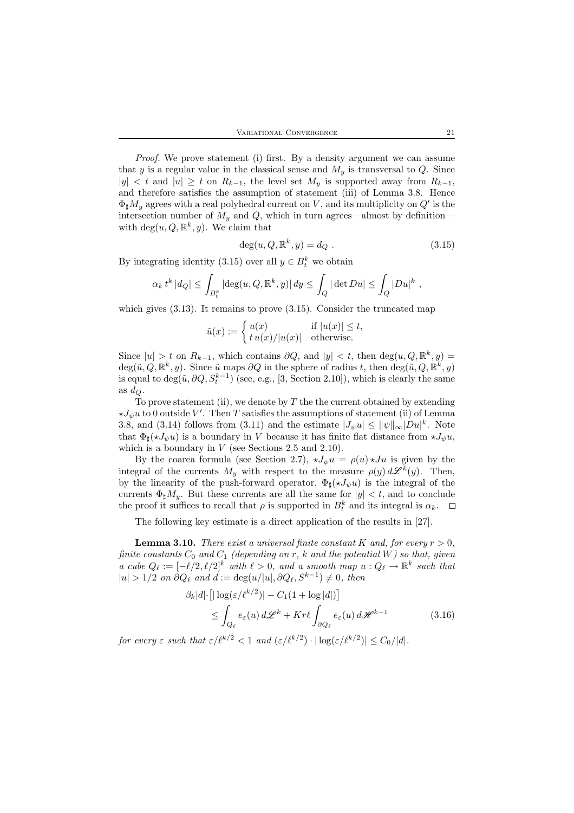Proof. We prove statement (i) first. By a density argument we can assume that y is a regular value in the classical sense and  $M_y$  is transversal to Q. Since  $|y| < t$  and  $|u| \geq t$  on  $R_{k-1}$ , the level set  $M_y$  is supported away from  $R_{k-1}$ , and therefore satisfies the assumption of statement (iii) of Lemma 3.8. Hence  $\Phi_{\sharp}M_y$  agrees with a real polyhedral current on V, and its multiplicity on  $Q'$  is the intersection number of  $M_y$  and  $Q$ , which in turn agrees—almost by definitionwith  $\deg(u, Q, \mathbb{R}^k, y)$ . We claim that

$$
\deg(u, Q, \mathbb{R}^k, y) = d_Q . \tag{3.15}
$$

By integrating identity (3.15) over all  $y \in B_t^k$  we obtain

$$
\alpha_k t^k |d_Q| \leq \int_{B_t^k} \left| \deg(u,Q,\mathbb{R}^k,y) \right| dy \leq \int_Q |\det Du| \leq \int_Q |Du|^k \ ,
$$

which gives  $(3.13)$ . It remains to prove  $(3.15)$ . Consider the truncated map

$$
\tilde{u}(x):=\left\{\begin{aligned} u(x)&\quad \text{ if }|u(x)|\leq t,\\ t\,u(x)/|u(x)|&\quad \text{otherwise.}\end{aligned}\right.
$$

Since  $|u| > t$  on  $R_{k-1}$ , which contains  $\partial Q$ , and  $|y| < t$ , then  $\deg(u, Q, \mathbb{R}^k, y) =$  $deg(\tilde{u}, Q, \mathbb{R}^k, y)$ . Since  $\tilde{u}$  maps  $\partial Q$  in the sphere of radius t, then  $deg(\tilde{u}, Q, \mathbb{R}^k, y)$ is equal to  $\deg(\tilde{u}, \partial Q, S_t^{k-1})$  (see, e.g., [3, Section 2.10]), which is clearly the same as  $d_Q$ .

To prove statement (ii), we denote by  $T$  the the current obtained by extending  $\star J_{\psi}u$  to 0 outside V'. Then T satisfies the assumptions of statement (ii) of Lemma 3.8, and (3.14) follows from (3.11) and the estimate  $|J_{\psi}u| \le ||\psi||_{\infty}|Du|^{k}$ . Note that  $\Phi_{\sharp}(\star J_{\psi}u)$  is a boundary in V because it has finite flat distance from  $\star J_{\psi}u$ , which is a boundary in  $V$  (see Sections 2.5 and 2.10).

By the coarea formula (see Section 2.7),  $\star J_w u = \rho(u) \star Ju$  is given by the integral of the currents  $M_y$  with respect to the measure  $\rho(y) d\mathscr{L}^k(y)$ . Then, by the linearity of the push-forward operator,  $\Phi_{\sharp}(\star J_{\psi}u)$  is the integral of the currents  $\Phi_{\sharp}M_{y}$ . But these currents are all the same for  $|y| < t$ , and to conclude the proof it suffices to recall that  $\rho$  is supported in  $B_t^k$  and its integral is  $\alpha_k$ .

The following key estimate is a direct application of the results in [27].

**Lemma 3.10.** There exist a universal finite constant K and, for every  $r > 0$ , finite constants  $C_0$  and  $C_1$  (depending on r, k and the potential W) so that, given a cube  $Q_{\ell} := [-\ell/2, \ell/2]^k$  with  $\ell > 0$ , and a smooth map  $u : Q_{\ell} \to \mathbb{R}^k$  such that  $|u| > 1/2$  on  $\partial Q_\ell$  and  $d := \deg(u/|u|, \partial Q_\ell, S^{k-1}) \neq 0$ , then

$$
\beta_k |d| \cdot \left[ |\log(\varepsilon/\ell^{k/2})| - C_1 (1 + \log |d|) \right]
$$
  
\n
$$
\leq \int_{Q_\ell} e_\varepsilon(u) d\mathscr{L}^k + Kr\ell \int_{\partial Q_\ell} e_\varepsilon(u) d\mathscr{H}^{k-1}
$$
(3.16)

for every  $\varepsilon$  such that  $\varepsilon/\ell^{k/2} < 1$  and  $(\varepsilon/\ell^{k/2}) \cdot |\log(\varepsilon/\ell^{k/2})| \leq C_0/|d|$ .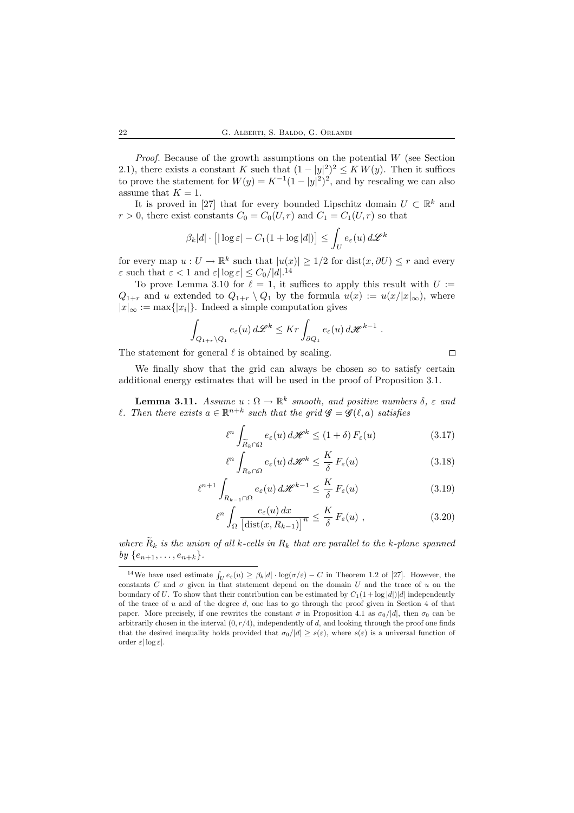*Proof.* Because of the growth assumptions on the potential  $W$  (see Section 2.1), there exists a constant K such that  $(1 - |y|^2)^2 \leq KW(y)$ . Then it suffices to prove the statement for  $W(y) = K^{-1}(1-|y|^2)^2$ , and by rescaling we can also assume that  $K = 1$ .

It is proved in [27] that for every bounded Lipschitz domain  $U \subset \mathbb{R}^k$  and  $r > 0$ , there exist constants  $C_0 = C_0(U, r)$  and  $C_1 = C_1(U, r)$  so that

$$
\beta_k|d|\cdot\left[|\log\varepsilon|-C_1(1+\log|d|)\right]\leq\int_U e_\varepsilon(u)\,d\mathscr{L}^k
$$

for every map  $u: U \to \mathbb{R}^k$  such that  $|u(x)| \geq 1/2$  for  $dist(x, \partial U) \leq r$  and every  $\varepsilon$  such that  $\varepsilon < 1$  and  $\varepsilon |\log \varepsilon| \leq C_0/|d|^{14}$ 

To prove Lemma 3.10 for  $\ell = 1$ , it suffices to apply this result with  $U :=$  $Q_{1+r}$  and u extended to  $Q_{1+r} \setminus Q_1$  by the formula  $u(x) := u(x/|x|_{\infty})$ , where  $|x|_{\infty} := \max\{|x_i|\}.$  Indeed a simple computation gives

$$
\int_{Q_{1+r}\backslash Q_1} e_{\varepsilon}(u) d\mathscr{L}^k \leq Kr \int_{\partial Q_1} e_{\varepsilon}(u) d\mathscr{H}^{k-1} .
$$

The statement for general  $\ell$  is obtained by scaling.

We finally show that the grid can always be chosen so to satisfy certain additional energy estimates that will be used in the proof of Proposition 3.1.

**Lemma 3.11.** Assume  $u : \Omega \to \mathbb{R}^k$  smooth, and positive numbers  $\delta$ ,  $\varepsilon$  and l. Then there exists  $a \in \mathbb{R}^{n+k}$  such that the grid  $\mathscr{G} = \mathscr{G}(\ell, a)$  satisfies

$$
\ell^n \int_{\widetilde{R}_k \cap \Omega} e_{\varepsilon}(u) d\mathscr{H}^k \le (1+\delta) F_{\varepsilon}(u)
$$
 (3.17)

$$
\ell^n \int_{R_k \cap \Omega} e_{\varepsilon}(u) d\mathscr{H}^k \le \frac{K}{\delta} F_{\varepsilon}(u)
$$
\n(3.18)

$$
\ell^{n+1} \int_{R_{k-1} \cap \Omega} e_{\varepsilon}(u) d\mathcal{H}^{k-1} \leq \frac{K}{\delta} F_{\varepsilon}(u)
$$
\n(3.19)

$$
\ell^n \int_{\Omega} \frac{e_{\varepsilon}(u) dx}{\left[ \text{dist}(x, R_{k-1}) \right]^n} \le \frac{K}{\delta} F_{\varepsilon}(u) , \qquad (3.20)
$$

where  $\widetilde{R}_k$  is the union of all k-cells in  $R_k$  that are parallel to the k-plane spanned by  $\{e_{n+1}, \ldots, e_{n+k}\}.$ 

 $\Box$ 

<sup>&</sup>lt;sup>14</sup>We have used estimate  $\int_U e_\varepsilon(u) \geq \beta_k |d| \cdot \log(\sigma/\varepsilon) - C$  in Theorem 1.2 of [27]. However, the constants C and  $\sigma$  given in that statement depend on the domain U and the trace of u on the boundary of U. To show that their contribution can be estimated by  $C_1(1 + \log |d|)|d|$  independently of the trace of  $u$  and of the degree  $d$ , one has to go through the proof given in Section 4 of that paper. More precisely, if one rewrites the constant  $\sigma$  in Proposition 4.1 as  $\sigma_0/|d|$ , then  $\sigma_0$  can be arbitrarily chosen in the interval  $(0, r/4)$ , independently of d, and looking through the proof one finds that the desired inequality holds provided that  $\sigma_0/|d| \geq s(\varepsilon)$ , where  $s(\varepsilon)$  is a universal function of order  $\varepsilon |\log \varepsilon|$ .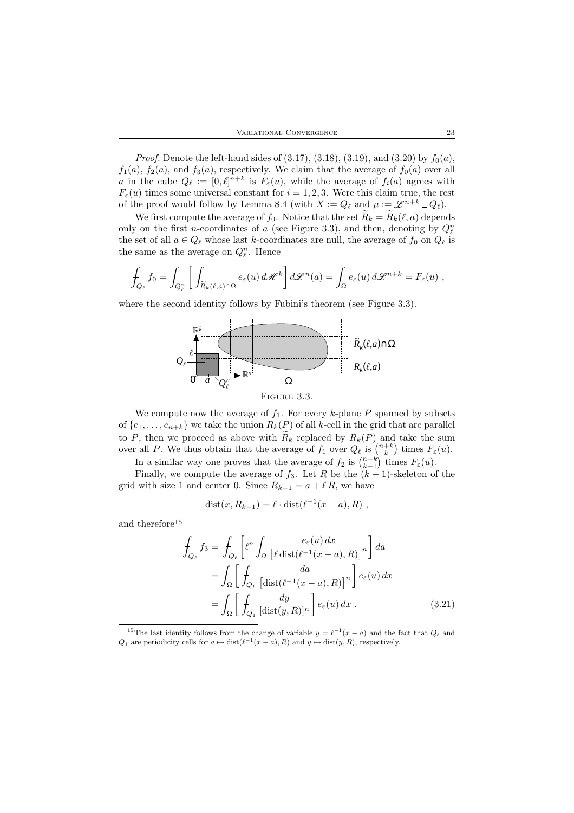*Proof.* Denote the left-hand sides of  $(3.17)$ ,  $(3.18)$ ,  $(3.19)$ , and  $(3.20)$  by  $f_0(a)$ ,  $f_1(a)$ ,  $f_2(a)$ , and  $f_3(a)$ , respectively. We claim that the average of  $f_0(a)$  over all a in the cube  $Q_{\ell} := [0, \ell]^{n+k}$  is  $F_{\varepsilon}(u)$ , while the average of  $f_i(a)$  agrees with  $F_{\varepsilon}(u)$  times some universal constant for  $i = 1, 2, 3$ . Were this claim true, the rest of the proof would follow by Lemma 8.4 (with  $X := Q_\ell$  and  $\mu := \mathscr{L}^{n+k} \mathsf{L}\, Q_\ell).$ 

We first compute the average of  $f_0$ . Notice that the set  $\widetilde{R}_k = \widetilde{R}_k(\ell, a)$  depends only on the first *n*-coordinates of a (see Figure 3.3), and then, denoting by  $Q_{\ell}^{n}$ the set of all  $a \in Q_\ell$  whose last k-coordinates are null, the average of  $f_0$  on  $Q_\ell$  is the same as the average on  $Q_\ell^n$ . Hence

$$
\int_{Q_{\ell}} f_0 = \int_{Q_{\ell}^n} \left[ \int_{\widetilde{R}_k(\ell,a)\cap\Omega} e_{\varepsilon}(u) d\mathscr{H}^k \right] d\mathscr{L}^n(a) = \int_{\Omega} e_{\varepsilon}(u) d\mathscr{L}^{n+k} = F_{\varepsilon}(u) ,
$$

where the second identity follows by Fubini's theorem (see Figure 3.3).



FIGURE 3.3.

We compute now the average of  $f_1$ . For every k-plane P spanned by subsets of  $\{e_1, \ldots, e_{n+k}\}$  we take the union  $R_k(P)$  of all k-cell in the grid that are parallel to P, then we proceed as above with  $R_k$  replaced by  $R_k(P)$  and take the sum over all P. We thus obtain that the average of  $f_1$  over  $Q_\ell$  is  $\binom{n+k}{k}$  times  $F_\varepsilon(u)$ .

In a similar way one proves that the average of  $f_2$  is  $\binom{n+k}{k-1}$  times  $F_\varepsilon(u)$ .

Finally, we compute the average of  $f_3$ . Let R be the  $(k-1)$ -skeleton of the grid with size 1 and center 0. Since  $R_{k-1} = a + \ell R$ , we have

$$
dist(x, R_{k-1}) = \ell \cdot dist(\ell^{-1}(x - a), R) ,
$$

and therefore<sup>15</sup>

$$
\int_{Q_{\ell}} f_3 = \int_{Q_{\ell}} \left[ \ell^n \int_{\Omega} \frac{e_{\varepsilon}(u) dx}{\left[ \ell \operatorname{dist}(\ell^{-1}(x-a), R) \right]^n} \right] da
$$
\n
$$
= \int_{\Omega} \left[ \int_{Q_{\ell}} \frac{da}{\left[ \operatorname{dist}(\ell^{-1}(x-a), R) \right]^n} \right] e_{\varepsilon}(u) dx
$$
\n
$$
= \int_{\Omega} \left[ \int_{Q_1} \frac{dy}{\left[ \operatorname{dist}(y, R) \right]^n} \right] e_{\varepsilon}(u) dx . \tag{3.21}
$$

<sup>&</sup>lt;sup>15</sup>The last identity follows from the change of variable  $y = \ell^{-1}(x - a)$  and the fact that  $Q_{\ell}$  and  $Q_1$  are periodicity cells for  $a \mapsto \text{dist}(\ell^{-1}(x-a), R)$  and  $y \mapsto \text{dist}(y, R)$ , respectively.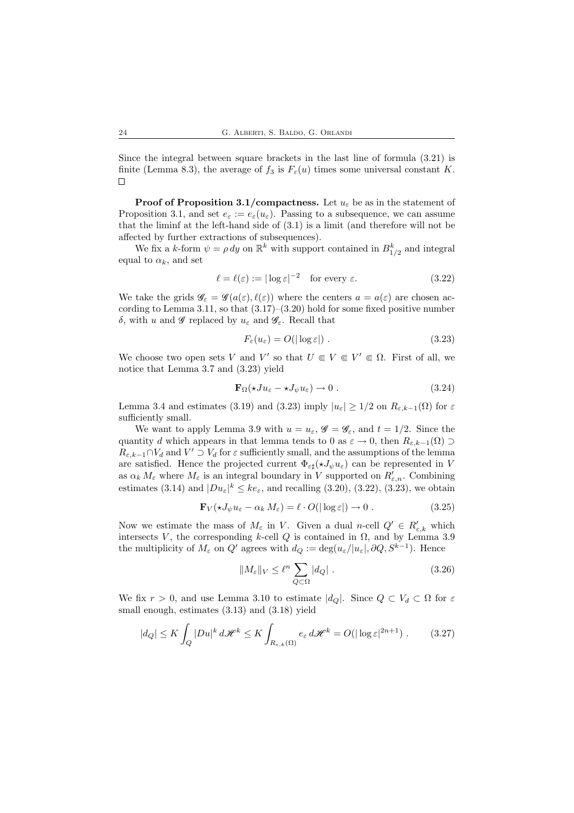Since the integral between square brackets in the last line of formula (3.21) is finite (Lemma 8.3), the average of  $f_3$  is  $F_{\varepsilon}(u)$  times some universal constant K.  $\Box$ 

**Proof of Proposition 3.1/compactness.** Let  $u_{\varepsilon}$  be as in the statement of Proposition 3.1, and set  $e_{\varepsilon} := e_{\varepsilon}(u_{\varepsilon})$ . Passing to a subsequence, we can assume that the liminf at the left-hand side of (3.1) is a limit (and therefore will not be affected by further extractions of subsequences).

We fix a k-form  $\psi = \rho \, dy$  on  $\mathbb{R}^k$  with support contained in  $B_{1/2}^k$  and integral equal to  $\alpha_k$ , and set

$$
\ell = \ell(\varepsilon) := |\log \varepsilon|^{-2} \quad \text{for every } \varepsilon. \tag{3.22}
$$

We take the grids  $\mathscr{G}_{\varepsilon} = \mathscr{G}(a(\varepsilon), \ell(\varepsilon))$  where the centers  $a = a(\varepsilon)$  are chosen according to Lemma 3.11, so that  $(3.17)$ – $(3.20)$  hold for some fixed positive number δ, with *u* and *G* replaced by  $u_{\varepsilon}$  and  $\mathscr{G}_{\varepsilon}$ . Recall that

$$
F_{\varepsilon}(u_{\varepsilon}) = O(|\log \varepsilon|) \tag{3.23}
$$

We choose two open sets V and V' so that  $U \in V \in V' \in \Omega$ . First of all, we notice that Lemma 3.7 and (3.23) yield

$$
\mathbf{F}_{\Omega}(\star Ju_{\varepsilon} - \star J_{\psi} u_{\varepsilon}) \to 0. \tag{3.24}
$$

Lemma 3.4 and estimates (3.19) and (3.23) imply  $|u_{\varepsilon}| \geq 1/2$  on  $R_{\varepsilon,k-1}(\Omega)$  for  $\varepsilon$ sufficiently small.

We want to apply Lemma 3.9 with  $u = u_{\varepsilon}$ ,  $\mathscr{G} = \mathscr{G}_{\varepsilon}$ , and  $t = 1/2$ . Since the quantity d which appears in that lemma tends to 0 as  $\varepsilon \to 0$ , then  $R_{\varepsilon k-1}(\Omega) \supset$  $R_{\varepsilon,k-1}\cap V_d$  and  $V'\supset V_d$  for  $\varepsilon$  sufficiently small, and the assumptions of the lemma are satisfied. Hence the projected current  $\Phi_{\varepsilon\sharp}(\star J_{\psi}u_{\varepsilon})$  can be represented in V as  $\alpha_k M_\varepsilon$  where  $M_\varepsilon$  is an integral boundary in V supported on  $R'_{\varepsilon,n}$ . Combining estimates (3.14) and  $|Du_{\varepsilon}|^k \leq ke_{\varepsilon}$ , and recalling (3.20), (3.22), (3.23), we obtain

$$
\mathbf{F}_V(\star J_\psi u_\varepsilon - \alpha_k M_\varepsilon) = \ell \cdot O(|\log \varepsilon|) \to 0. \tag{3.25}
$$

Now we estimate the mass of  $M_{\varepsilon}$  in V. Given a dual n-cell  $Q' \in R'_{\varepsilon,k}$  which intersects V, the corresponding k-cell Q is contained in  $\Omega$ , and by Lemma 3.9 the multiplicity of  $M_{\varepsilon}$  on  $Q'$  agrees with  $d_Q := \deg(u_{\varepsilon}/|u_{\varepsilon}|, \partial Q, S^{k-1})$ . Hence

$$
||M_{\varepsilon}||_{V} \leq \ell^{n} \sum_{Q \subset \Omega} |d_{Q}|.
$$
 (3.26)

We fix  $r > 0$ , and use Lemma 3.10 to estimate  $|d_Q|$ . Since  $Q \subset V_d \subset \Omega$  for  $\varepsilon$ small enough, estimates (3.13) and (3.18) yield

$$
|d_Q| \le K \int_Q |Du|^k \, d\mathscr{H}^k \le K \int_{R_{\varepsilon,k}(\Omega)} e_{\varepsilon} \, d\mathscr{H}^k = O(|\log \varepsilon|^{2n+1}).\tag{3.27}
$$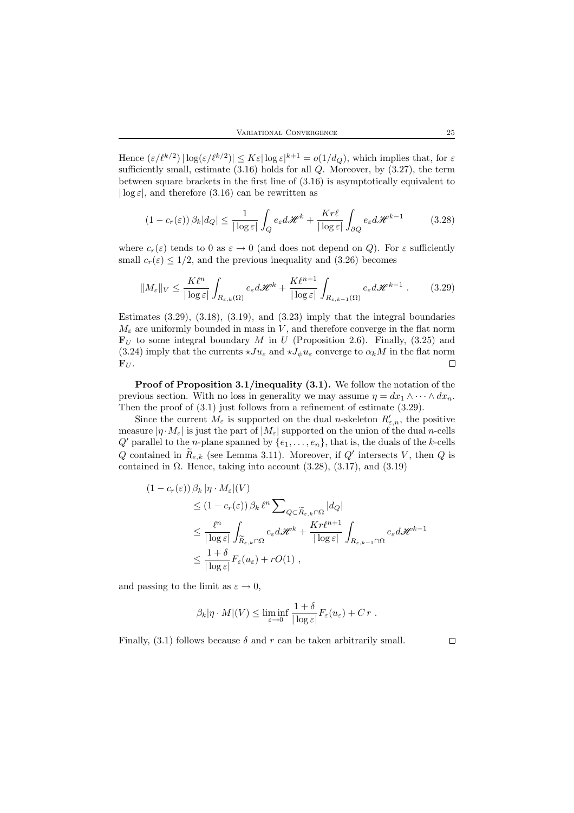Hence  $(\varepsilon/\ell^{k/2}) |\log(\varepsilon/\ell^{k/2})| \le K \varepsilon |\log \varepsilon|^{k+1} = o(1/d_Q)$ , which implies that, for  $\varepsilon$ sufficiently small, estimate  $(3.16)$  holds for all  $Q$ . Moreover, by  $(3.27)$ , the term between square brackets in the first line of (3.16) is asymptotically equivalent to  $|\log \varepsilon|$ , and therefore (3.16) can be rewritten as

$$
(1 - c_r(\varepsilon)) \beta_k |d_Q| \le \frac{1}{|\log \varepsilon|} \int_Q e_\varepsilon d\mathscr{H}^k + \frac{Kr\ell}{|\log \varepsilon|} \int_{\partial Q} e_\varepsilon d\mathscr{H}^{k-1}
$$
(3.28)

where  $c_r(\varepsilon)$  tends to 0 as  $\varepsilon \to 0$  (and does not depend on Q). For  $\varepsilon$  sufficiently small  $c_r(\varepsilon) \leq 1/2$ , and the previous inequality and (3.26) becomes

$$
||M_{\varepsilon}||_{V} \le \frac{K\ell^{n}}{|\log \varepsilon|} \int_{R_{\varepsilon,k}(\Omega)} e_{\varepsilon} d\mathscr{H}^{k} + \frac{K\ell^{n+1}}{|\log \varepsilon|} \int_{R_{\varepsilon,k-1}(\Omega)} e_{\varepsilon} d\mathscr{H}^{k-1} . \tag{3.29}
$$

Estimates  $(3.29)$ ,  $(3.18)$ ,  $(3.19)$ , and  $(3.23)$  imply that the integral boundaries  $M_{\varepsilon}$  are uniformly bounded in mass in V, and therefore converge in the flat norm  $\mathbf{F}_U$  to some integral boundary M in U (Proposition 2.6). Finally, (3.25) and (3.24) imply that the currents  $\star Ju_{\varepsilon}$  and  $\star J_{\psi}u_{\varepsilon}$  converge to  $\alpha_k M$  in the flat norm  ${\bf F}_U$ .  $\Box$ 

Proof of Proposition 3.1/inequality (3.1). We follow the notation of the previous section. With no loss in generality we may assume  $\eta = dx_1 \wedge \cdots \wedge dx_n$ . Then the proof of (3.1) just follows from a refinement of estimate (3.29).

Since the current  $M_{\varepsilon}$  is supported on the dual *n*-skeleton  $R'_{\varepsilon,n}$ , the positive measure  $|\eta \cdot M_{\varepsilon}|$  is just the part of  $|M_{\varepsilon}|$  supported on the union of the dual n-cells  $Q'$  parallel to the *n*-plane spanned by  $\{e_1, \ldots, e_n\}$ , that is, the duals of the *k*-cells Q contained in  $\tilde{R}_{\varepsilon,k}$  (see Lemma 3.11). Moreover, if Q' intersects V, then Q is contained in  $\Omega$ . Hence, taking into account (3.28), (3.17), and (3.19)

$$
(1 - c_r(\varepsilon)) \beta_k |\eta \cdot M_{\varepsilon}|(V)
$$
  
\n
$$
\leq (1 - c_r(\varepsilon)) \beta_k \ell^n \sum_{Q \subset \widetilde{R}_{\varepsilon,k} \cap \Omega} |d_Q|
$$
  
\n
$$
\leq \frac{\ell^n}{|\log \varepsilon|} \int_{\widetilde{R}_{\varepsilon,k} \cap \Omega} e_{\varepsilon} d\mathcal{H}^k + \frac{Kr\ell^{n+1}}{|\log \varepsilon|} \int_{R_{\varepsilon,k-1} \cap \Omega} e_{\varepsilon} d\mathcal{H}^{k-1}
$$
  
\n
$$
\leq \frac{1+\delta}{|\log \varepsilon|} F_{\varepsilon}(u_{\varepsilon}) + rO(1),
$$

and passing to the limit as  $\varepsilon \to 0$ ,

$$
\beta_k |\eta \cdot M|(V) \le \liminf_{\varepsilon \to 0} \frac{1+\delta}{|\log \varepsilon|} F_{\varepsilon}(u_{\varepsilon}) + C r.
$$

Finally, (3.1) follows because  $\delta$  and r can be taken arbitrarily small.

 $\Box$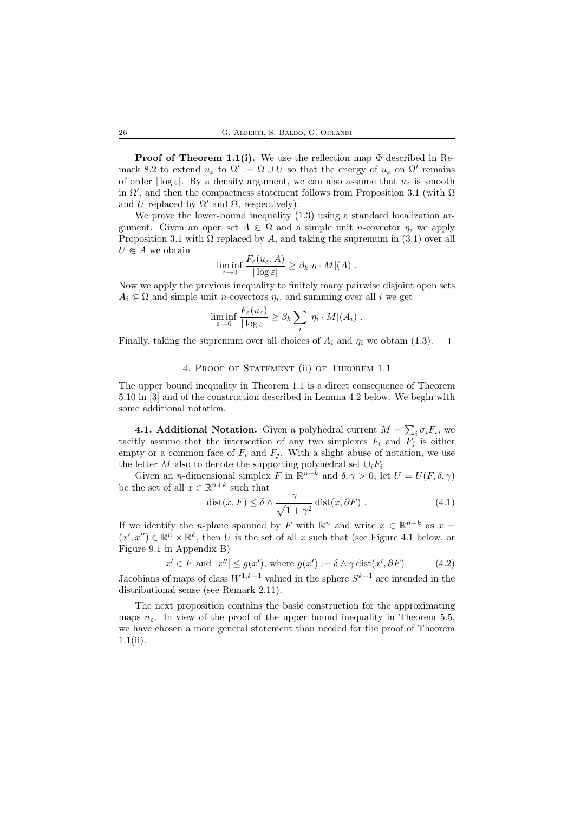**Proof of Theorem 1.1(i).** We use the reflection map  $\Phi$  described in Remark 8.2 to extend  $u_{\varepsilon}$  to  $\Omega' := \Omega \cup U$  so that the energy of  $u_{\varepsilon}$  on  $\Omega'$  remains of order  $|\log \varepsilon|$ . By a density argument, we can also assume that  $u_{\varepsilon}$  is smooth in  $\Omega'$ , and then the compactness statement follows from Proposition 3.1 (with  $\Omega$ ) and U replaced by  $\Omega'$  and  $\Omega$ , respectively).

We prove the lower-bound inequality  $(1.3)$  using a standard localization argument. Given an open set  $A \in \Omega$  and a simple unit *n*-covector *n*, we apply Proposition 3.1 with  $\Omega$  replaced by A, and taking the supremum in (3.1) over all  $U \in A$  we obtain

$$
\liminf_{\varepsilon \to 0} \frac{F_{\varepsilon}(u_{\varepsilon}, A)}{|\log \varepsilon|} \geq \beta_k |\eta \cdot M|(A) .
$$

Now we apply the previous inequality to finitely many pairwise disjoint open sets  $A_i \in \Omega$  and simple unit *n*-covectors  $\eta_i$ , and summing over all i we get

$$
\liminf_{\varepsilon \to 0} \frac{F_{\varepsilon}(u_{\varepsilon})}{|\log \varepsilon|} \geq \beta_k \sum_i |\eta_i \cdot M|(A_i) .
$$

Finally, taking the supremum over all choices of  $A_i$  and  $\eta_i$  we obtain (1.3).  $\Box$ 

#### 4. Proof of Statement (ii) of Theorem 1.1

The upper bound inequality in Theorem 1.1 is a direct consequence of Theorem 5.10 in [3] and of the construction described in Lemma 4.2 below. We begin with some additional notation.

**4.1. Additional Notation.** Given a polyhedral current  $M = \sum_i \sigma_i F_i$ , we tacitly assume that the intersection of any two simplexes  $F_i$  and  $F_j$  is either empty or a common face of  $F_i$  and  $F_j$ . With a slight abuse of notation, we use the letter M also to denote the supporting polyhedral set  $\cup_i F_i$ .

Given an *n*-dimensional simplex F in  $\mathbb{R}^{n+k}$  and  $\delta, \gamma > 0$ , let  $U = U(F, \delta, \gamma)$ be the set of all  $x \in \mathbb{R}^{n+k}$  such that

$$
dist(x, F) \le \delta \wedge \frac{\gamma}{\sqrt{1 + \gamma^2}} \operatorname{dist}(x, \partial F) . \tag{4.1}
$$

If we identify the *n*-plane spanned by F with  $\mathbb{R}^n$  and write  $x \in \mathbb{R}^{n+k}$  as  $x =$  $(x', x'') \in \mathbb{R}^n \times \mathbb{R}^k$ , then U is the set of all x such that (see Figure 4.1 below, or Figure 9.1 in Appendix B)

$$
x' \in F \text{ and } |x''| \le g(x'), \text{ where } g(x') := \delta \wedge \gamma \text{ dist}(x', \partial F). \tag{4.2}
$$

Jacobians of maps of class  $W^{1,k-1}$  valued in the sphere  $S^{k-1}$  are intended in the distributional sense (see Remark 2.11).

The next proposition contains the basic construction for the approximating maps  $u_{\varepsilon}$ . In view of the proof of the upper bound inequality in Theorem 5.5, we have chosen a more general statement than needed for the proof of Theorem 1.1(ii).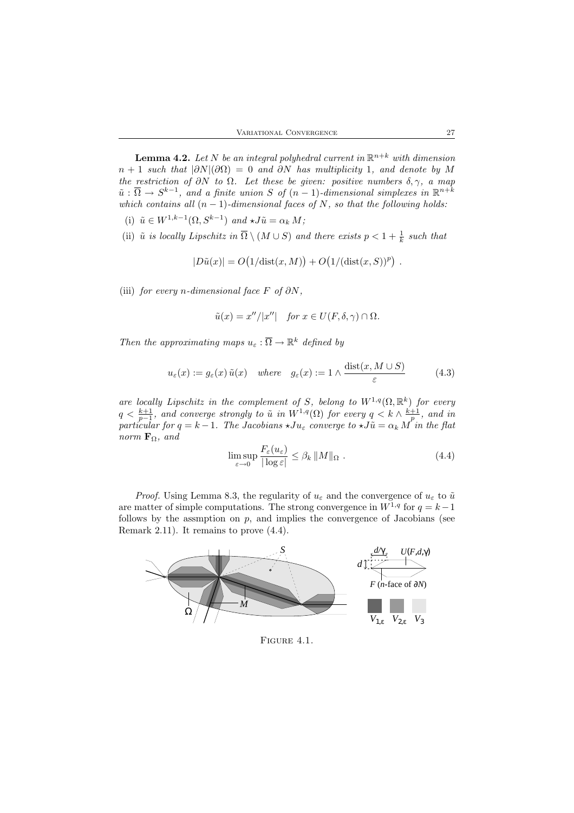**Lemma 4.2.** Let N be an integral polyhedral current in  $\mathbb{R}^{n+k}$  with dimension  $n + 1$  such that  $|\partial N|(\partial \Omega) = 0$  and  $\partial N$  has multiplicity 1, and denote by M the restriction of  $\partial N$  to  $\Omega$ . Let these be given: positive numbers  $\delta, \gamma$ , a map  $\tilde{u}: \overline{\Omega} \to S^{k-1}$ , and a finite union S of  $(n-1)$ -dimensional simplexes in  $\mathbb{R}^{n+k}$ which contains all  $(n - 1)$ -dimensional faces of N, so that the following holds:

- (i)  $\tilde{u} \in W^{1,k-1}(\Omega, S^{k-1})$  and  $\star J\tilde{u} = \alpha_k M;$
- (ii)  $\tilde{u}$  is locally Lipschitz in  $\overline{\Omega} \setminus (M \cup S)$  and there exists  $p < 1 + \frac{1}{k}$  such that

$$
|D\tilde{u}(x)| = O\big(1/\text{dist}(x,M)\big) + O\big(1/(\text{dist}(x,S))^p\big) .
$$

(iii) for every n-dimensional face F of  $\partial N$ ,

$$
\tilde{u}(x) = x''/|x''|
$$
 for  $x \in U(F, \delta, \gamma) \cap \Omega$ .

Then the approximating maps  $u_{\varepsilon} : \overline{\Omega} \to \mathbb{R}^k$  defined by

$$
u_{\varepsilon}(x) := g_{\varepsilon}(x) \tilde{u}(x) \quad where \quad g_{\varepsilon}(x) := 1 \wedge \frac{\text{dist}(x, M \cup S)}{\varepsilon} \tag{4.3}
$$

are locally Lipschitz in the complement of S, belong to  $W^{1,q}(\Omega,\mathbb{R}^k)$  for every  $q < \frac{k+1}{p-1}$ , and converge strongly to  $\tilde{u}$  in  $W^{1,q}(\Omega)$  for every  $q < k \wedge \frac{k+1}{p}$ , and in particular for  $q = k - 1$ . The Jacobians  $\star Ju_{\varepsilon}$  converge to  $\star J\tilde{u} = \alpha_k M$  in the flat norm  $\mathbf{F}_{\Omega}$ , and

$$
\limsup_{\varepsilon \to 0} \frac{F_{\varepsilon}(u_{\varepsilon})}{|\log \varepsilon|} \leq \beta_k \, \|M\|_{\Omega} \, . \tag{4.4}
$$

*Proof.* Using Lemma 8.3, the regularity of  $u_{\varepsilon}$  and the convergence of  $u_{\varepsilon}$  to  $\tilde{u}$ are matter of simple computations. The strong convergence in  $W^{1,q}$  for  $q = k-1$ follows by the assmption on  $p$ , and implies the convergence of Jacobians (see Remark 2.11). It remains to prove (4.4).



FIGURE 4.1.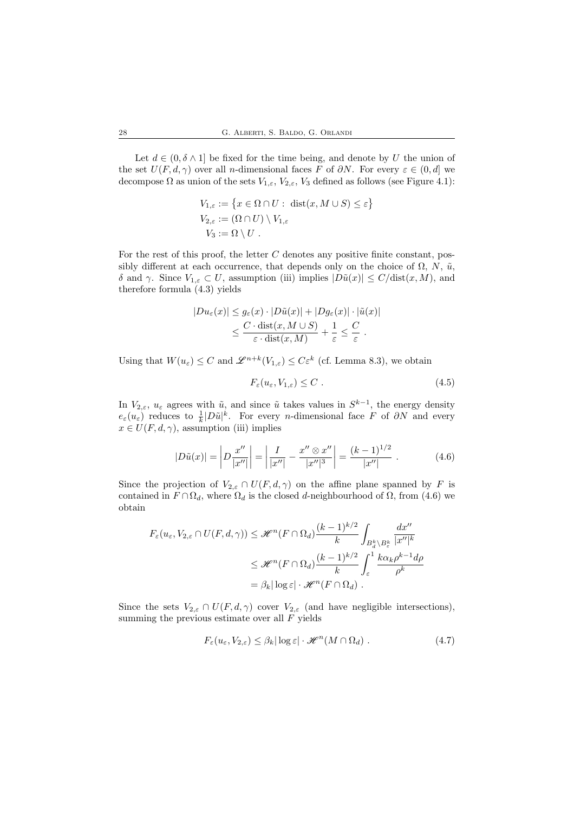Let  $d \in (0, \delta \wedge 1]$  be fixed for the time being, and denote by U the union of the set  $U(F, d, \gamma)$  over all n-dimensional faces F of  $\partial N$ . For every  $\varepsilon \in (0, d]$  we decompose  $\Omega$  as union of the sets  $V_{1,\varepsilon}$ ,  $V_{2,\varepsilon}$ ,  $V_3$  defined as follows (see Figure 4.1):

$$
V_{1,\varepsilon} := \{ x \in \Omega \cap U : \operatorname{dist}(x, M \cup S) \le \varepsilon \}
$$
  
\n
$$
V_{2,\varepsilon} := (\Omega \cap U) \setminus V_{1,\varepsilon}
$$
  
\n
$$
V_3 := \Omega \setminus U.
$$

For the rest of this proof, the letter  $C$  denotes any positive finite constant, possibly different at each occurrence, that depends only on the choice of  $\Omega$ , N,  $\tilde{u}$ , δ and γ. Since  $V_{1,\varepsilon} \subset U$ , assumption (iii) implies  $|D\tilde{u}(x)| \leq C/\text{dist}(x, M)$ , and therefore formula (4.3) yields

$$
|Du_{\varepsilon}(x)| \le g_{\varepsilon}(x) \cdot |D\tilde{u}(x)| + |Dg_{\varepsilon}(x)| \cdot |\tilde{u}(x)|
$$
  

$$
\le \frac{C \cdot \text{dist}(x, M \cup S)}{\varepsilon \cdot \text{dist}(x, M)} + \frac{1}{\varepsilon} \le \frac{C}{\varepsilon}.
$$

Using that  $W(u_{\varepsilon}) \leq C$  and  $\mathscr{L}^{n+k}(V_{1,\varepsilon}) \leq C\varepsilon^k$  (cf. Lemma 8.3), we obtain

$$
F_{\varepsilon}(u_{\varepsilon}, V_{1,\varepsilon}) \leq C \tag{4.5}
$$

In  $V_{2,\varepsilon}$ ,  $u_{\varepsilon}$  agrees with  $\tilde{u}$ , and since  $\tilde{u}$  takes values in  $S^{k-1}$ , the energy density  $e_{\varepsilon}(u_{\varepsilon})$  reduces to  $\frac{1}{k}|D\tilde{u}|^{k}$ . For every *n*-dimensional face F of  $\partial N$  and every  $x \in U(F, d, \gamma)$ , assumption (iii) implies

$$
|D\tilde{u}(x)| = \left| D \frac{x''}{|x''|} \right| = \left| \frac{I}{|x''|} - \frac{x'' \otimes x''}{|x''|^3} \right| = \frac{(k-1)^{1/2}}{|x''|} . \tag{4.6}
$$

Since the projection of  $V_{2,\varepsilon} \cap U(F,d,\gamma)$  on the affine plane spanned by F is contained in  $F \cap \Omega_d$ , where  $\Omega_d$  is the closed d-neighbourhood of  $\Omega$ , from (4.6) we obtain

$$
F_{\varepsilon}(u_{\varepsilon}, V_{2,\varepsilon} \cap U(F, d, \gamma)) \leq \mathscr{H}^{n}(F \cap \Omega_{d}) \frac{(k-1)^{k/2}}{k} \int_{B_{d}^{k} \setminus B_{\varepsilon}^{k}} \frac{dx''}{|x''|^{k}}
$$
  

$$
\leq \mathscr{H}^{n}(F \cap \Omega_{d}) \frac{(k-1)^{k/2}}{k} \int_{\varepsilon}^{1} \frac{k \alpha_{k} \rho^{k-1} d\rho}{\rho^{k}}
$$
  

$$
= \beta_{k} |\log \varepsilon| \cdot \mathscr{H}^{n}(F \cap \Omega_{d}).
$$

Since the sets  $V_{2,\varepsilon} \cap U(F,d,\gamma)$  cover  $V_{2,\varepsilon}$  (and have negligible intersections), summing the previous estimate over all  $F$  yields

$$
F_{\varepsilon}(u_{\varepsilon}, V_{2,\varepsilon}) \leq \beta_k |\log \varepsilon| \cdot \mathcal{H}^n(M \cap \Omega_d) . \tag{4.7}
$$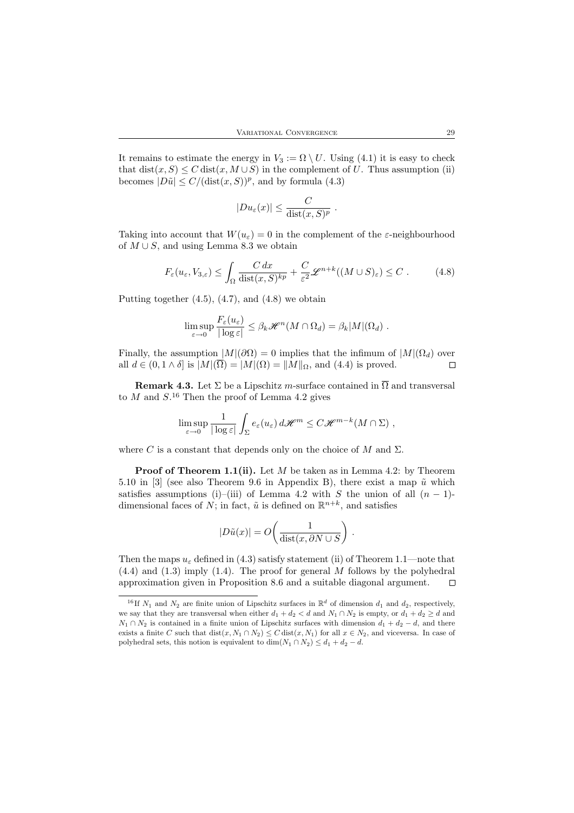It remains to estimate the energy in  $V_3 := \Omega \setminus U$ . Using (4.1) it is easy to check that  $dist(x, S) \leq C dist(x, M \cup S)$  in the complement of U. Thus assumption (ii) becomes  $|D\tilde{u}| \le C/(\text{dist}(x, S))^p$ , and by formula (4.3)

$$
|Du_{\varepsilon}(x)| \leq \frac{C}{\text{dist}(x, S)^p}.
$$

Taking into account that  $W(u_{\varepsilon}) = 0$  in the complement of the  $\varepsilon$ -neighbourhood of  $M \cup S$ , and using Lemma 8.3 we obtain

$$
F_{\varepsilon}(u_{\varepsilon}, V_{3,\varepsilon}) \le \int_{\Omega} \frac{C dx}{\text{dist}(x, S)^{kp}} + \frac{C}{\varepsilon^2} \mathcal{L}^{n+k}((M \cup S)_{\varepsilon}) \le C.
$$
 (4.8)

Putting together  $(4.5)$ ,  $(4.7)$ , and  $(4.8)$  we obtain

$$
\limsup_{\varepsilon \to 0} \frac{F_{\varepsilon}(u_{\varepsilon})}{|\log \varepsilon|} \leq \beta_k \mathscr{H}^n(M \cap \Omega_d) = \beta_k |M|(\Omega_d) .
$$

Finally, the assumption  $|M|(\partial \Omega) = 0$  implies that the infimum of  $|M|(\Omega_d)$  over all  $d \in (0, 1 \wedge \delta]$  is  $|M|(\overline{\Omega}) = |M|(\Omega) = ||M||_{\Omega}$ , and (4.4) is proved. all  $d \in (0, 1 \wedge \delta]$  is  $|M|(\overline{\Omega}) = |M|(\Omega) = ||M||_{\Omega}$ , and (4.4) is proved.

**Remark 4.3.** Let  $\Sigma$  be a Lipschitz m-surface contained in  $\overline{\Omega}$  and transversal to  $M$  and  $S^{16}$  Then the proof of Lemma 4.2 gives

$$
\limsup_{\varepsilon \to 0} \frac{1}{|\log \varepsilon|} \int_{\Sigma} e_{\varepsilon}(u_{\varepsilon}) d\mathscr{H}^m \le C \mathscr{H}^{m-k}(M \cap \Sigma) ,
$$

where C is a constant that depends only on the choice of M and  $\Sigma$ .

**Proof of Theorem 1.1(ii).** Let M be taken as in Lemma 4.2: by Theorem 5.10 in [3] (see also Theorem 9.6 in Appendix B), there exist a map  $\tilde{u}$  which satisfies assumptions (i)–(iii) of Lemma 4.2 with S the union of all  $(n - 1)$ dimensional faces of N; in fact,  $\tilde{u}$  is defined on  $\mathbb{R}^{n+k}$ , and satisfies

$$
|D\tilde{u}(x)| = O\!\left(\frac{1}{\text{dist}(x, \partial N \cup S)}\right).
$$

Then the maps  $u_{\varepsilon}$  defined in (4.3) satisfy statement (ii) of Theorem 1.1—note that (4.4) and (1.3) imply (1.4). The proof for general M follows by the polyhedral approximation given in Proposition 8.6 and a suitable diagonal argument.  $\Box$ 

<sup>&</sup>lt;sup>16</sup>If  $N_1$  and  $N_2$  are finite union of Lipschitz surfaces in  $\mathbb{R}^d$  of dimension  $d_1$  and  $d_2$ , respectively, we say that they are transversal when either  $d_1 + d_2 < d$  and  $N_1 \cap N_2$  is empty, or  $d_1 + d_2 \geq d$  and  $N_1 \cap N_2$  is contained in a finite union of Lipschitz surfaces with dimension  $d_1 + d_2 - d$ , and there exists a finite C such that  $dist(x, N_1 \cap N_2) \leq C \text{dist}(x, N_1)$  for all  $x \in N_2$ , and viceversa. In case of polyhedral sets, this notion is equivalent to  $\dim(N_1 \cap N_2) \leq d_1 + d_2 - d$ .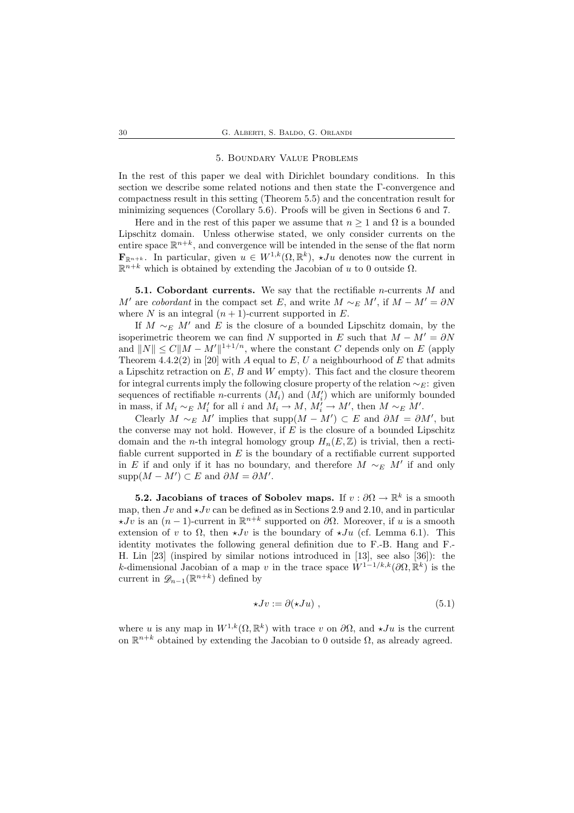#### 5. Boundary Value Problems

In the rest of this paper we deal with Dirichlet boundary conditions. In this section we describe some related notions and then state the Γ-convergence and compactness result in this setting (Theorem 5.5) and the concentration result for minimizing sequences (Corollary 5.6). Proofs will be given in Sections 6 and 7.

Here and in the rest of this paper we assume that  $n \geq 1$  and  $\Omega$  is a bounded Lipschitz domain. Unless otherwise stated, we only consider currents on the entire space  $\mathbb{R}^{n+k}$ , and convergence will be intended in the sense of the flat norm  $\mathbf{F}_{\mathbb{R}^{n+k}}$ . In particular, given  $u \in W^{1,k}(\Omega,\mathbb{R}^k)$ ,  $\star Ju$  denotes now the current in  $\mathbb{R}^{n+k}$  which is obtained by extending the Jacobian of u to 0 outside  $\Omega$ .

**5.1. Cobordant currents.** We say that the rectifiable *n*-currents  $M$  and M' are *cobordant* in the compact set E, and write  $M \sim_E M'$ , if  $M - M' = \partial N$ where N is an integral  $(n + 1)$ -current supported in E.

If  $M \sim_E M'$  and E is the closure of a bounded Lipschitz domain, by the isoperimetric theorem we can find N supported in E such that  $M - M' = \partial N$ and  $||N|| \leq C||M - M'||^{1+1/n}$ , where the constant C depends only on E (apply Theorem 4.4.2(2) in [20] with A equal to E, U a neighbourhood of E that admits a Lipschitz retraction on  $E, B$  and  $W$  empty). This fact and the closure theorem for integral currents imply the following closure property of the relation  $\sim_E$ : given sequences of rectifiable *n*-currents  $(M_i)$  and  $(M'_i)$  which are uniformly bounded in mass, if  $M_i \sim_E M'_i$  for all i and  $M_i \to M$ ,  $M'_i \to M'$ , then  $M \sim_E M'$ .

Clearly  $M \sim_E M'$  implies that supp $(M - M') \subset E$  and  $\partial M = \partial M'$ , but the converse may not hold. However, if  $E$  is the closure of a bounded Lipschitz domain and the *n*-th integral homology group  $H_n(E,\mathbb{Z})$  is trivial, then a rectifiable current supported in  $E$  is the boundary of a rectifiable current supported in E if and only if it has no boundary, and therefore  $M \sim_E M'$  if and only  $\mathrm{supp}(M-M')\subset E$  and  $\partial M=\partial M'.$ 

**5.2.** Jacobians of traces of Sobolev maps. If  $v : \partial\Omega \to \mathbb{R}^k$  is a smooth map, then  $Jv$  and  $\star Jv$  can be defined as in Sections 2.9 and 2.10, and in particular  $\star Jv$  is an  $(n-1)$ -current in  $\mathbb{R}^{n+k}$  supported on  $\partial\Omega$ . Moreover, if u is a smooth extension of v to  $\Omega$ , then  $\star Jv$  is the boundary of  $\star Ju$  (cf. Lemma 6.1). This identity motivates the following general definition due to F.-B. Hang and F.- H. Lin [23] (inspired by similar notions introduced in [13], see also [36]): the k-dimensional Jacobian of a map v in the trace space  $W^{1-1/k, k}(\partial\Omega, \mathbb{R}^k)$  is the current in  $\mathscr{D}_{n-1}(\mathbb{R}^{n+k})$  defined by

$$
\star Jv := \partial(\star Ju) \;, \tag{5.1}
$$

where u is any map in  $W^{1,k}(\Omega,\mathbb{R}^k)$  with trace v on  $\partial\Omega$ , and  $\star Ju$  is the current on  $\mathbb{R}^{n+k}$  obtained by extending the Jacobian to 0 outside  $\Omega$ , as already agreed.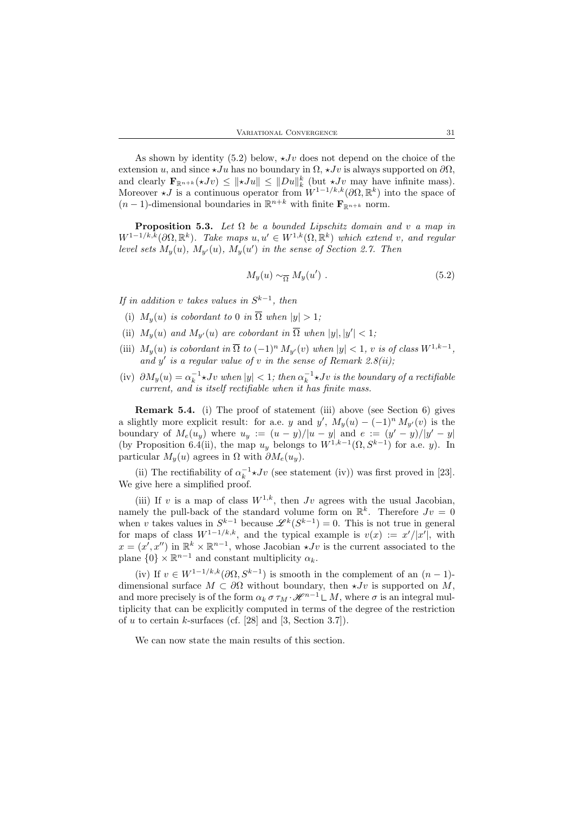As shown by identity (5.2) below,  $\star Jv$  does not depend on the choice of the extension u, and since  $\star Ju$  has no boundary in  $\Omega$ ,  $\star Jv$  is always supported on  $\partial\Omega$ , and clearly  $\mathbf{F}_{\mathbb{R}^{n+k}}(\star Jv) \leq ||\star Ju|| \leq ||Du||_k^k$  (but  $\star Jv$  may have infinite mass). Moreover  $\star J$  is a continuous operator from  $W^{1-1/k, k}(\partial\Omega, \mathbb{R}^k)$  into the space of  $(n-1)$ -dimensional boundaries in  $\mathbb{R}^{n+k}$  with finite  $\mathbf{F}_{\mathbb{R}^{n+k}}$  norm.

**Proposition 5.3.** Let  $\Omega$  be a bounded Lipschitz domain and v a map in  $W^{1-1/k,k}(\partial\Omega,\mathbb{R}^k)$ . Take maps  $u, u' \in W^{1,k}(\Omega,\mathbb{R}^k)$  which extend v, and regular level sets  $M_y(u)$ ,  $M_{y'}(u)$ ,  $M_y(u')$  in the sense of Section 2.7. Then

$$
M_y(u) \sim_{\overline{\Omega}} M_y(u') . \tag{5.2}
$$

If in addition v takes values in  $S^{k-1}$ , then

- (i)  $M_{\nu}(u)$  is cobordant to 0 in  $\overline{\Omega}$  when  $|y| > 1$ ;
- (ii)  $M_y(u)$  and  $M_{y'}(u)$  are cobordant in  $\overline{\Omega}$  when  $|y|, |y'| < 1$ ;
- (iii)  $M_y(u)$  is cobordant in  $\overline{\Omega}$  to  $(-1)^n M_{y'}(v)$  when  $|y| < 1$ , v is of class  $W^{1,k-1}$ , and  $y'$  is a regular value of v in the sense of Remark 2.8(ii);
- (iv)  $\partial M_y(u) = \alpha_k^{-1} \star Jv$  when  $|y| < 1$ ; then  $\alpha_k^{-1} \star Jv$  is the boundary of a rectifiable current, and is itself rectifiable when it has finite mass.

Remark 5.4. (i) The proof of statement (iii) above (see Section 6) gives a slightly more explicit result: for a.e. y and y',  $M_y(u) - (-1)^n M_{y'}(v)$  is the boundary of  $M_e(u_y)$  where  $u_y := (u - y)/|u - y|$  and  $e := (y' - y)/|y' - y|$ (by Proposition 6.4(ii), the map  $u_y$  belongs to  $W^{1,k-1}(\Omega, S^{k-1})$  for a.e. y). In particular  $M_y(u)$  agrees in  $\Omega$  with  $\partial M_e(u_u)$ .

(ii) The rectifiability of  $\alpha_k^{-1} \star Jv$  (see statement (iv)) was first proved in [23]. We give here a simplified proof.

(iii) If v is a map of class  $W^{1,k}$ , then Jv agrees with the usual Jacobian, namely the pull-back of the standard volume form on  $\mathbb{R}^k$ . Therefore  $Jv = 0$ when v takes values in  $S^{k-1}$  because  $\mathscr{L}^k(S^{k-1}) = 0$ . This is not true in general for maps of class  $W^{1-1/k, k}$ , and the typical example is  $v(x) := x'/|x'|$ , with  $x = (x', x'')$  in  $\mathbb{R}^k \times \mathbb{R}^{n-1}$ , whose Jacobian  $\star Jv$  is the current associated to the plane  $\{0\} \times \mathbb{R}^{n-1}$  and constant multiplicity  $\alpha_k$ .

(iv) If  $v \in W^{1-1/k,k}(\partial \Omega, S^{k-1})$  is smooth in the complement of an  $(n-1)$ dimensional surface  $M \subset \partial\Omega$  without boundary, then  $\star Jv$  is supported on M, and more precisely is of the form  $\alpha_k \sigma \tau_M \cdot \mathcal{H}^{n-1} \mathsf{L} M$ , where  $\sigma$  is an integral multiplicity that can be explicitly computed in terms of the degree of the restriction of u to certain k-surfaces (cf. [28] and [3, Section 3.7]).

We can now state the main results of this section.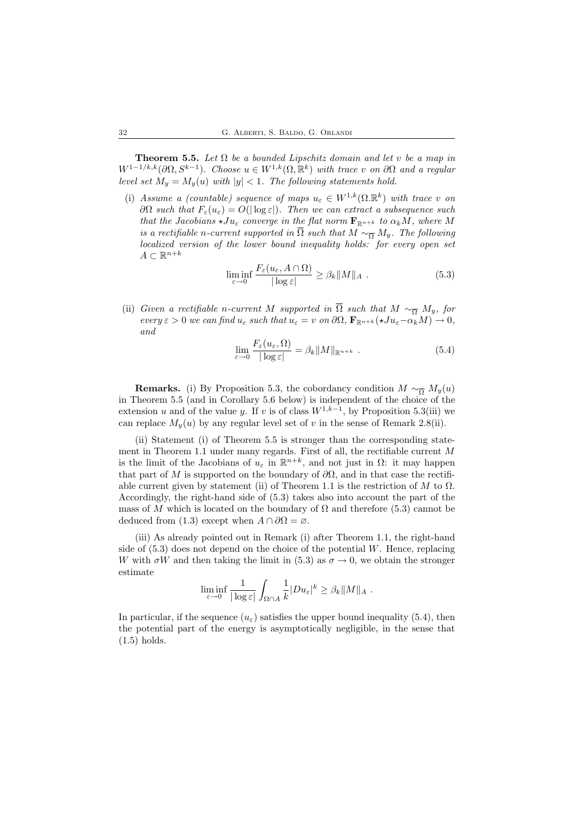**Theorem 5.5.** Let  $\Omega$  be a bounded Lipschitz domain and let v be a map in  $W^{1-1/k,k}(\partial\Omega, S^{k-1})$ . Choose  $u \in W^{1,k}(\Omega, \mathbb{R}^k)$  with trace v on  $\partial\Omega$  and a regular level set  $M_y = M_y(u)$  with  $|y| < 1$ . The following statements hold.

(i) Assume a (countable) sequence of maps  $u_{\varepsilon} \in W^{1,k}(\Omega,\mathbb{R}^k)$  with trace v on  $∂Ω such that F<sub>ε</sub>(u<sub>ε</sub>) = O($  | log  $ε$ ]. Then we can extract a subsequence such that the Jacobians  $\star Ju_{\varepsilon}$  converge in the flat norm  $\mathbf{F}_{\mathbb{R}^{n+k}}$  to  $\alpha_k M$ , where M is a rectifiable n-current supported in  $\overline{\Omega}$  such that  $M \sim_{\overline{\Omega}} M_y$ . The following localized version of the lower bound inequality holds: for every open set  $A \subset \mathbb{R}^{n+k}$ 

$$
\liminf_{\varepsilon \to 0} \frac{F_{\varepsilon}(u_{\varepsilon}, A \cap \Omega)}{|\log \varepsilon|} \ge \beta_k \|M\|_A . \tag{5.3}
$$

(ii) Given a rectifiable n-current M supported in  $\overline{\Omega}$  such that  $M \sim_{\overline{\Omega}} M_y$ , for every  $\varepsilon > 0$  we can find  $u_{\varepsilon}$  such that  $u_{\varepsilon} = v$  on  $\partial\Omega$ ,  $\mathbf{F}_{\mathbb{R}^{n+k}}(*Ju_{\varepsilon}-\alpha_k M) \to 0$ , and

$$
\lim_{\varepsilon \to 0} \frac{F_{\varepsilon}(u_{\varepsilon}, \Omega)}{|\log \varepsilon|} = \beta_k \|M\|_{\mathbb{R}^{n+k}} . \tag{5.4}
$$

**Remarks.** (i) By Proposition 5.3, the cobordancy condition  $M \sim_{\overline{O}} M_y(u)$ in Theorem 5.5 (and in Corollary 5.6 below) is independent of the choice of the extension u and of the value y. If v is of class  $W^{1,k-1}$ , by Proposition 5.3(iii) we can replace  $M_y(u)$  by any regular level set of v in the sense of Remark 2.8(ii).

(ii) Statement (i) of Theorem 5.5 is stronger than the corresponding statement in Theorem 1.1 under many regards. First of all, the rectifiable current M is the limit of the Jacobians of  $u_{\varepsilon}$  in  $\mathbb{R}^{n+k}$ , and not just in  $\Omega$ : it may happen that part of M is supported on the boundary of  $\partial\Omega$ , and in that case the rectifiable current given by statement (ii) of Theorem 1.1 is the restriction of  $M$  to  $\Omega$ . Accordingly, the right-hand side of (5.3) takes also into account the part of the mass of M which is located on the boundary of  $\Omega$  and therefore (5.3) cannot be deduced from (1.3) except when  $A \cap \partial\Omega = \emptyset$ .

(iii) As already pointed out in Remark (i) after Theorem 1.1, the right-hand side of  $(5.3)$  does not depend on the choice of the potential W. Hence, replacing W with  $\sigma W$  and then taking the limit in (5.3) as  $\sigma \to 0$ , we obtain the stronger estimate

$$
\liminf_{\varepsilon \to 0} \frac{1}{|\log \varepsilon|} \int_{\Omega \cap A} \frac{1}{k} |Du_{\varepsilon}|^k \geq \beta_k ||M||_A.
$$

In particular, if the sequence  $(u_{\varepsilon})$  satisfies the upper bound inequality (5.4), then the potential part of the energy is asymptotically negligible, in the sense that (1.5) holds.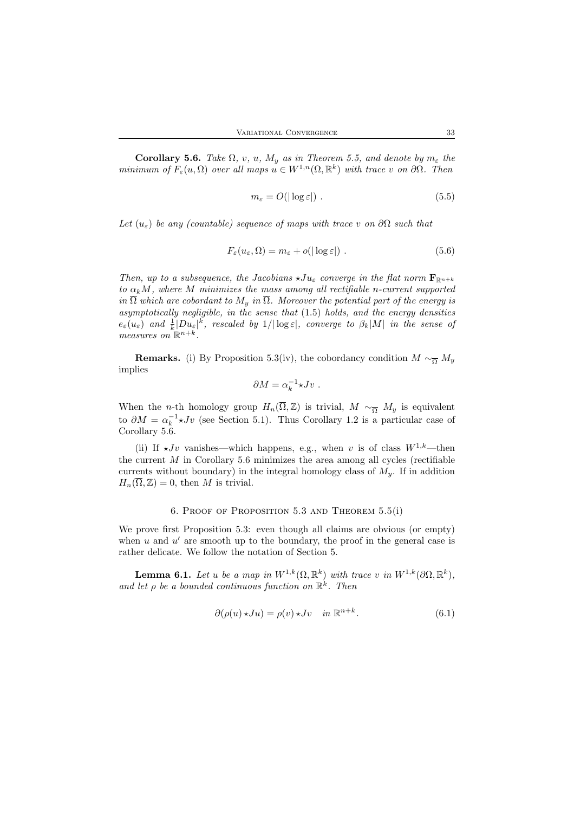**Corollary 5.6.** Take  $\Omega$ , v, u,  $M_y$  as in Theorem 5.5, and denote by  $m_{\varepsilon}$  the minimum of  $F_{\varepsilon}(u,\Omega)$  over all maps  $u \in W^{1,n}(\Omega,\mathbb{R}^k)$  with trace v on  $\partial\Omega$ . Then

$$
m_{\varepsilon} = O(|\log \varepsilon|) \tag{5.5}
$$

Let  $(u_{\varepsilon})$  be any (countable) sequence of maps with trace v on  $\partial\Omega$  such that

$$
F_{\varepsilon}(u_{\varepsilon},\Omega) = m_{\varepsilon} + o(|\log \varepsilon|) . \tag{5.6}
$$

Then, up to a subsequence, the Jacobians  $\star Ju_{\varepsilon}$  converge in the flat norm  $\mathbf{F}_{\mathbb{R}^{n+k}}$ to  $\alpha_k M$ , where M minimizes the mass among all rectifiable n-current supported in  $\overline{\Omega}$  which are cobordant to  $M_y$  in  $\overline{\Omega}$ . Moreover the potential part of the energy is asymptotically negligible, in the sense that (1.5) holds, and the energy densities  $e_{\varepsilon}(u_{\varepsilon})$  and  $\frac{1}{k}|Du_{\varepsilon}|^k$ , rescaled by  $1/|\log \varepsilon|$ , converge to  $\beta_k|M|$  in the sense of measures on  $\mathbb{R}^{n+k}$ .

**Remarks.** (i) By Proposition 5.3(iv), the cobordancy condition  $M \sim_{\overline{\Omega}} M_y$ implies

$$
\partial M = \alpha_k^{-1} {\star} J v \ .
$$

When the *n*-th homology group  $H_n(\overline{\Omega}, \mathbb{Z})$  is trivial,  $M \sim_{\overline{\Omega}} M_y$  is equivalent to  $\partial M = \alpha_k^{-1} \star Jv$  (see Section 5.1). Thus Corollary 1.2 is a particular case of Corollary 5.6.

(ii) If  $\star Jv$  vanishes—which happens, e.g., when v is of class  $W^{1,k}$ —then the current  $M$  in Corollary 5.6 minimizes the area among all cycles (rectifiable currents without boundary) in the integral homology class of  $M_y$ . If in addition  $H_n(\overline{\Omega}, \mathbb{Z}) = 0$ , then M is trivial.

#### 6. Proof of Proposition 5.3 and Theorem 5.5(i)

We prove first Proposition 5.3: even though all claims are obvious (or empty) when  $u$  and  $u'$  are smooth up to the boundary, the proof in the general case is rather delicate. We follow the notation of Section 5.

**Lemma 6.1.** Let u be a map in  $W^{1,k}(\Omega, \mathbb{R}^k)$  with trace v in  $W^{1,k}(\partial \Omega, \mathbb{R}^k)$ , and let  $\rho$  be a bounded continuous function on  $\mathbb{R}^k$ . Then

$$
\partial(\rho(u)\star Ju) = \rho(v)\star Jv \quad in \ \mathbb{R}^{n+k}.\tag{6.1}
$$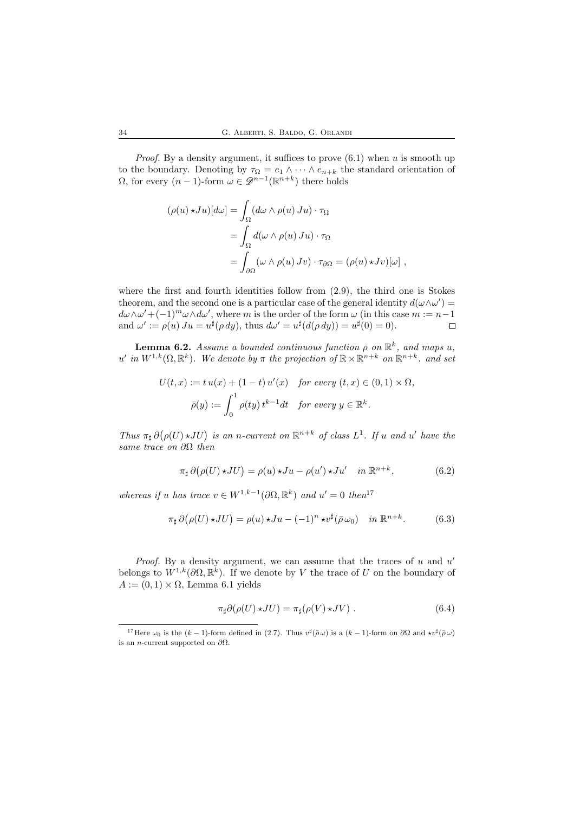*Proof.* By a density argument, it suffices to prove  $(6.1)$  when u is smooth up to the boundary. Denoting by  $\tau_{\Omega} = e_1 \wedge \cdots \wedge e_{n+k}$  the standard orientation of  $\Omega$ , for every  $(n-1)$ -form  $\omega \in \mathscr{D}^{n-1}(\mathbb{R}^{n+k})$  there holds

$$
(\rho(u) \star Ju)[d\omega] = \int_{\Omega} (d\omega \wedge \rho(u) Ju) \cdot \tau_{\Omega}
$$
  
= 
$$
\int_{\Omega} d(\omega \wedge \rho(u) Ju) \cdot \tau_{\Omega}
$$
  
= 
$$
\int_{\partial \Omega} (\omega \wedge \rho(u) Jv) \cdot \tau_{\partial \Omega} = (\rho(u) \star Jv)[\omega],
$$

where the first and fourth identities follow from  $(2.9)$ , the third one is Stokes theorem, and the second one is a particular case of the general identity  $d(\omega \wedge \omega') =$  $d\omega \wedge \omega' + (-1)^m \omega \wedge d\omega'$ , where m is the order of the form  $\omega$  (in this case  $m := n-1$ ) and  $\omega' := \rho(u) J u = u^{\sharp}(\rho dy)$ , thus  $d\omega' = u^{\sharp}(d(\rho dy)) = u^{\sharp}(0) = 0$ .

**Lemma 6.2.** Assume a bounded continuous function  $\rho$  on  $\mathbb{R}^k$ , and maps u, u' in  $W^{1,k}(\Omega,\mathbb{R}^k)$ . We denote by  $\pi$  the projection of  $\mathbb{R}\times\mathbb{R}^{n+k}$  on  $\mathbb{R}^{n+k}$ . and set

$$
U(t, x) := t u(x) + (1 - t) u'(x) \quad \text{for every } (t, x) \in (0, 1) \times \Omega,
$$

$$
\bar{\rho}(y) := \int_0^1 \rho(ty) t^{k-1} dt \quad \text{for every } y \in \mathbb{R}^k.
$$

Thus  $\pi_{\sharp} \partial (\rho(U) \star JU)$  is an n-current on  $\mathbb{R}^{n+k}$  of class  $L^1$ . If u and u' have the same trace on  $\partial\Omega$  then

$$
\pi_{\sharp} \partial (\rho(U) \star JU) = \rho(u) \star Ju - \rho(u') \star Ju' \quad \text{in } \mathbb{R}^{n+k}, \tag{6.2}
$$

whereas if u has trace  $v \in W^{1,k-1}(\partial\Omega,\mathbb{R}^k)$  and  $u' = 0$  then<sup>17</sup>

$$
\pi_{\sharp} \, \partial \big( \rho(U) \star JU \big) = \rho(u) \star Ju - (-1)^n \star v^{\sharp} (\bar{\rho} \,\omega_0) \quad \text{in } \mathbb{R}^{n+k}.
$$

*Proof.* By a density argument, we can assume that the traces of  $u$  and  $u'$ belongs to  $W^{1,k}(\partial\Omega,\mathbb{R}^k)$ . If we denote by V the trace of U on the boundary of  $A := (0, 1) \times \Omega$ , Lemma 6.1 yields

$$
\pi_{\sharp}\partial(\rho(U) \star JU) = \pi_{\sharp}(\rho(V) \star JV) . \tag{6.4}
$$

<sup>&</sup>lt;sup>17</sup>Here  $\omega_0$  is the  $(k-1)$ -form defined in (2.7). Thus  $v^{\sharp}(\bar{\rho}\,\omega)$  is a  $(k-1)$ -form on  $\partial\Omega$  and  $\star v^{\sharp}(\bar{\rho}\,\omega)$ is an *n*-current supported on  $\partial\Omega$ .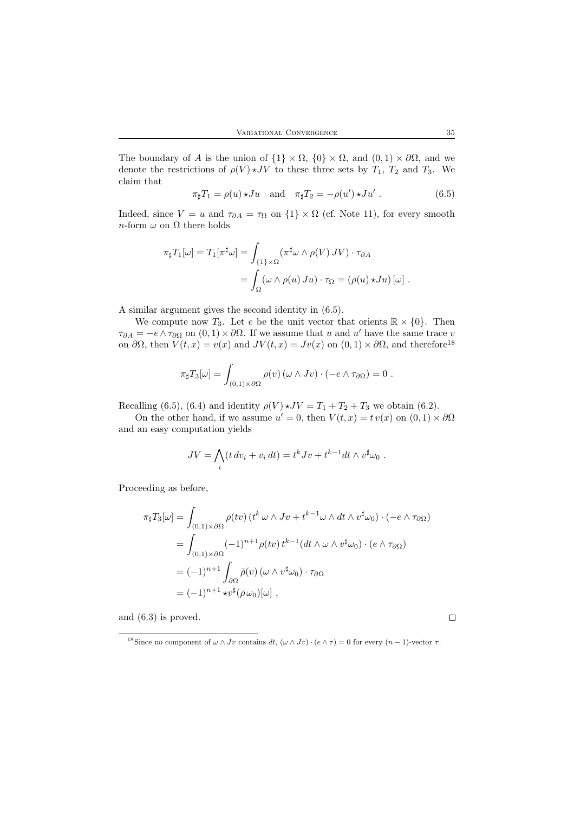The boundary of A is the union of  $\{1\} \times \Omega$ ,  $\{0\} \times \Omega$ , and  $(0, 1) \times \partial \Omega$ , and we denote the restrictions of  $\rho(V) \star JV$  to these three sets by  $T_1$ ,  $T_2$  and  $T_3$ . We claim that

$$
\pi_{\sharp}T_1 = \rho(u) \star Ju \quad \text{and} \quad \pi_{\sharp}T_2 = -\rho(u') \star Ju' \ . \tag{6.5}
$$

Indeed, since  $V = u$  and  $\tau_{\partial A} = \tau_{\Omega}$  on  $\{1\} \times \Omega$  (cf. Note 11), for every smooth  $n\text{-form}\ \omega$  on  $\Omega$  there holds

$$
\pi_{\sharp}T_{1}[\omega] = T_{1}[\pi^{\sharp}\omega] = \int_{\{1\} \times \Omega} (\pi^{\sharp}\omega \wedge \rho(V) JV) \cdot \tau_{\partial A}
$$
  
= 
$$
\int_{\Omega} (\omega \wedge \rho(u) Ju) \cdot \tau_{\Omega} = (\rho(u) \star Ju) [\omega].
$$

A similar argument gives the second identity in (6.5).

We compute now  $T_3$ . Let e be the unit vector that orients  $\mathbb{R} \times \{0\}$ . Then  $\tau_{\partial A} = -e \wedge \tau_{\partial \Omega}$  on  $(0,1) \times \partial \Omega$ . If we assume that u and u' have the same trace v on  $\partial\Omega$ , then  $V(t, x) = v(x)$  and  $JV(t, x) = Jv(x)$  on  $(0, 1) \times \partial\Omega$ , and therefore<sup>18</sup>

$$
\pi_{\sharp}T_3[\omega] = \int_{(0,1)\times\partial\Omega} \rho(v) \left(\omega \wedge Jv\right) \cdot \left(-e \wedge \tau_{\partial\Omega}\right) = 0.
$$

Recalling (6.5), (6.4) and identity  $\rho(V) \star JV = T_1 + T_2 + T_3$  we obtain (6.2).

On the other hand, if we assume  $u' = 0$ , then  $V(t, x) = tv(x)$  on  $(0, 1) \times \partial\Omega$ and an easy computation yields

$$
JV = \bigwedge_i (t dv_i + v_i dt) = t^k Jv + t^{k-1} dt \wedge v^{\sharp} \omega_0 .
$$

Proceeding as before,

$$
\pi_{\sharp}T_{3}[\omega] = \int_{(0,1)\times\partial\Omega} \rho(tv) \left(t^{k} \omega \wedge Jv + t^{k-1} \omega \wedge dt \wedge v^{\sharp}\omega_{0}\right) \cdot (-e \wedge \tau_{\partial\Omega})
$$
  
\n
$$
= \int_{(0,1)\times\partial\Omega} (-1)^{n+1} \rho(tv) t^{k-1} (dt \wedge \omega \wedge v^{\sharp}\omega_{0}) \cdot (e \wedge \tau_{\partial\Omega})
$$
  
\n
$$
= (-1)^{n+1} \int_{\partial\Omega} \bar{\rho}(v) \left(\omega \wedge v^{\sharp}\omega_{0}\right) \cdot \tau_{\partial\Omega}
$$
  
\n
$$
= (-1)^{n+1} \star v^{\sharp}(\bar{\rho}\omega_{0})[\omega] ,
$$

and (6.3) is proved.

 $\Box$ 

<sup>&</sup>lt;sup>18</sup> Since no component of  $\omega \wedge Jv$  contains  $dt$ ,  $(\omega \wedge Jv) \cdot (e \wedge \tau) = 0$  for every  $(n-1)$ -vector  $\tau$ .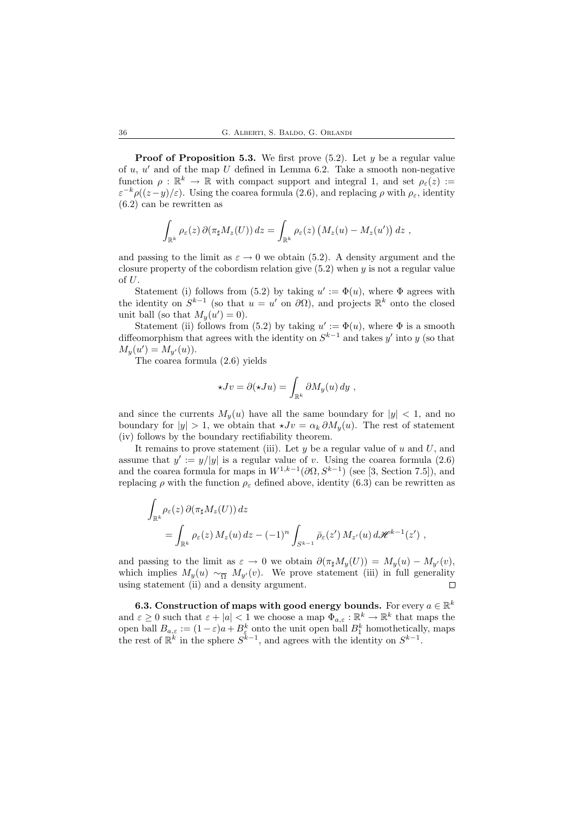**Proof of Proposition 5.3.** We first prove  $(5.2)$ . Let y be a regular value of  $u, u'$  and of the map U defined in Lemma 6.2. Take a smooth non-negative function  $\rho : \mathbb{R}^k \to \mathbb{R}$  with compact support and integral 1, and set  $\rho_{\varepsilon}(z) :=$  $\varepsilon^{-k}\rho((z-y)/\varepsilon)$ . Using the coarea formula (2.6), and replacing  $\rho$  with  $\rho_{\varepsilon}$ , identity (6.2) can be rewritten as

$$
\int_{\mathbb{R}^k} \rho_{\varepsilon}(z) \, \partial(\pi_{\sharp} M_z(U)) \, dz = \int_{\mathbb{R}^k} \rho_{\varepsilon}(z) \left(M_z(u) - M_z(u')\right) dz \;,
$$

and passing to the limit as  $\varepsilon \to 0$  we obtain (5.2). A density argument and the closure property of the cobordism relation give  $(5.2)$  when y is not a regular value  $\alpha f$  I.

Statement (i) follows from (5.2) by taking  $u' := \Phi(u)$ , where  $\Phi$  agrees with the identity on  $S^{k-1}$  (so that  $u = u'$  on  $\partial\Omega$ ), and projects  $\mathbb{R}^k$  onto the closed unit ball (so that  $M_y(u') = 0$ ).

Statement (ii) follows from (5.2) by taking  $u' := \Phi(u)$ , where  $\Phi$  is a smooth diffeomorphism that agrees with the identity on  $S^{k-1}$  and takes y' into y (so that  $M_y(u') = M_{y'}(u)$ .

The coarea formula (2.6) yields

$$
\star Jv = \partial(\star Ju) = \int_{\mathbb{R}^k} \partial M_y(u) \, dy ,
$$

and since the currents  $M_y(u)$  have all the same boundary for  $|y| < 1$ , and no boundary for  $|y| > 1$ , we obtain that  $\star Jv = \alpha_k \partial M_y(u)$ . The rest of statement (iv) follows by the boundary rectifiability theorem.

It remains to prove statement (iii). Let  $y$  be a regular value of  $u$  and  $U$ , and assume that  $y' := y/|y|$  is a regular value of v. Using the coarea formula (2.6) and the coarea formula for maps in  $W^{1,k-1}(\partial\Omega, S^{k-1})$  (see [3, Section 7.5]), and replacing  $\rho$  with the function  $\rho_{\varepsilon}$  defined above, identity (6.3) can be rewritten as

$$
\int_{\mathbb{R}^k} \rho_{\varepsilon}(z) \, \partial(\pi_{\sharp} M_z(U)) \, dz
$$
\n
$$
= \int_{\mathbb{R}^k} \rho_{\varepsilon}(z) \, M_z(u) \, dz - (-1)^n \int_{S^{k-1}} \bar{\rho}_{\varepsilon}(z') \, M_{z'}(u) \, d\mathcal{H}^{k-1}(z') ,
$$

and passing to the limit as  $\varepsilon \to 0$  we obtain  $\partial(\pi_\sharp M_y(U)) = M_y(u) - M_{y'}(v)$ , which implies  $M_y(u) \sim_{\overline{\Omega}} M_{y'}(v)$ . We prove statement (iii) in full generality using statement (ii) and a density argument. using statement (ii) and a density argument.

**6.3.** Construction of maps with good energy bounds. For every  $a \in \mathbb{R}^k$ and  $\varepsilon \geq 0$  such that  $\varepsilon + |a| < 1$  we choose a map  $\Phi_{a,\varepsilon} : \mathbb{R}^k \to \mathbb{R}^k$  that maps the open ball  $B_{a,\varepsilon} := (1-\varepsilon)a + B_{\varepsilon}^k$  onto the unit open ball  $B_1^k$  homothetically, maps the rest of  $\mathbb{R}^k$  in the sphere  $S^{k-1}$ , and agrees with the identity on  $S^{k-1}$ .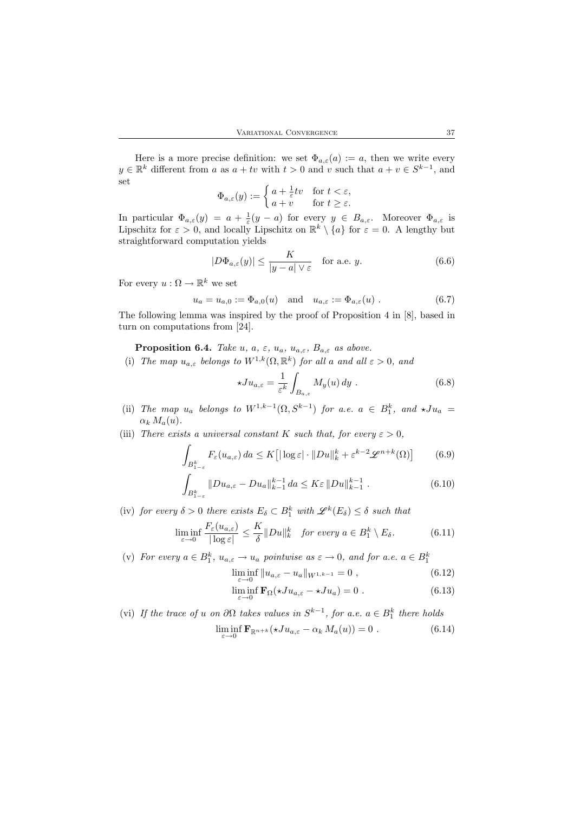Here is a more precise definition: we set  $\Phi_{a,\varepsilon}(a) := a$ , then we write every  $y \in \mathbb{R}^k$  different from a as  $a + tv$  with  $t > 0$  and v such that  $a + v \in S^{k-1}$ , and set

$$
\Phi_{a,\varepsilon}(y) := \begin{cases} a + \frac{1}{\varepsilon}tv & \text{for } t < \varepsilon, \\ a + v & \text{for } t \ge \varepsilon. \end{cases}
$$

In particular  $\Phi_{a,\varepsilon}(y) = a + \frac{1}{\varepsilon}(y-a)$  for every  $y \in B_{a,\varepsilon}$ . Moreover  $\Phi_{a,\varepsilon}$  is Lipschitz for  $\varepsilon > 0$ , and locally Lipschitz on  $\mathbb{R}^k \setminus \{a\}$  for  $\varepsilon = 0$ . A lengthy but straightforward computation yields

$$
|D\Phi_{a,\varepsilon}(y)| \le \frac{K}{|y-a| \vee \varepsilon} \quad \text{for a.e. } y.
$$
 (6.6)

For every  $u : \Omega \to \mathbb{R}^k$  we set

$$
u_a = u_{a,0} := \Phi_{a,0}(u) \quad \text{and} \quad u_{a,\varepsilon} := \Phi_{a,\varepsilon}(u) . \tag{6.7}
$$

The following lemma was inspired by the proof of Proposition 4 in [8], based in turn on computations from [24].

**Proposition 6.4.** Take u, a,  $\varepsilon$ ,  $u_a$ ,  $u_{a,\varepsilon}$ ,  $B_{a,\varepsilon}$  as above.

(i) The map  $u_{a,\varepsilon}$  belongs to  $W^{1,k}(\Omega,\mathbb{R}^k)$  for all a and all  $\varepsilon > 0$ , and

$$
\star Ju_{a,\varepsilon} = \frac{1}{\varepsilon^k} \int_{B_{a,\varepsilon}} M_y(u) \, dy \tag{6.8}
$$

- (ii) The map  $u_a$  belongs to  $W^{1,k-1}(\Omega, S^{k-1})$  for a.e.  $a \in B_1^k$ , and  $\star Ju_a =$  $\alpha_k M_a(u)$ .
- (iii) There exists a universal constant K such that, for every  $\varepsilon > 0$ ,

$$
\int_{B_{1-\varepsilon}^k} F_{\varepsilon}(u_{a,\varepsilon}) da \le K \left[ |\log \varepsilon| \cdot ||Du||_k^k + \varepsilon^{k-2} \mathcal{L}^{n+k}(\Omega) \right] \tag{6.9}
$$

$$
\int_{B_{1-\varepsilon}^k} \|Du_{a,\varepsilon} - Du_a\|_{k-1}^{k-1} da \le K\varepsilon \|Du\|_{k-1}^{k-1} .
$$
\n(6.10)

(iv) for every  $\delta > 0$  there exists  $E_{\delta} \subset B_1^k$  with  $\mathscr{L}^k(E_{\delta}) \leq \delta$  such that

$$
\liminf_{\varepsilon \to 0} \frac{F_{\varepsilon}(u_{a,\varepsilon})}{|\log \varepsilon|} \le \frac{K}{\delta} \|Du\|_{k}^{k} \quad \text{for every } a \in B_1^k \setminus E_{\delta}.
$$
 (6.11)

(v) For every  $a \in B_1^k$ ,  $u_{a,\varepsilon} \to u_a$  pointwise  $as \varepsilon \to 0$ , and for  $a.e.$   $a \in B_1^k$ 

$$
\liminf_{\varepsilon \to 0} \|u_{a,\varepsilon} - u_a\|_{W^{1,k-1}} = 0 ,\qquad(6.12)
$$

$$
\liminf_{\varepsilon \to 0} \mathbf{F}_{\Omega}(\star J u_{a,\varepsilon} - \star J u_a) = 0 \tag{6.13}
$$

(vi) If the trace of u on  $\partial\Omega$  takes values in  $S^{k-1}$ , for a.e.  $a \in B_1^k$  there holds  $\liminf_{\varepsilon \to 0} \mathbf{F}_{\mathbb{R}^{n+k}}(\star J u_{a,\varepsilon} - \alpha_k M_a(u)) = 0$  . (6.14)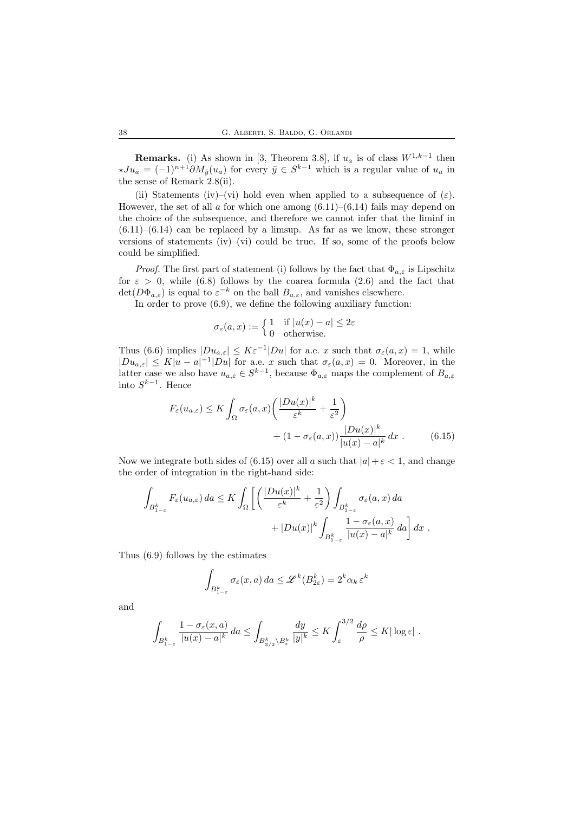**Remarks.** (i) As shown in [3, Theorem 3.8], if  $u_a$  is of class  $W^{1,k-1}$  then  $\star Ju_a = (-1)^{n+1} \partial M_{\bar{y}}(u_a)$  for every  $\bar{y} \in S^{k-1}$  which is a regular value of  $u_a$  in the sense of Remark 2.8(ii).

(ii) Statements (iv)–(vi) hold even when applied to a subsequence of  $(\varepsilon)$ . However, the set of all a for which one among  $(6.11)$ – $(6.14)$  fails may depend on the choice of the subsequence, and therefore we cannot infer that the liminf in  $(6.11)$ – $(6.14)$  can be replaced by a limsup. As far as we know, these stronger versions of statements  $(iv)$ – $(vi)$  could be true. If so, some of the proofs below could be simplified.

*Proof.* The first part of statement (i) follows by the fact that  $\Phi_{a,\varepsilon}$  is Lipschitz for  $\varepsilon > 0$ , while (6.8) follows by the coarea formula (2.6) and the fact that  $\det(D\Phi_{a,\varepsilon})$  is equal to  $\varepsilon^{-k}$  on the ball  $B_{a,\varepsilon}$ , and vanishes elsewhere.

In order to prove  $(6.9)$ , we define the following auxiliary function:

$$
\sigma_{\varepsilon}(a, x) := \begin{cases} 1 & \text{if } |u(x) - a| \leq 2\varepsilon \\ 0 & \text{otherwise.} \end{cases}
$$

Thus (6.6) implies  $|Du_{a,\varepsilon}| \leq K\varepsilon^{-1}|Du|$  for a.e. x such that  $\sigma_{\varepsilon}(a,x) = 1$ , while  $|Du_{a,\varepsilon}| \leq K|u-a|^{-1}|Du|$  for a.e. x such that  $\sigma_{\varepsilon}(a,x) = 0$ . Moreover, in the latter case we also have  $u_{a,\varepsilon} \in S^{k-1}$ , because  $\Phi_{a,\varepsilon}$  maps the complement of  $B_{a,\varepsilon}$ into  $S^{k-1}$ . Hence

$$
F_{\varepsilon}(u_{a,\varepsilon}) \le K \int_{\Omega} \sigma_{\varepsilon}(a,x) \left( \frac{|Du(x)|^k}{\varepsilon^k} + \frac{1}{\varepsilon^2} \right) + (1 - \sigma_{\varepsilon}(a,x)) \frac{|Du(x)|^k}{|u(x) - a|^k} dx . \tag{6.15}
$$

Now we integrate both sides of (6.15) over all a such that  $|a|+\varepsilon < 1$ , and change the order of integration in the right-hand side:

$$
\int_{B_{1-\varepsilon}^k} F_{\varepsilon}(u_{a,\varepsilon}) da \leq K \int_{\Omega} \left[ \left( \frac{|Du(x)|^k}{\varepsilon^k} + \frac{1}{\varepsilon^2} \right) \int_{B_{1-\varepsilon}^k} \sigma_{\varepsilon}(a, x) da + |Du(x)|^k \int_{B_{1-\varepsilon}^k} \frac{1 - \sigma_{\varepsilon}(a, x)}{|u(x) - a|^k} da \right] dx.
$$

Thus (6.9) follows by the estimates

$$
\int_{B_{1-\varepsilon}^k} \sigma_{\varepsilon}(x, a) da \leq \mathscr{L}^k(B_{2\varepsilon}^k) = 2^k \alpha_k \, \varepsilon^k
$$

and

$$
\int_{B_{1-\varepsilon}^k} \frac{1-\sigma_\varepsilon(x,a)}{|u(x)-a|^k} \, da \le \int_{B_{3/2}^k \setminus B_\varepsilon^k} \frac{dy}{|y|^k} \le K \int_{\varepsilon}^{3/2} \frac{d\rho}{\rho} \le K |\log \varepsilon| \, .
$$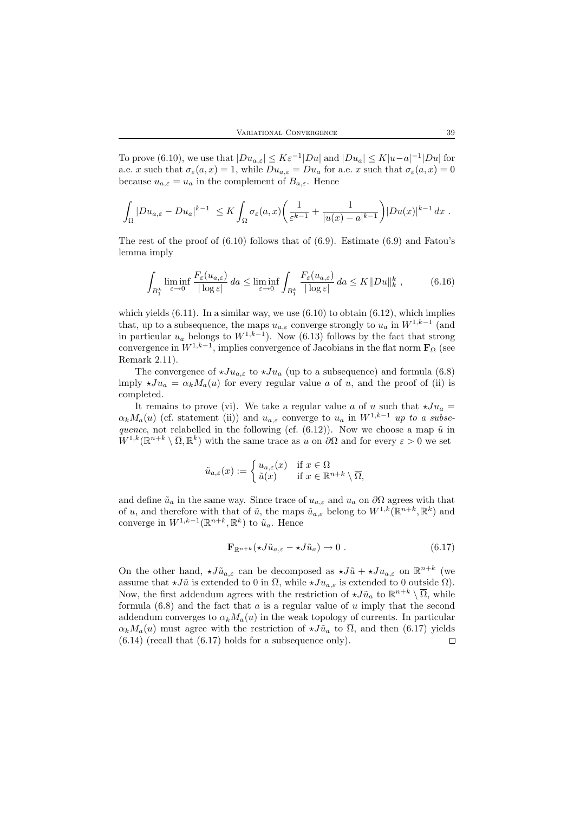To prove (6.10), we use that  $|Du_{a,\varepsilon}| \leq K\varepsilon^{-1}|Du|$  and  $|Du_a| \leq K|u-a|^{-1}|Du|$  for a.e. x such that  $\sigma_{\varepsilon}(a, x) = 1$ , while  $Du_{a, \varepsilon} = Du_a$  for a.e. x such that  $\sigma_{\varepsilon}(a, x) = 0$ because  $u_{a,\varepsilon} = u_a$  in the complement of  $B_{a,\varepsilon}$ . Hence

$$
\int_{\Omega} |Du_{a,\varepsilon}-Du_a|^{k-1} \leq K \int_{\Omega} \sigma_{\varepsilon}(a,x) \left( \frac{1}{\varepsilon^{k-1}} + \frac{1}{|u(x)-a|^{k-1}} \right) |Du(x)|^{k-1} dx.
$$

The rest of the proof of  $(6.10)$  follows that of  $(6.9)$ . Estimate  $(6.9)$  and Fatou's lemma imply

$$
\int_{B_1^k} \liminf_{\varepsilon \to 0} \frac{F_{\varepsilon}(u_{a,\varepsilon})}{|\log \varepsilon|} da \le \liminf_{\varepsilon \to 0} \int_{B_1^k} \frac{F_{\varepsilon}(u_{a,\varepsilon})}{|\log \varepsilon|} da \le K \|Du\|_k^k,
$$
\n(6.16)

which yields  $(6.11)$ . In a similar way, we use  $(6.10)$  to obtain  $(6.12)$ , which implies that, up to a subsequence, the maps  $u_{a,\varepsilon}$  converge strongly to  $u_a$  in  $W^{1,k-1}$  (and in particular  $u_a$  belongs to  $W^{1,k-1}$ ). Now (6.13) follows by the fact that strong convergence in  $W^{1,k-1}$ , implies convergence of Jacobians in the flat norm  $\mathbf{F}_{\Omega}$  (see Remark 2.11).

The convergence of  $\star Ju_{a,\varepsilon}$  to  $\star Ju_a$  (up to a subsequence) and formula (6.8) imply  $\star Ju_a = \alpha_k M_a(u)$  for every regular value a of u, and the proof of (ii) is completed.

It remains to prove (vi). We take a regular value a of u such that  $\star Ju_a$  =  $\alpha_k M_a(u)$  (cf. statement (ii)) and  $u_{a,\varepsilon}$  converge to  $u_a$  in  $W^{1,k-1}$  up to a subsequence, not relabelled in the following (cf.  $(6.12)$ ). Now we choose a map  $\tilde{u}$  in  $W^{1,k}(\mathbb{R}^{n+k} \setminus \overline{\Omega}, \mathbb{R}^k)$  with the same trace as u on  $\partial\Omega$  and for every  $\varepsilon > 0$  we set

$$
\tilde{u}_{a,\varepsilon}(x) := \begin{cases} u_{a,\varepsilon}(x) & \text{if } x \in \Omega \\ \tilde{u}(x) & \text{if } x \in \mathbb{R}^{n+k} \setminus \overline{\Omega}, \end{cases}
$$

and define  $\tilde{u}_a$  in the same way. Since trace of  $u_{a,\varepsilon}$  and  $u_a$  on  $\partial\Omega$  agrees with that of u, and therefore with that of  $\tilde{u}$ , the maps  $\tilde{u}_{a,\varepsilon}$  belong to  $W^{1,k}(\mathbb{R}^{n+k}, \mathbb{R}^k)$  and converge in  $W^{1,k-1}(\mathbb{R}^{n+k}, \mathbb{R}^k)$  to  $\tilde{u}_a$ . Hence

$$
\mathbf{F}_{\mathbb{R}^{n+k}}(\star J\tilde{u}_{a,\varepsilon}-\star J\tilde{u}_a)\to 0\ .\tag{6.17}
$$

On the other hand,  $\star J\tilde{u}_{a,\varepsilon}$  can be decomposed as  $\star J\tilde{u} + \star J u_{a,\varepsilon}$  on  $\mathbb{R}^{n+k}$  (we assume that  $\star J\tilde{u}$  is extended to 0 in  $\overline{\Omega}$ , while  $\star Ju_{a,\varepsilon}$  is extended to 0 outside  $\Omega$ ). Now, the first addendum agrees with the restriction of  $\star J\tilde{u}_a$  to  $\mathbb{R}^{n+k} \setminus \overline{\Omega}$ , while formula  $(6.8)$  and the fact that a is a regular value of u imply that the second addendum converges to  $\alpha_k M_a(u)$  in the weak topology of currents. In particular  $\alpha_k M_a(u)$  must agree with the restriction of  $\star J\tilde{u}_a$  to  $\overline{\Omega}$ , and then (6.17) yields  $(6.14)$  (recall that  $(6.17)$  holds for a subsequence only).  $\Box$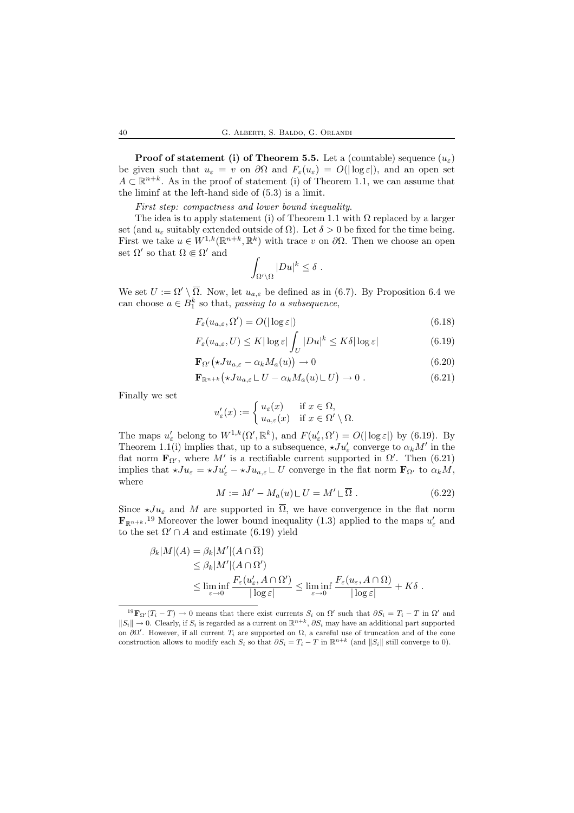**Proof of statement (i) of Theorem 5.5.** Let a (countable) sequence  $(u_{\varepsilon})$ be given such that  $u_{\varepsilon} = v$  on  $\partial\Omega$  and  $F_{\varepsilon}(u_{\varepsilon}) = O(|\log \varepsilon|)$ , and an open set  $A \subset \mathbb{R}^{n+k}$ . As in the proof of statement (i) of Theorem 1.1, we can assume that the liminf at the left-hand side of (5.3) is a limit.

First step: compactness and lower bound inequality.

The idea is to apply statement (i) of Theorem 1.1 with  $\Omega$  replaced by a larger set (and  $u_{\varepsilon}$  suitably extended outside of  $\Omega$ ). Let  $\delta > 0$  be fixed for the time being. First we take  $u \in W^{1,k}(\mathbb{R}^{n+k}, \mathbb{R}^k)$  with trace v on  $\partial\Omega$ . Then we choose an open set  $\Omega'$  so that  $\Omega \Subset \Omega'$  and

$$
\int_{\Omega'\setminus\Omega}|Du|^k\leq \delta.
$$

We set  $U := \Omega' \setminus \overline{\Omega}$ . Now, let  $u_{a,\varepsilon}$  be defined as in (6.7). By Proposition 6.4 we can choose  $a \in B_1^k$  so that, passing to a subsequence,

$$
F_{\varepsilon}(u_{a,\varepsilon},\Omega') = O(|\log \varepsilon|)
$$
\n(6.18)

$$
F_{\varepsilon}(u_{a,\varepsilon}, U) \le K |\log \varepsilon| \int_{U} |Du|^{k} \le K\delta |\log \varepsilon| \tag{6.19}
$$

$$
\mathbf{F}_{\Omega'}(\star Ju_{a,\varepsilon} - \alpha_k M_a(u)) \to 0 \tag{6.20}
$$

$$
\mathbf{F}_{\mathbb{R}^{n+k}}\big(\star Ju_{a,\varepsilon}\mathsf{L}\,U-\alpha_k M_a(u)\mathsf{L}\,U\big)\to 0\ .\tag{6.21}
$$

Finally we set

$$
u'_{\varepsilon}(x) := \begin{cases} u_{\varepsilon}(x) & \text{if } x \in \Omega, \\ u_{a,\varepsilon}(x) & \text{if } x \in \Omega' \setminus \Omega. \end{cases}
$$

The maps  $u'_{\varepsilon}$  belong to  $W^{1,k}(\Omega', \mathbb{R}^k)$ , and  $F(u'_{\varepsilon}, \Omega') = O(|\log \varepsilon|)$  by (6.19). By Theorem 1.1(i) implies that, up to a subsequence,  $\star Ju_{\varepsilon}'$  converge to  $\alpha_k M'$  in the flat norm  $\mathbf{F}_{\Omega}$ , where M' is a rectifiable current supported in  $\Omega'$ . Then (6.21) implies that  $\star Ju_{\varepsilon} = \star Ju'_{\varepsilon} - \star Ju_{a,\varepsilon} \mathsf{L} U$  converge in the flat norm  $\mathbf{F}_{\Omega'}$  to  $\alpha_k M$ , where

$$
M := M' - M_a(u) \mathsf{L} U = M' \mathsf{L} \overline{\Omega} . \tag{6.22}
$$

Since  $\star Ju_{\varepsilon}$  and M are supported in  $\overline{\Omega}$ , we have convergence in the flat norm  $\mathbf{F}_{\mathbb{R}^{n+k}}$ <sup>19</sup> Moreover the lower bound inequality (1.3) applied to the maps  $u'_{\varepsilon}$  and to the set  $\Omega' \cap A$  and estimate (6.19) yield

$$
\beta_k|M|(A) = \beta_k|M'| (A \cap \overline{\Omega})
$$
  
\n
$$
\leq \beta_k|M'| (A \cap \Omega')
$$
  
\n
$$
\leq \liminf_{\varepsilon \to 0} \frac{F_{\varepsilon}(u_{\varepsilon}', A \cap \Omega')}{|\log \varepsilon|} \leq \liminf_{\varepsilon \to 0} \frac{F_{\varepsilon}(u_{\varepsilon}, A \cap \Omega)}{|\log \varepsilon|} + K\delta.
$$

<sup>&</sup>lt;sup>19</sup> $\mathbf{F}_{\Omega'}(T_i - T) \to 0$  means that there exist currents  $S_i$  on  $\Omega'$  such that  $\partial S_i = T_i - T$  in  $\Omega'$  and  $||S_i|| \to 0$ . Clearly, if  $S_i$  is regarded as a current on  $\mathbb{R}^{n+k}$ ,  $\partial S_i$  may have an additional part supported on  $\partial\Omega'$ . However, if all current  $T_i$  are supported on  $\Omega$ , a careful use of truncation and of the cone construction allows to modify each  $S_i$  so that  $\partial S_i = T_i - T$  in  $\mathbb{R}^{n+k}$  (and  $||S_i||$  still converge to 0).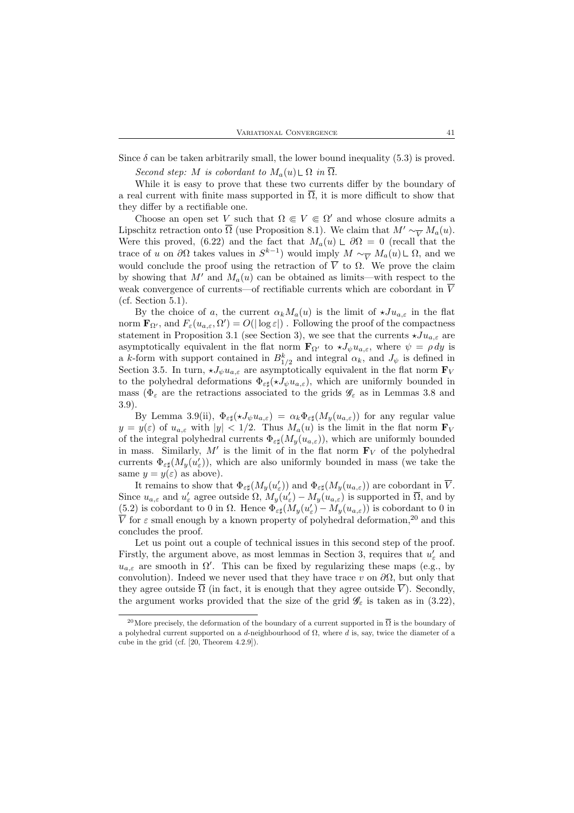Since  $\delta$  can be taken arbitrarily small, the lower bound inequality (5.3) is proved.

Second step: M is cobordant to  $M_a(u) \sqcup \Omega$  in  $\overline{\Omega}$ .

While it is easy to prove that these two currents differ by the boundary of a real current with finite mass supported in  $\overline{\Omega}$ , it is more difficult to show that they differ by a rectifiable one.

Choose an open set V such that  $\Omega \in V \in \Omega'$  and whose closure admits a Lipschitz retraction onto  $\overline{\Omega}$  (use Proposition 8.1). We claim that  $M' \sim_{\overline{V}} M_a(u)$ . Were this proved, (6.22) and the fact that  $M_a(u) \perp \partial\Omega = 0$  (recall that the trace of u on  $\partial\Omega$  takes values in  $S^{k-1}$ ) would imply  $M \sim_{\overline{V}} M_a(u) \mathsf{L} \Omega$ , and we would conclude the proof using the retraction of  $\overline{V}$  to  $\Omega$ . We prove the claim by showing that  $M'$  and  $M_a(u)$  can be obtained as limits—with respect to the weak convergence of currents—of rectifiable currents which are cobordant in  $\overline{V}$ (cf. Section 5.1).

By the choice of a, the current  $\alpha_k M_a(u)$  is the limit of  $\star Ju_{a,\varepsilon}$  in the flat norm  $\mathbf{F}_{\Omega'}$ , and  $F_{\varepsilon}(u_{a,\varepsilon},\Omega') = O(|\log \varepsilon|)$ . Following the proof of the compactness statement in Proposition 3.1 (see Section 3), we see that the currents  $\star Ju_{\alpha,\varepsilon}$  are asymptotically equivalent in the flat norm  $\mathbf{F}_{\Omega'}$  to  $\star J_{\psi}u_{a,\varepsilon}$ , where  $\psi = \rho dy$  is a k-form with support contained in  $B_{1/2}^k$  and integral  $\alpha_k$ , and  $J_\psi$  is defined in Section 3.5. In turn,  $\star J_{\psi}u_{a,\varepsilon}$  are asymptotically equivalent in the flat norm  $\mathbf{F}_{V}$ to the polyhedral deformations  $\Phi_{\varepsilon\sharp}(\star J_{\psi}u_{a,\varepsilon})$ , which are uniformly bounded in mass ( $\Phi_{\varepsilon}$  are the retractions associated to the grids  $\mathscr{G}_{\varepsilon}$  as in Lemmas 3.8 and 3.9).

By Lemma 3.9(ii),  $\Phi_{\epsilon\sharp}(\star J_{\psi}u_{a,\epsilon}) = \alpha_k \Phi_{\epsilon\sharp}(M_{\psi}(u_{a,\epsilon}))$  for any regular value  $y = y(\varepsilon)$  of  $u_{a,\varepsilon}$  with  $|y| < 1/2$ . Thus  $M_a(u)$  is the limit in the flat norm  $\mathbf{F}_V$ of the integral polyhedral currents  $\Phi_{\varepsilon\sharp}(M_y(u_{a,\varepsilon}))$ , which are uniformly bounded in mass. Similarly,  $M'$  is the limit of in the flat norm  $\mathbf{F}_V$  of the polyhedral currents  $\Phi_{\varepsilon\sharp}(M_y(u'_{\varepsilon}))$ , which are also uniformly bounded in mass (we take the same  $y = y(\varepsilon)$  as above).

It remains to show that  $\Phi_{\varepsilon\sharp}(M_y(u_{\varepsilon}'))$  and  $\Phi_{\varepsilon\sharp}(M_y(u_{a,\varepsilon}))$  are cobordant in  $\overline{V}$ . Since  $u_{a,\varepsilon}$  and  $u'_{\varepsilon}$  agree outside  $\Omega$ ,  $M_y(u'_{\varepsilon}) - M_y(u_{a,\varepsilon})$  is supported in  $\overline{\Omega}$ , and by  $(5.2)$  is cobordant to 0 in  $\Omega$ . Hence  $\Phi_{\varepsilon\sharp}(M_y(u_{\varepsilon}') - M_y(u_{a,\varepsilon}))$  is cobordant to 0 in  $\overline{V}$  for  $\varepsilon$  small enough by a known property of polyhedral deformation,<sup>20</sup> and this concludes the proof.

Let us point out a couple of technical issues in this second step of the proof. Firstly, the argument above, as most lemmas in Section 3, requires that  $u'_{\varepsilon}$  and  $u_{a,\varepsilon}$  are smooth in  $\Omega'$ . This can be fixed by regularizing these maps (e.g., by convolution). Indeed we never used that they have trace v on  $\partial\Omega$ , but only that they agree outside  $\overline{\Omega}$  (in fact, it is enough that they agree outside  $\overline{V}$ ). Secondly, the argument works provided that the size of the grid  $\mathscr{G}_{\varepsilon}$  is taken as in (3.22),

<sup>&</sup>lt;sup>20</sup>More precisely, the deformation of the boundary of a current supported in  $\overline{\Omega}$  is the boundary of a polyhedral current supported on a d-neighbourhood of  $\Omega$ , where d is, say, twice the diameter of a cube in the grid (cf. [20, Theorem 4.2.9]).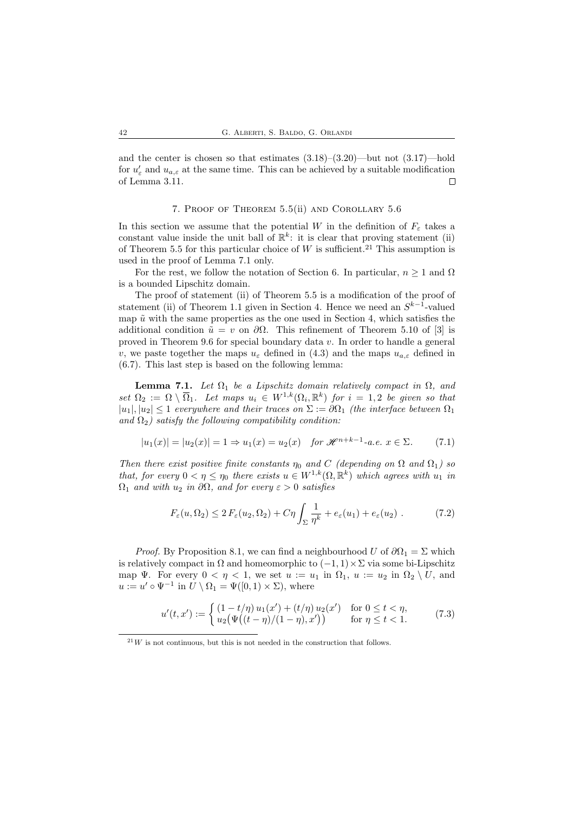and the center is chosen so that estimates  $(3.18)$ – $(3.20)$ —but not  $(3.17)$ —hold for  $u'_{\varepsilon}$  and  $u_{a,\varepsilon}$  at the same time. This can be achieved by a suitable modification of Lemma 3.11.  $\Box$ 

## 7. Proof of Theorem 5.5(ii) and Corollary 5.6

In this section we assume that the potential W in the definition of  $F_{\varepsilon}$  takes a constant value inside the unit ball of  $\mathbb{R}^k$ : it is clear that proving statement (ii) of Theorem 5.5 for this particular choice of  $W$  is sufficient.<sup>21</sup> This assumption is used in the proof of Lemma 7.1 only.

For the rest, we follow the notation of Section 6. In particular,  $n \geq 1$  and  $\Omega$ is a bounded Lipschitz domain.

The proof of statement (ii) of Theorem 5.5 is a modification of the proof of statement (ii) of Theorem 1.1 given in Section 4. Hence we need an  $S^{k-1}$ -valued map  $\tilde{u}$  with the same properties as the one used in Section 4, which satisfies the additional condition  $\tilde{u} = v$  on  $\partial\Omega$ . This refinement of Theorem 5.10 of [3] is proved in Theorem 9.6 for special boundary data v. In order to handle a general v, we paste together the maps  $u_{\varepsilon}$  defined in (4.3) and the maps  $u_{a,\varepsilon}$  defined in (6.7). This last step is based on the following lemma:

**Lemma 7.1.** Let  $\Omega_1$  be a Lipschitz domain relatively compact in  $\Omega$ , and set  $\Omega_2 := \Omega \setminus \overline{\Omega}_1$ . Let maps  $u_i \in W^{1,k}(\Omega_i, \mathbb{R}^k)$  for  $i = 1,2$  be given so that  $|u_1|, |u_2| \leq 1$  everywhere and their traces on  $\Sigma := \partial \Omega_1$  (the interface between  $\Omega_1$ ) and  $\Omega_2$ ) satisfy the following compatibility condition:

$$
|u_1(x)| = |u_2(x)| = 1 \Rightarrow u_1(x) = u_2(x) \quad \text{for } \mathcal{H}^{n+k-1}\text{-a.e. } x \in \Sigma. \tag{7.1}
$$

Then there exist positive finite constants  $\eta_0$  and C (depending on  $\Omega$  and  $\Omega_1$ ) so that, for every  $0 < \eta \leq \eta_0$  there exists  $u \in W^{1,k}(\Omega,\mathbb{R}^k)$  which agrees with  $u_1$  in  $\Omega_1$  and with  $u_2$  in  $\partial\Omega$ , and for every  $\varepsilon > 0$  satisfies

$$
F_{\varepsilon}(u,\Omega_2) \le 2 F_{\varepsilon}(u_2,\Omega_2) + C\eta \int_{\Sigma} \frac{1}{\eta^k} + e_{\varepsilon}(u_1) + e_{\varepsilon}(u_2) . \tag{7.2}
$$

*Proof.* By Proposition 8.1, we can find a neighbourhood U of  $\partial\Omega_1 = \Sigma$  which is relatively compact in  $\Omega$  and homeomorphic to  $(-1, 1) \times \Sigma$  via some bi-Lipschitz map  $\Psi$ . For every  $0 < \eta < 1$ , we set  $u := u_1$  in  $\Omega_1$ ,  $u := u_2$  in  $\Omega_2 \setminus U$ , and  $u := u' \circ \Psi^{-1}$  in  $U \setminus \Omega_1 = \Psi([0,1) \times \Sigma)$ , where

$$
u'(t,x') := \begin{cases} (1-t/\eta) u_1(x') + (t/\eta) u_2(x') & \text{for } 0 \le t < \eta, \\ u_2(\Psi((t-\eta)/(1-\eta),x')) & \text{for } \eta \le t < 1. \end{cases}
$$
(7.3)

 $21$ W is not continuous, but this is not needed in the construction that follows.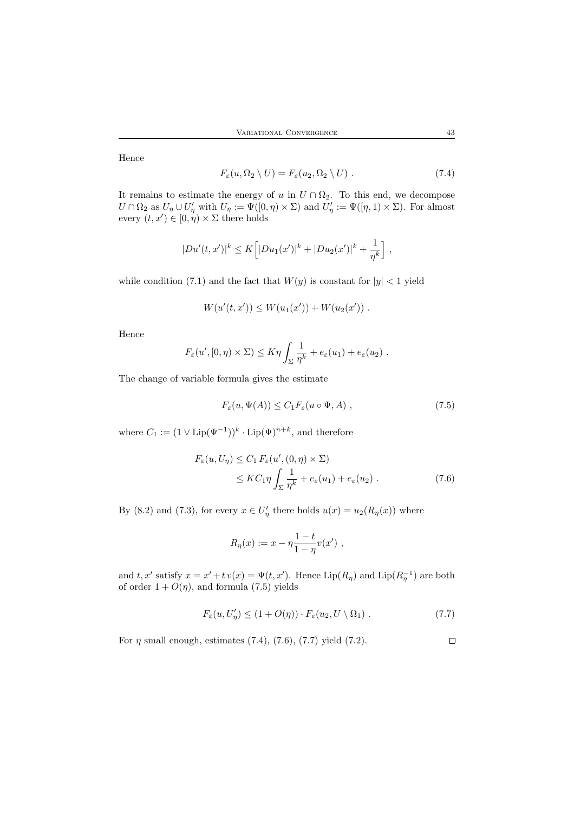Hence

$$
F_{\varepsilon}(u,\Omega_2 \setminus U) = F_{\varepsilon}(u_2,\Omega_2 \setminus U) . \tag{7.4}
$$

It remains to estimate the energy of u in  $U \cap \Omega_2$ . To this end, we decompose  $U \cap \Omega_2$  as  $U_\eta \cup U'_\eta$  with  $U_\eta := \Psi([0, \eta) \times \Sigma)$  and  $U'_\eta := \Psi([\eta, 1) \times \Sigma)$ . For almost every  $(t, x') \in [0, \eta) \times \Sigma$  there holds

$$
|Du'(t,x')|^k \le K \Big[ |Du_1(x')|^k + |Du_2(x')|^k + \frac{1}{\eta^k} \Big],
$$

while condition (7.1) and the fact that  $W(y)$  is constant for  $|y| < 1$  yield

$$
W(u'(t,x')) \le W(u_1(x')) + W(u_2(x')) .
$$

Hence

$$
F_{\varepsilon}(u', [0, \eta) \times \Sigma) \leq K \eta \int_{\Sigma} \frac{1}{\eta^k} + e_{\varepsilon}(u_1) + e_{\varepsilon}(u_2) .
$$

The change of variable formula gives the estimate

$$
F_{\varepsilon}(u, \Psi(A)) \le C_1 F_{\varepsilon}(u \circ \Psi, A) , \qquad (7.5)
$$

where  $C_1 := (1 \vee \text{Lip}(\Psi^{-1}))^k \cdot \text{Lip}(\Psi)^{n+k}$ , and therefore

$$
F_{\varepsilon}(u, U_{\eta}) \leq C_1 F_{\varepsilon}(u', (0, \eta) \times \Sigma)
$$
  
 
$$
\leq KC_1 \eta \int_{\Sigma} \frac{1}{\eta^k} + e_{\varepsilon}(u_1) + e_{\varepsilon}(u_2).
$$
 (7.6)

By (8.2) and (7.3), for every  $x \in U'_\eta$  there holds  $u(x) = u_2(R_\eta(x))$  where

$$
R_{\eta}(x) := x - \eta \frac{1 - t}{1 - \eta} v(x') ,
$$

and t, x' satisfy  $x = x' + t v(x) = \Psi(t, x')$ . Hence  $\text{Lip}(R_{\eta})$  and  $\text{Lip}(R_{\eta}^{-1})$  are both of order  $1 + O(\eta)$ , and formula (7.5) yields

$$
F_{\varepsilon}(u, U_{\eta}') \le (1 + O(\eta)) \cdot F_{\varepsilon}(u_2, U \setminus \Omega_1).
$$
 (7.7)

For  $\eta$  small enough, estimates (7.4), (7.6), (7.7) yield (7.2).  $\Box$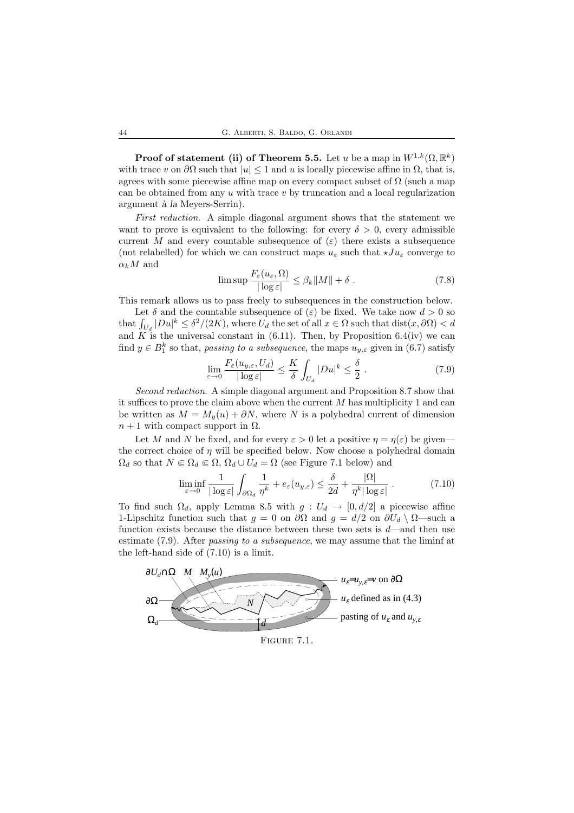**Proof of statement (ii) of Theorem 5.5.** Let u be a map in  $W^{1,k}(\Omega,\mathbb{R}^k)$ with trace v on  $\partial\Omega$  such that  $|u|\leq 1$  and u is locally piecewise affine in  $\Omega$ , that is, agrees with some piecewise affine map on every compact subset of  $\Omega$  (such a map can be obtained from any  $u$  with trace  $v$  by truncation and a local regularization argument à la Meyers-Serrin).

First reduction. A simple diagonal argument shows that the statement we want to prove is equivalent to the following: for every  $\delta > 0$ , every admissible current M and every countable subsequence of  $(\varepsilon)$  there exists a subsequence (not relabelled) for which we can construct maps  $u_{\varepsilon}$  such that  $\star Ju_{\varepsilon}$  converge to  $\alpha_k M$  and

$$
\limsup \frac{F_{\varepsilon}(u_{\varepsilon}, \Omega)}{|\log \varepsilon|} \leq \beta_k \|M\| + \delta . \tag{7.8}
$$

This remark allows us to pass freely to subsequences in the construction below.

Let  $\delta$  and the countable subsequence of  $(\varepsilon)$  be fixed. We take now  $d > 0$  so that  $\int_{U_d} |Du|^k \leq \delta^2/(2K)$ , where  $U_d$  the set of all  $x \in \Omega$  such that  $dist(x, \partial \Omega) < d$ and K is the universal constant in (6.11). Then, by Proposition 6.4(iv) we can find  $y \in B_1^k$  so that, passing to a subsequence, the maps  $u_{y,\varepsilon}$  given in (6.7) satisfy

$$
\lim_{\varepsilon \to 0} \frac{F_{\varepsilon}(u_{y,\varepsilon}, U_d)}{|\log \varepsilon|} \le \frac{K}{\delta} \int_{U_d} |Du|^k \le \frac{\delta}{2} \ . \tag{7.9}
$$

Second reduction. A simple diagonal argument and Proposition 8.7 show that it suffices to prove the claim above when the current  $M$  has multiplicity 1 and can be written as  $M = M_y(u) + \partial N$ , where N is a polyhedral current of dimension  $n + 1$  with compact support in  $\Omega$ .

Let M and N be fixed, and for every  $\varepsilon > 0$  let a positive  $\eta = \eta(\varepsilon)$  be giventhe correct choice of  $\eta$  will be specified below. Now choose a polyhedral domain  $\Omega_d$  so that  $N \in \Omega_d \in \Omega$ ,  $\Omega_d \cup U_d = \Omega$  (see Figure 7.1 below) and

$$
\liminf_{\varepsilon \to 0} \frac{1}{|\log \varepsilon|} \int_{\partial \Omega_d} \frac{1}{\eta^k} + e_\varepsilon(u_{y,\varepsilon}) \le \frac{\delta}{2d} + \frac{|\Omega|}{\eta^k |\log \varepsilon|} . \tag{7.10}
$$

To find such  $\Omega_d$ , apply Lemma 8.5 with  $g: U_d \to [0, d/2]$  a piecewise affine 1-Lipschitz function such that  $g = 0$  on  $\partial\Omega$  and  $g = d/2$  on  $\partial U_d \setminus \Omega$ —such a function exists because the distance between these two sets is  $d$ —and then use estimate (7.9). After *passing to a subsequence*, we may assume that the liminf at the left-hand side of (7.10) is a limit.

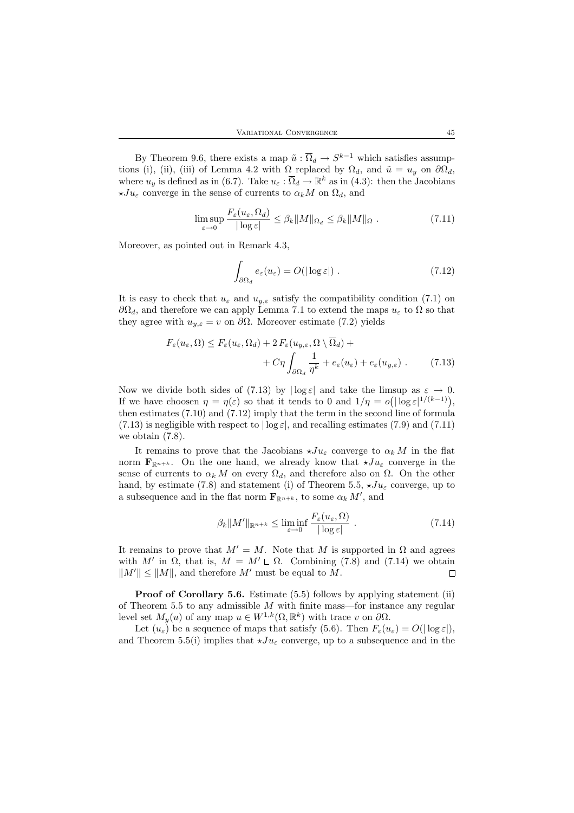By Theorem 9.6, there exists a map  $\tilde{u} : \overline{\Omega}_d \to S^{k-1}$  which satisfies assumptions (i), (ii), (iii) of Lemma 4.2 with  $\Omega$  replaced by  $\Omega_d$ , and  $\tilde{u} = u_y$  on  $\partial \Omega_d$ , where  $u_y$  is defined as in (6.7). Take  $u_{\varepsilon} : \overline{\Omega}_d \to \mathbb{R}^k$  as in (4.3): then the Jacobians  $\star Ju_{\varepsilon}$  converge in the sense of currents to  $\alpha_k M$  on  $\Omega_d$ , and

$$
\limsup_{\varepsilon \to 0} \frac{F_{\varepsilon}(u_{\varepsilon}, \Omega_d)}{|\log \varepsilon|} \leq \beta_k \|M\|_{\Omega_d} \leq \beta_k \|M\|_{\Omega} \ . \tag{7.11}
$$

Moreover, as pointed out in Remark 4.3,

$$
\int_{\partial \Omega_d} e_{\varepsilon}(u_{\varepsilon}) = O(|\log \varepsilon|) . \tag{7.12}
$$

It is easy to check that  $u_{\varepsilon}$  and  $u_{y,\varepsilon}$  satisfy the compatibility condition (7.1) on  $\partial\Omega_d$ , and therefore we can apply Lemma 7.1 to extend the maps  $u_\varepsilon$  to  $\Omega$  so that they agree with  $u_{y,\varepsilon} = v$  on  $\partial\Omega$ . Moreover estimate (7.2) yields

$$
F_{\varepsilon}(u_{\varepsilon}, \Omega) \le F_{\varepsilon}(u_{\varepsilon}, \Omega_d) + 2 F_{\varepsilon}(u_{y, \varepsilon}, \Omega \setminus \Omega_d) +
$$
  
+ 
$$
C\eta \int_{\partial\Omega_d} \frac{1}{\eta^k} + e_{\varepsilon}(u_{\varepsilon}) + e_{\varepsilon}(u_{y, \varepsilon}). \tag{7.13}
$$

Now we divide both sides of (7.13) by  $|\log \varepsilon|$  and take the limsup as  $\varepsilon \to 0$ . If we have choosen  $\eta = \eta(\varepsilon)$  so that it tends to 0 and  $1/\eta = o(|\log \varepsilon|^{1/(k-1)}),$ then estimates (7.10) and (7.12) imply that the term in the second line of formula  $(7.13)$  is negligible with respect to  $|\log \varepsilon|$ , and recalling estimates (7.9) and (7.11) we obtain (7.8).

It remains to prove that the Jacobians  $\star Ju_{\varepsilon}$  converge to  $\alpha_k M$  in the flat norm  $\mathbf{F}_{\mathbb{R}^{n+k}}$ . On the one hand, we already know that  $\star Ju_{\varepsilon}$  converge in the sense of currents to  $\alpha_k M$  on every  $\Omega_d$ , and therefore also on  $\Omega$ . On the other hand, by estimate (7.8) and statement (i) of Theorem 5.5,  $\star Ju_{\varepsilon}$  converge, up to a subsequence and in the flat norm  $\mathbf{F}_{\mathbb{R}^{n+k}}$ , to some  $\alpha_k M'$ , and

$$
\beta_k \|M'\|_{\mathbb{R}^{n+k}} \le \liminf_{\varepsilon \to 0} \frac{F_{\varepsilon}(u_{\varepsilon}, \Omega)}{|\log \varepsilon|} \ . \tag{7.14}
$$

It remains to prove that  $M' = M$ . Note that M is supported in  $\Omega$  and agrees with M' in  $\Omega$ , that is,  $M = M' \sqcup \Omega$ . Combining (7.8) and (7.14) we obtain  $||M'|| \le ||M||$ , and therefore M' must be equal to M.  $\Box$ 

Proof of Corollary 5.6. Estimate (5.5) follows by applying statement (ii) of Theorem 5.5 to any admissible  $M$  with finite mass—for instance any regular level set  $M_y(u)$  of any map  $u \in W^{1,k}(\Omega,\mathbb{R}^k)$  with trace v on  $\partial\Omega$ .

Let  $(u_{\varepsilon})$  be a sequence of maps that satisfy (5.6). Then  $F_{\varepsilon}(u_{\varepsilon}) = O(|\log \varepsilon|)$ , and Theorem 5.5(i) implies that  $\star Ju_{\varepsilon}$  converge, up to a subsequence and in the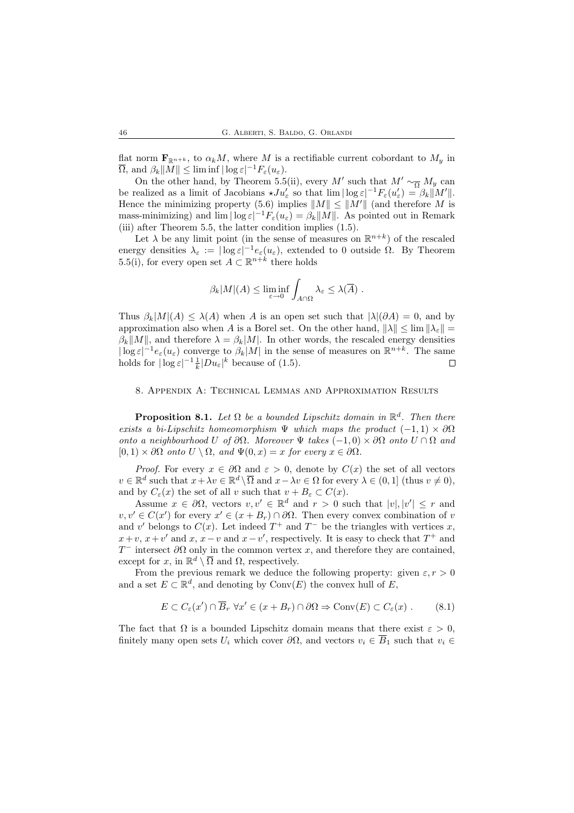flat norm  $\mathbf{F}_{\mathbb{R}^{n+k}}$ , to  $\alpha_k M$ , where M is a rectifiable current cobordant to  $M_y$  in  $\overline{\Omega}$ , and  $\beta_k||M|| \leq \liminf |\log \varepsilon|^{-1} F_{\varepsilon}(u_{\varepsilon}).$ 

On the other hand, by Theorem 5.5(ii), every M' such that  $M' \sim_{\overline{\Omega}} M_y$  can be realized as a limit of Jacobians  $\star J u_{\varepsilon}'$  so that  $\lim |\log \varepsilon|^{-1} F_{\varepsilon}(u_{\varepsilon}') = \beta_k ||M'||$ . Hence the minimizing property (5.6) implies  $||M|| \le ||M'||$  (and therefore M is mass-minimizing) and  $\lim |\log \varepsilon|^{-1} F_{\varepsilon}(u_{\varepsilon}) = \beta_k ||M||$ . As pointed out in Remark (iii) after Theorem 5.5, the latter condition implies (1.5).

Let  $\lambda$  be any limit point (in the sense of measures on  $\mathbb{R}^{n+k}$ ) of the rescaled energy densities  $\lambda_{\varepsilon} := |\log \varepsilon|^{-1} e_{\varepsilon}(u_{\varepsilon}),$  extended to 0 outside  $\Omega$ . By Theorem 5.5(i), for every open set  $A \subset \mathbb{R}^{n+k}$  there holds

$$
\beta_k|M|(A) \leq \liminf_{\varepsilon \to 0} \int_{A \cap \Omega} \lambda_{\varepsilon} \leq \lambda(\overline{A}).
$$

Thus  $\beta_k|M|(A) \leq \lambda(A)$  when A is an open set such that  $|\lambda|(\partial A) = 0$ , and by approximation also when A is a Borel set. On the other hand,  $\|\lambda\| \leq \lim_{k \to \infty} \|\lambda_{\varepsilon}\|$  $\beta_k||M||$ , and therefore  $\lambda = \beta_k|M|$ . In other words, the rescaled energy densities  $|\log \varepsilon|^{-1} e_{\varepsilon}(u_{\varepsilon})$  converge to  $\beta_k|M|$  in the sense of measures on  $\mathbb{R}^{n+k}$ . The same holds for  $|\log \varepsilon|^{-1} \frac{1}{k} |Du_{\varepsilon}|^k$  because of (1.5).  $\Box$ 

#### 8. Appendix A: Technical Lemmas and Approximation Results

**Proposition 8.1.** Let  $\Omega$  be a bounded Lipschitz domain in  $\mathbb{R}^d$ . Then there exists a bi-Lipschitz homeomorphism  $\Psi$  which maps the product  $(-1,1) \times \partial \Omega$ onto a neighbourhood U of  $\partial\Omega$ . Moreover  $\Psi$  takes  $(-1,0) \times \partial\Omega$  onto  $U \cap \Omega$  and  $[0, 1) \times \partial\Omega$  onto  $U \setminus \Omega$ , and  $\Psi(0, x) = x$  for every  $x \in \partial\Omega$ .

*Proof.* For every  $x \in \partial\Omega$  and  $\varepsilon > 0$ , denote by  $C(x)$  the set of all vectors  $v \in \mathbb{R}^d$  such that  $x + \lambda v \in \mathbb{R}^d \setminus \overline{\Omega}$  and  $x - \lambda v \in \Omega$  for every  $\lambda \in (0, 1]$  (thus  $v \neq 0$ ), and by  $C_{\varepsilon}(x)$  the set of all v such that  $v + B_{\varepsilon} \subset C(x)$ .

Assume  $x \in \partial\Omega$ , vectors  $v, v' \in \mathbb{R}^d$  and  $r > 0$  such that  $|v|, |v'| \leq r$  and  $v, v' \in C(x')$  for every  $x' \in (x + B_r) \cap \partial\Omega$ . Then every convex combination of v and v' belongs to  $C(x)$ . Let indeed  $T^+$  and  $T^-$  be the triangles with vertices x,  $x + v$ ,  $x + v'$  and  $x$ ,  $x - v$  and  $x - v'$ , respectively. It is easy to check that  $T^+$  and  $T^-$  intersect  $\partial\Omega$  only in the common vertex x, and therefore they are contained, except for  $x$ , in  $\mathbb{R}^d \setminus \overline{\Omega}$  and  $\Omega$ , respectively.

From the previous remark we deduce the following property: given  $\varepsilon, r > 0$ and a set  $E \subset \mathbb{R}^d$ , and denoting by  $Conv(E)$  the convex hull of E,

$$
E \subset C_{\varepsilon}(x') \cap \overline{B}_r \,\forall x' \in (x + B_r) \cap \partial\Omega \Rightarrow \text{Conv}(E) \subset C_{\varepsilon}(x) . \tag{8.1}
$$

The fact that  $\Omega$  is a bounded Lipschitz domain means that there exist  $\varepsilon > 0$ , finitely many open sets  $U_i$  which cover  $\partial\Omega$ , and vectors  $v_i \in \overline{B}_1$  such that  $v_i \in$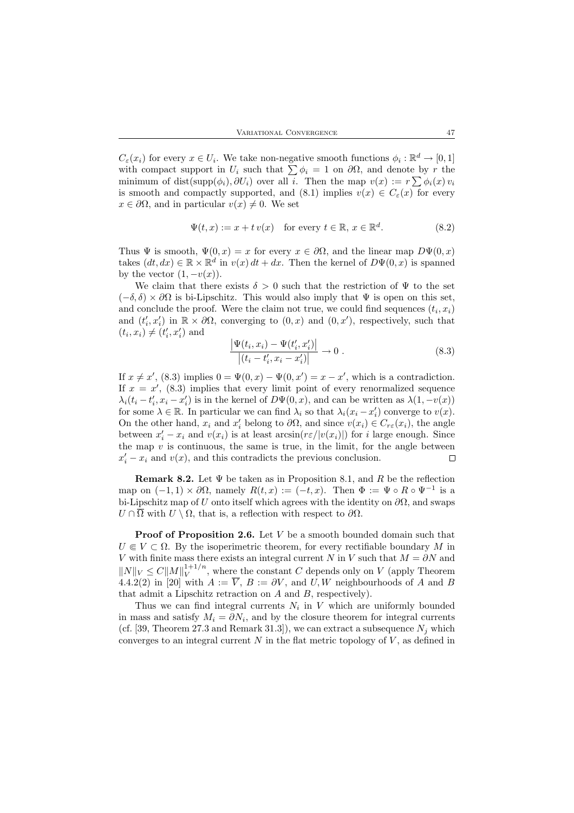$C_{\varepsilon}(x_i)$  for every  $x \in U_i$ . We take non-negative smooth functions  $\phi_i : \mathbb{R}^d \to [0,1]$ with compact support in  $U_i$  such that  $\sum \phi_i = 1$  on  $\partial \Omega$ , and denote by r the minimum of dist(supp $(\phi_i)$ ,  $\partial U_i$ ) over all i. Then the map  $v(x) := r \sum_i \phi_i(x) v_i$ is smooth and compactly supported, and (8.1) implies  $v(x) \in C_{\varepsilon}(x)$  for every  $x \in \partial\Omega$ , and in particular  $v(x) \neq 0$ . We set

$$
\Psi(t, x) := x + t v(x) \quad \text{for every } t \in \mathbb{R}, x \in \mathbb{R}^d. \tag{8.2}
$$

Thus  $\Psi$  is smooth,  $\Psi(0, x) = x$  for every  $x \in \partial\Omega$ , and the linear map  $D\Psi(0, x)$ takes  $(dt, dx) \in \mathbb{R} \times \mathbb{R}^d$  in  $v(x) dt + dx$ . Then the kernel of  $D\Psi(0, x)$  is spanned by the vector  $(1, -v(x))$ .

We claim that there exists  $\delta > 0$  such that the restriction of  $\Psi$  to the set  $(-\delta, \delta) \times \partial \Omega$  is bi-Lipschitz. This would also imply that  $\Psi$  is open on this set, and conclude the proof. Were the claim not true, we could find sequences  $(t_i, x_i)$ and  $(t'_i, x'_i)$  in  $\mathbb{R} \times \partial\Omega$ , converging to  $(0, x)$  and  $(0, x')$ , respectively, such that  $(t_i, x_i) \neq (t'_i, x'_i)$  and

$$
\frac{|\Psi(t_i, x_i) - \Psi(t'_i, x'_i)|}{|(t_i - t'_i, x_i - x'_i)|} \to 0.
$$
\n(8.3)

If  $x \neq x'$ , (8.3) implies  $0 = \Psi(0, x) - \Psi(0, x') = x - x'$ , which is a contradiction. If  $x = x'$ , (8.3) implies that every limit point of every renormalized sequence  $\lambda_i(t_i - t_i', x_i - x_i')$  is in the kernel of  $D\Psi(0, x)$ , and can be written as  $\lambda(1, -v(x))$ for some  $\lambda \in \mathbb{R}$ . In particular we can find  $\lambda_i$  so that  $\lambda_i(x_i - x'_i)$  converge to  $v(x)$ . On the other hand,  $x_i$  and  $x'_i$  belong to  $\partial\Omega$ , and since  $v(x_i) \in C_{r\epsilon}(x_i)$ , the angle between  $x'_i - x_i$  and  $v(x_i)$  is at least  $arcsin(r\varepsilon/|v(x_i)|)$  for i large enough. Since the map  $v$  is continuous, the same is true, in the limit, for the angle between  $x'_i - x_i$  and  $v(x)$ , and this contradicts the previous conclusion.  $\Box$ 

**Remark 8.2.** Let  $\Psi$  be taken as in Proposition 8.1, and R be the reflection map on  $(-1,1) \times \partial\Omega$ , namely  $R(t,x) := (-t,x)$ . Then  $\Phi := \Psi \circ R \circ \Psi^{-1}$  is a bi-Lipschitz map of U onto itself which agrees with the identity on  $\partial\Omega$ , and swaps  $U \cap \overline{\Omega}$  with  $U \setminus \Omega$ , that is, a reflection with respect to  $\partial \Omega$ .

**Proof of Proposition 2.6.** Let  $V$  be a smooth bounded domain such that  $U \in V \subset \Omega$ . By the isoperimetric theorem, for every rectifiable boundary M in V with finite mass there exists an integral current N in V such that  $M = \partial N$  and  $||N||_V \leq C||M||_V^{1+1/n}$  $V^{1+1/n}$ , where the constant C depends only on V (apply Theorem 4.4.2(2) in [20] with  $A := \overline{V}$ ,  $B := \partial V$ , and U, W neighbourhoods of A and B that admit a Lipschitz retraction on  $A$  and  $B$ , respectively).

Thus we can find integral currents  $N_i$  in V which are uniformly bounded in mass and satisfy  $M_i = \partial N_i$ , and by the closure theorem for integral currents (cf. [39, Theorem 27.3 and Remark 31.3]), we can extract a subsequence  $N_j$  which converges to an integral current  $N$  in the flat metric topology of  $V$ , as defined in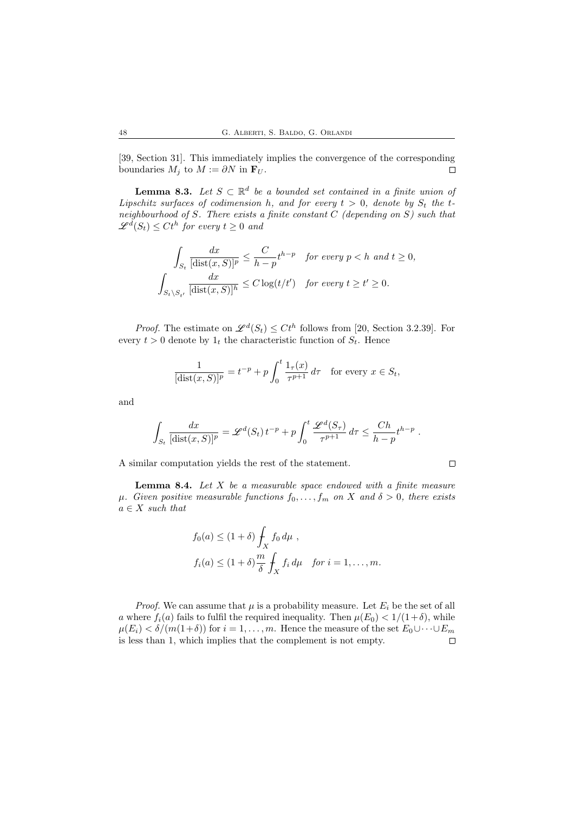[39, Section 31]. This immediately implies the convergence of the corresponding boundaries  $M_j$  to  $M := \partial N$  in  $\mathbf{F}_U$ .  $\Box$ 

**Lemma 8.3.** Let  $S \subset \mathbb{R}^d$  be a bounded set contained in a finite union of Lipschitz surfaces of codimension h, and for every  $t > 0$ , denote by  $S_t$  the tneighbourhood of S. There exists a finite constant  $C$  (depending on  $S$ ) such that  $\mathscr{L}^d(S_t) \leq C t^h$  for every  $t \geq 0$  and

$$
\int_{S_t} \frac{dx}{[\text{dist}(x, S)]^p} \le \frac{C}{h - p} t^{h - p} \quad \text{for every } p < h \text{ and } t \ge 0,
$$
\n
$$
\int_{S_t \setminus S_{t'}} \frac{dx}{[\text{dist}(x, S)]^h} \le C \log(t/t') \quad \text{for every } t \ge t' \ge 0.
$$

*Proof.* The estimate on  $\mathscr{L}^d(S_t) \leq Ct^h$  follows from [20, Section 3.2.39]. For every  $t > 0$  denote by  $1_t$  the characteristic function of  $S_t$ . Hence

$$
\frac{1}{[\text{dist}(x, S)]^p} = t^{-p} + p \int_0^t \frac{1_\tau(x)}{\tau^{p+1}} d\tau \quad \text{for every } x \in S_t,
$$

and

$$
\int_{S_t} \frac{dx}{[\text{dist}(x, S)]^p} = \mathscr{L}^d(S_t) t^{-p} + p \int_0^t \frac{\mathscr{L}^d(S_\tau)}{\tau^{p+1}} d\tau \le \frac{Ch}{h-p} t^{h-p}.
$$

A similar computation yields the rest of the statement.

**Lemma 8.4.** Let  $X$  be a measurable space endowed with a finite measure  $\mu$ . Given positive measurable functions  $f_0, \ldots, f_m$  on X and  $\delta > 0$ , there exists  $a \in X$  such that

$$
f_0(a) \le (1+\delta) \int_X f_0 d\mu ,
$$
  

$$
f_i(a) \le (1+\delta) \frac{m}{\delta} \int_X f_i d\mu \quad \text{for } i = 1, ..., m.
$$

*Proof.* We can assume that  $\mu$  is a probability measure. Let  $E_i$  be the set of all a where  $f_i(a)$  fails to fulfil the required inequality. Then  $\mu(E_0) < 1/(1+\delta)$ , while  $\mu(E_i) < \delta/(m(1+\delta))$  for  $i = 1, ..., m$ . Hence the measure of the set  $E_0 \cup \cdots \cup E_m$  is less than 1, which implies that the complement is not empty. is less than 1, which implies that the complement is not empty.

 $\Box$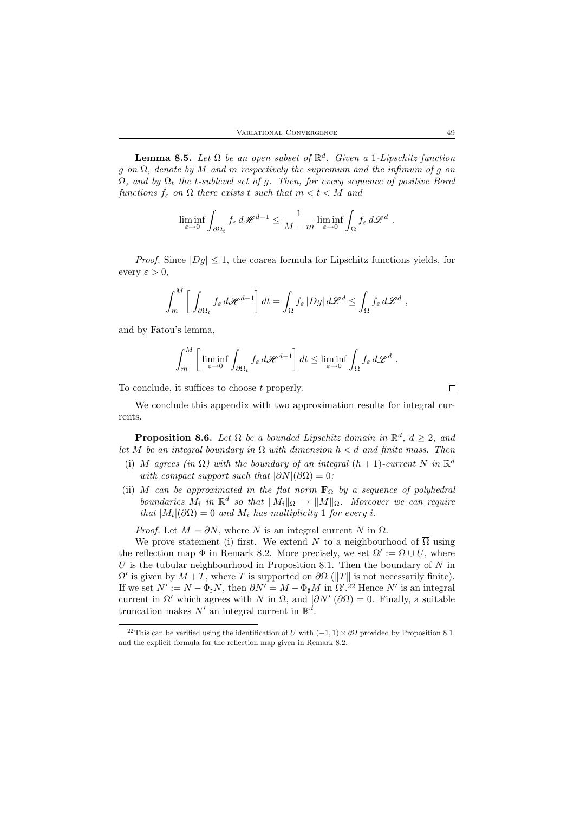**Lemma 8.5.** Let  $\Omega$  be an open subset of  $\mathbb{R}^d$ . Given a 1-Lipschitz function g on  $\Omega$ , denote by M and m respectively the supremum and the infimum of g on  $\Omega$ , and by  $\Omega_t$  the t-sublevel set of g. Then, for every sequence of positive Borel functions  $f_{\varepsilon}$  on  $\Omega$  there exists t such that  $m < t < M$  and

$$
\liminf_{\varepsilon \to 0} \int_{\partial \Omega_t} f_{\varepsilon} d\mathscr{H}^{d-1} \leq \frac{1}{M-m} \liminf_{\varepsilon \to 0} \int_{\Omega} f_{\varepsilon} d\mathscr{L}^d.
$$

*Proof.* Since  $|Dg| \leq 1$ , the coarea formula for Lipschitz functions yields, for every  $\varepsilon > 0$ ,

$$
\int_m^M \left[ \int_{\partial \Omega_t} f_{\varepsilon} d\mathscr{H}^{d-1} \right] dt = \int_{\Omega} f_{\varepsilon} |Dg| d\mathscr{L}^d \le \int_{\Omega} f_{\varepsilon} d\mathscr{L}^d,
$$

and by Fatou's lemma,

$$
\int_m^M \left[ \liminf_{\varepsilon \to 0} \int_{\partial \Omega_t} f_{\varepsilon} d\mathscr{H}^{d-1} \right] dt \leq \liminf_{\varepsilon \to 0} \int_{\Omega} f_{\varepsilon} d\mathscr{L}^d.
$$

To conclude, it suffices to choose t properly.

 $\Box$ 

We conclude this appendix with two approximation results for integral currents.

**Proposition 8.6.** Let  $\Omega$  be a bounded Lipschitz domain in  $\mathbb{R}^d$ ,  $d \geq 2$ , and let M be an integral boundary in  $\Omega$  with dimension  $h < d$  and finite mass. Then

- (i) M agrees (in  $\Omega$ ) with the boundary of an integral  $(h + 1)$ -current N in  $\mathbb{R}^d$ with compact support such that  $|\partial N|(\partial \Omega) = 0$ ;
- (ii) M can be approximated in the flat norm  $\mathbf{F}_{\Omega}$  by a sequence of polyhedral boundaries  $M_i$  in  $\mathbb{R}^d$  so that  $||M_i||_{\Omega} \to ||M||_{\Omega}$ . Moreover we can require that  $|M_i|(\partial\Omega) = 0$  and  $M_i$  has multiplicity 1 for every i.

*Proof.* Let  $M = \partial N$ , where N is an integral current N in  $\Omega$ .

We prove statement (i) first. We extend N to a neighbourhood of  $\overline{\Omega}$  using the reflection map  $\Phi$  in Remark 8.2. More precisely, we set  $\Omega' := \Omega \cup U$ , where  $U$  is the tubular neighbourhood in Proposition 8.1. Then the boundary of  $N$  in  $\Omega'$  is given by  $M + T$ , where T is supported on  $\partial \Omega$  (||T|| is not necessarily finite). If we set  $N' := N - \Phi_{\sharp}N$ , then  $\partial N' = M - \Phi_{\sharp}M$  in  $\Omega'$ .<sup>22</sup> Hence  $N'$  is an integral current in  $\Omega'$  which agrees with N in  $\Omega$ , and  $|\partial N'|(\partial \Omega) = 0$ . Finally, a suitable truncation makes  $N'$  an integral current in  $\mathbb{R}^d$ .

<sup>&</sup>lt;sup>22</sup>This can be verified using the identification of U with  $(-1, 1) \times \partial\Omega$  provided by Proposition 8.1, and the explicit formula for the reflection map given in Remark 8.2.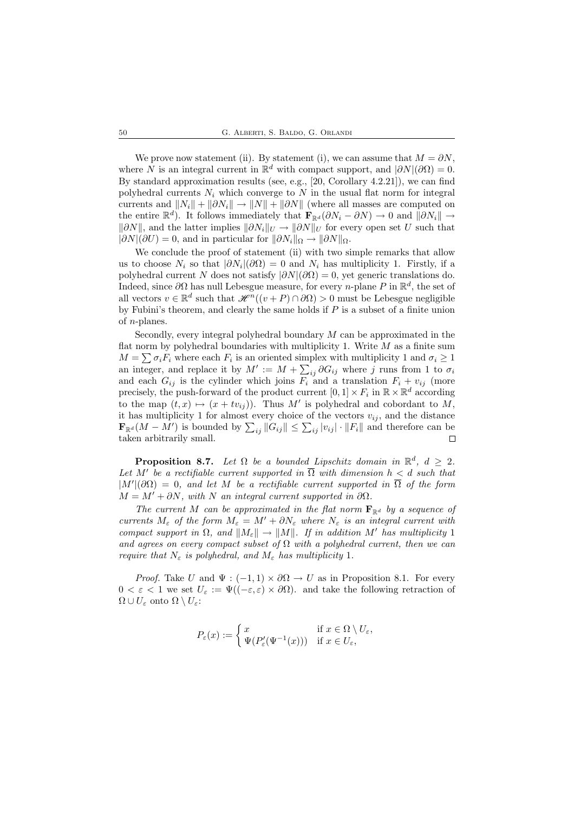We prove now statement (ii). By statement (i), we can assume that  $M = \partial N$ , where N is an integral current in  $\mathbb{R}^d$  with compact support, and  $|\partial N|(\partial\Omega) = 0$ . By standard approximation results (see, e.g., [20, Corollary 4.2.21]), we can find polyhedral currents  $N_i$  which converge to N in the usual flat norm for integral currents and  $||N_i|| + ||\partial N_i|| \rightarrow ||N|| + ||\partial N||$  (where all masses are computed on the entire  $\mathbb{R}^d$ ). It follows immediately that  $\mathbf{F}_{\mathbb{R}^d}(\partial N_i - \partial N) \to 0$  and  $\|\partial N_i\| \to$  $\|\partial N\|$ , and the latter implies  $\|\partial N_i\|_U \to \|\partial N\|_U$  for every open set U such that  $|\partial N|(\partial U) = 0$ , and in particular for  $\|\partial N_i\|_{\Omega} \to \|\partial N\|_{\Omega}$ .

We conclude the proof of statement (ii) with two simple remarks that allow us to choose  $N_i$  so that  $|\partial N_i|(\partial \Omega) = 0$  and  $N_i$  has multiplicity 1. Firstly, if a polyhedral current N does not satisfy  $|\partial N|(\partial \Omega) = 0$ , yet generic translations do. Indeed, since  $\partial\Omega$  has null Lebesgue measure, for every *n*-plane P in  $\mathbb{R}^d$ , the set of all vectors  $v \in \mathbb{R}^d$  such that  $\mathcal{H}^n((v + P) \cap \partial \Omega) > 0$  must be Lebesgue negligible by Fubini's theorem, and clearly the same holds if  $P$  is a subset of a finite union of  $n$ -planes.

Secondly, every integral polyhedral boundary  $M$  can be approximated in the flat norm by polyhedral boundaries with multiplicity 1. Write  $M$  as a finite sum  $M = \sum \sigma_i F_i$  where each  $F_i$  is an oriented simplex with multiplicity 1 and  $\sigma_i \ge 1$ an integer, and replace it by  $M' := M + \sum_{ij} \partial G_{ij}$  where j runs from 1 to  $\sigma_i$ and each  $G_{ij}$  is the cylinder which joins  $F_i$  and a translation  $F_i + v_{ij}$  (more precisely, the push-forward of the product current  $[0,1] \times F_i$  in  $\mathbb{R} \times \mathbb{R}^d$  according to the map  $(t, x) \mapsto (x + tv_{ij})$ . Thus M' is polyhedral and cobordant to M, it has multiplicity 1 for almost every choice of the vectors  $v_{ij}$ , and the distance  $\mathbf{F}_{\mathbb{R}^d}(M - M')$  is bounded by  $\sum_{ij} ||G_{ij}|| \leq \sum_{ij} |v_{ij}| \cdot ||F_i||$  and therefore can be taken arbitrarily small.

**Proposition 8.7.** Let  $\Omega$  be a bounded Lipschitz domain in  $\mathbb{R}^d$ ,  $d \geq 2$ . Let M' be a rectifiable current supported in  $\overline{\Omega}$  with dimension  $h < d$  such that  $|M'|(\partial\Omega) = 0$ , and let M be a rectifiable current supported in  $\overline{\Omega}$  of the form  $M = M' + \partial N$ , with N an integral current supported in  $\partial \Omega$ .

The current M can be approximated in the flat norm  $\mathbf{F}_{\mathbb{R}^d}$  by a sequence of currents  $M_{\varepsilon}$  of the form  $M_{\varepsilon} = M' + \partial N_{\varepsilon}$  where  $N_{\varepsilon}$  is an integral current with compact support in  $\Omega$ , and  $||M_{\varepsilon}|| \to ||M||$ . If in addition M' has multiplicity 1 and agrees on every compact subset of  $\Omega$  with a polyhedral current, then we can require that  $N_{\varepsilon}$  is polyhedral, and  $M_{\varepsilon}$  has multiplicity 1.

*Proof.* Take U and  $\Psi : (-1,1) \times \partial \Omega \to U$  as in Proposition 8.1. For every  $0 < \varepsilon < 1$  we set  $U_{\varepsilon} := \Psi((-\varepsilon, \varepsilon) \times \partial \Omega)$ . and take the following retraction of  $\Omega \cup U_{\varepsilon}$  onto  $\Omega \setminus U_{\varepsilon}$ :

$$
P_{\varepsilon}(x):=\left\{\begin{matrix}x&\text{if }x\in\Omega\setminus U_{\varepsilon},\\ \Psi(P'_{\varepsilon}(\Psi^{-1}(x)))&\text{if }x\in U_{\varepsilon},\end{matrix}\right.
$$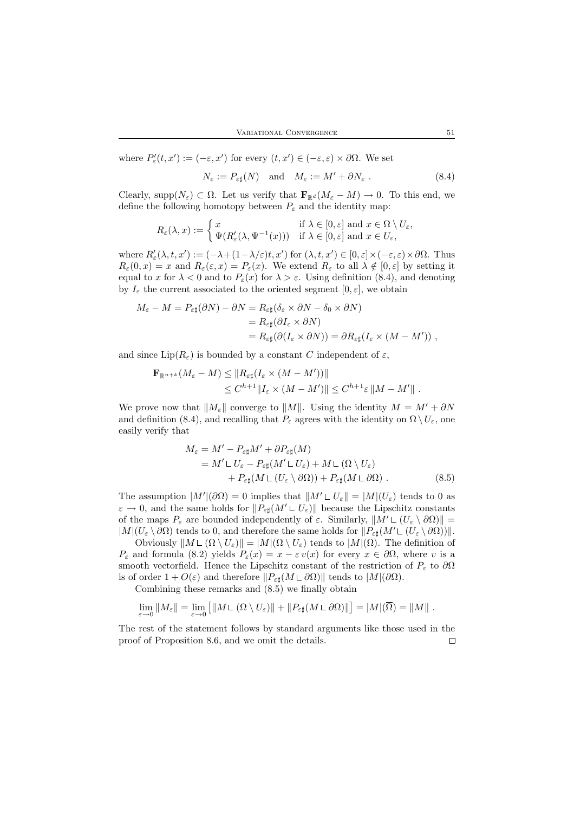where 
$$
P'_{\varepsilon}(t, x') := (-\varepsilon, x')
$$
 for every  $(t, x') \in (-\varepsilon, \varepsilon) \times \partial \Omega$ . We set  

$$
N_{\varepsilon} := P_{\varepsilon \sharp}(N) \quad \text{and} \quad M_{\varepsilon} := M' + \partial N_{\varepsilon} .
$$
 (8.4)

Clearly, supp $(N_{\varepsilon}) \subset \Omega$ . Let us verify that  $\mathbf{F}_{\mathbb{R}^d}(M_{\varepsilon}-M) \to 0$ . To this end, we define the following homotopy between  $P_{\varepsilon}$  and the identity map:

$$
R_{\varepsilon}(\lambda,x):=\left\{\begin{aligned} &x&\quad\text{if }\lambda\in[0,\varepsilon]\text{ and }x\in\Omega\setminus U_{\varepsilon},\\ &\Psi(R'_{\varepsilon}(\lambda,\Psi^{-1}(x)))&\quad\text{if }\lambda\in[0,\varepsilon]\text{ and }x\in U_{\varepsilon}, \end{aligned}\right.
$$

where  $R'_{\varepsilon}(\lambda, t, x') := (-\lambda + (1 - \lambda/\varepsilon)t, x')$  for  $(\lambda, t, x') \in [0, \varepsilon] \times (-\varepsilon, \varepsilon) \times \partial\Omega$ . Thus  $R_{\varepsilon}(0, x) = x$  and  $R_{\varepsilon}(\varepsilon, x) = P_{\varepsilon}(x)$ . We extend  $R_{\varepsilon}$  to all  $\lambda \notin [0, \varepsilon]$  by setting it equal to x for  $\lambda < 0$  and to  $P_{\varepsilon}(x)$  for  $\lambda > \varepsilon$ . Using definition (8.4), and denoting by  $I_{\varepsilon}$  the current associated to the oriented segment  $[0, \varepsilon]$ , we obtain

$$
M_{\varepsilon} - M = P_{\varepsilon \sharp} (\partial N) - \partial N = R_{\varepsilon \sharp} (\delta_{\varepsilon} \times \partial N - \delta_0 \times \partial N)
$$
  
=  $R_{\varepsilon \sharp} (\partial I_{\varepsilon} \times \partial N)$   
=  $R_{\varepsilon \sharp} (\partial (I_{\varepsilon} \times \partial N)) = \partial R_{\varepsilon \sharp} (I_{\varepsilon} \times (M - M'))$ ,

and since  $\text{Lip}(R_{\varepsilon})$  is bounded by a constant C independent of  $\varepsilon$ ,

$$
\mathbf{F}_{\mathbb{R}^{n+k}}(M_{\varepsilon}-M) \leq \|R_{\varepsilon\sharp}(I_{\varepsilon} \times (M-M'))\|
$$
  

$$
\leq C^{h+1} \|I_{\varepsilon} \times (M-M')\| \leq C^{h+1}\varepsilon \|M-M'\|.
$$

We prove now that  $||M_{\varepsilon}||$  converge to  $||M||$ . Using the identity  $M = M' + \partial N$ and definition (8.4), and recalling that  $P_{\varepsilon}$  agrees with the identity on  $\Omega \setminus U_{\varepsilon}$ , one easily verify that

$$
M_{\varepsilon} = M' - P_{\varepsilon \sharp} M' + \partial P_{\varepsilon \sharp} (M)
$$
  
=  $M' \mathsf{L} U_{\varepsilon} - P_{\varepsilon \sharp} (M' \mathsf{L} U_{\varepsilon}) + M \mathsf{L} (\Omega \setminus U_{\varepsilon})$   
+  $P_{\varepsilon \sharp} (M \mathsf{L} (U_{\varepsilon} \setminus \partial \Omega)) + P_{\varepsilon \sharp} (M \mathsf{L} \partial \Omega).$  (8.5)

The assumption  $|M'|(\partial\Omega) = 0$  implies that  $||M' L U_{\varepsilon}|| = |M|(U_{\varepsilon})$  tends to 0 as  $\varepsilon \to 0$ , and the same holds for  $||P_{\varepsilon}||(M' \cup U_{\varepsilon})||$  because the Lipschitz constants of the maps  $P_{\varepsilon}$  are bounded independently of  $\varepsilon$ . Similarly,  $||M' \mathsf{L}(U_{\varepsilon} \setminus \partial \Omega)||$  $|M|(U_{\varepsilon} \setminus \partial \Omega)$  tends to 0, and therefore the same holds for  $||P_{\varepsilon \sharp}(M' \mathsf{L}(U_{\varepsilon} \setminus \partial \Omega))||$ .

Obviously  $\|M \mathsf{L}(\Omega \setminus U_\varepsilon)\| = |M|(\Omega \setminus U_\varepsilon)$  tends to  $|M|(\Omega)$ . The definition of  $P_{\varepsilon}$  and formula (8.2) yields  $P_{\varepsilon}(x) = x - \varepsilon v(x)$  for every  $x \in \partial \Omega$ , where v is a smooth vectorfield. Hence the Lipschitz constant of the restriction of  $P_{\varepsilon}$  to  $\partial\Omega$ is of order  $1 + O(\varepsilon)$  and therefore  $||P_{\varepsilon}||(M \sqcup \partial \Omega)||$  tends to  $|M|(\partial \Omega)$ .

Combining these remarks and (8.5) we finally obtain

$$
\lim_{\varepsilon\to 0} \|M_\varepsilon\| = \lim_{\varepsilon\to 0} \left[ \|M\mathbf{L}\left(\Omega\setminus U_\varepsilon\right)\| + \|P_{\varepsilon\sharp}(M\mathbf{L}\,\partial\Omega)\|\right] = |M|(\overline{\Omega}) = \|M\|.
$$

The rest of the statement follows by standard arguments like those used in the proof of Proposition 8.6, and we omit the details. $\Box$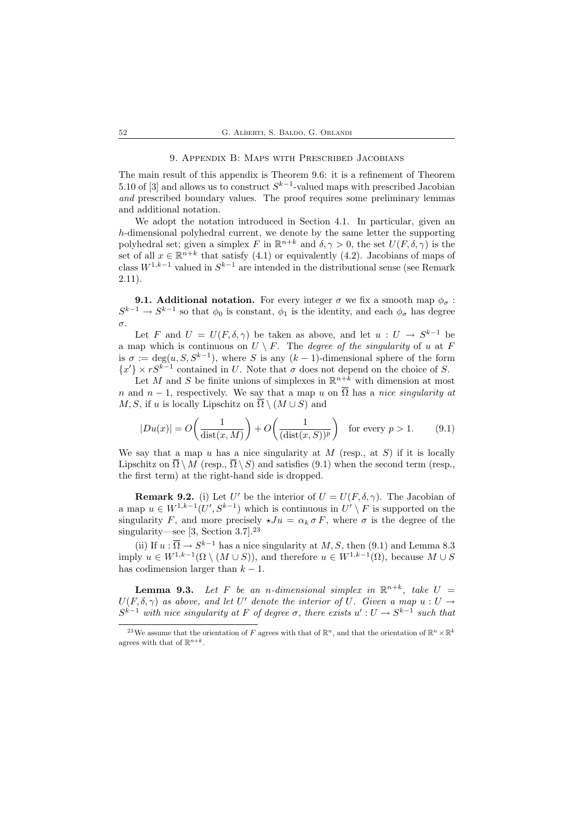#### 9. Appendix B: Maps with Prescribed Jacobians

The main result of this appendix is Theorem 9.6: it is a refinement of Theorem 5.10 of [3] and allows us to construct  $S^{k-1}$ -valued maps with prescribed Jacobian and prescribed boundary values. The proof requires some preliminary lemmas and additional notation.

We adopt the notation introduced in Section 4.1. In particular, given an h-dimensional polyhedral current, we denote by the same letter the supporting polyhedral set; given a simplex F in  $\mathbb{R}^{n+k}$  and  $\delta, \gamma > 0$ , the set  $U(F, \delta, \gamma)$  is the set of all  $x \in \mathbb{R}^{n+k}$  that satisfy (4.1) or equivalently (4.2). Jacobians of maps of class  $W^{1,k-1}$  valued in  $S^{k-1}$  are intended in the distributional sense (see Remark 2.11).

**9.1. Additional notation.** For every integer  $\sigma$  we fix a smooth map  $\phi_{\sigma}$ :  $S^{k-1} \to S^{k-1}$  so that  $\phi_0$  is constant,  $\phi_1$  is the identity, and each  $\phi_\sigma$  has degree σ.

Let F and  $U = U(F, \delta, \gamma)$  be taken as above, and let  $u : U \to S^{k-1}$  be a map which is continuous on  $U \setminus F$ . The *degree of the singularity* of u at F is  $\sigma := \deg(u, S, S^{k-1})$ , where S is any  $(k-1)$ -dimensional sphere of the form  ${x'}$  ×  $rS^{k-1}$  contained in U. Note that  $\sigma$  does not depend on the choice of S.

Let M and S be finite unions of simplexes in  $\mathbb{R}^{n+k}$  with dimension at most n and  $n-1$ , respectively. We say that a map u on  $\overline{\Omega}$  has a nice singularity at M, S, if u is locally Lipschitz on  $\overline{\Omega} \setminus (M \cup S)$  and

$$
|Du(x)| = O\left(\frac{1}{\text{dist}(x, M)}\right) + O\left(\frac{1}{(\text{dist}(x, S))^p}\right) \quad \text{for every } p > 1. \tag{9.1}
$$

We say that a map u has a nice singularity at  $M$  (resp., at  $S$ ) if it is locally Lipschitz on  $\overline{\Omega} \setminus M$  (resp.,  $\overline{\Omega} \setminus S$ ) and satisfies (9.1) when the second term (resp., the first term) at the right-hand side is dropped.

**Remark 9.2.** (i) Let U' be the interior of  $U = U(F, \delta, \gamma)$ . The Jacobian of a map  $u \in W^{1,k-1}(U', S^{k-1})$  which is continuous in  $U' \setminus F$  is supported on the singularity F, and more precisely  $\star Ju = \alpha_k \sigma F$ , where  $\sigma$  is the degree of the singularity—see [3, Section 3.7].<sup>23</sup>

(ii) If  $u : \overline{\Omega} \to S^{k-1}$  has a nice singularity at  $M, S$ , then (9.1) and Lemma 8.3 imply  $u \in W^{1,k-1}(\Omega \setminus (M \cup S))$ , and therefore  $u \in W^{1,k-1}(\Omega)$ , because  $M \cup S$ has codimension larger than  $k - 1$ .

**Lemma 9.3.** Let F be an n-dimensional simplex in  $\mathbb{R}^{n+k}$ , take  $U =$  $U(F, \delta, \gamma)$  as above, and let U' denote the interior of U. Given a map  $u : U \to$  $S^{k-1}$  with nice singularity at F of degree  $\sigma$ , there exists  $u': U \to S^{k-1}$  such that

<sup>&</sup>lt;sup>23</sup>We assume that the orientation of F agrees with that of  $\mathbb{R}^n$ , and that the orientation of  $\mathbb{R}^n \times \mathbb{R}^k$ agrees with that of  $\mathbb{R}^{n+k}$ .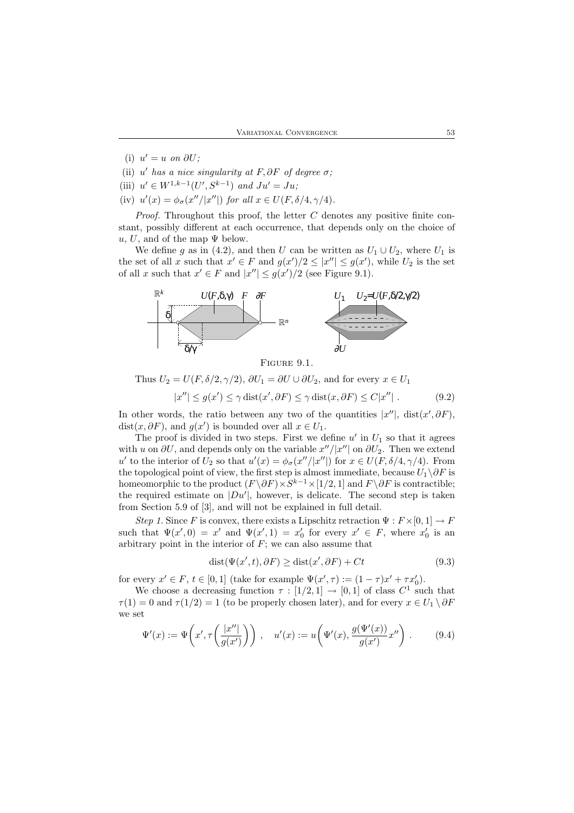- (i)  $u' = u$  on  $\partial U$ ;
- (ii)  $u'$  has a nice singularity at F,  $\partial F$  of degree  $\sigma$ ;
- (iii)  $u' \in W^{1,k-1}(U', S^{k-1})$  and  $Ju' = Ju;$
- (iv)  $u'(x) = \phi_{\sigma}(x''/|x''|)$  for all  $x \in U(F, \delta/4, \gamma/4)$ .

*Proof.* Throughout this proof, the letter  $C$  denotes any positive finite constant, possibly different at each occurrence, that depends only on the choice of u, U, and of the map  $\Psi$  below.

We define g as in (4.2), and then U can be written as  $U_1 \cup U_2$ , where  $U_1$  is the set of all x such that  $x' \in F$  and  $g(x')/2 \leq |x''| \leq g(x')$ , while  $U_2$  is the set of all x such that  $x' \in F$  and  $|x''| \le g(x')/2$  (see Figure 9.1).



FIGURE 9.1.

Thus  $U_2 = U(F, \delta/2, \gamma/2), \, \partial U_1 = \partial U \cup \partial U_2$ , and for every  $x \in U_1$ 

$$
|x''| \le g(x') \le \gamma \operatorname{dist}(x', \partial F) \le \gamma \operatorname{dist}(x, \partial F) \le C|x''|.
$$
 (9.2)

In other words, the ratio between any two of the quantities  $|x''|$ , dist $(x', \partial F)$ , dist $(x, \partial F)$ , and  $g(x')$  is bounded over all  $x \in U_1$ .

The proof is divided in two steps. First we define  $u'$  in  $U_1$  so that it agrees with u on  $\partial U$ , and depends only on the variable  $x''/|x''|$  on  $\partial U_2$ . Then we extend u' to the interior of  $U_2$  so that  $u'(x) = \phi_\sigma(x''/|x''|)$  for  $x \in U(F, \delta/4, \gamma/4)$ . From the topological point of view, the first step is almost immediate, because  $U_1\backslash \partial F$  is homeomorphic to the product  $(F \setminus \partial F) \times S^{k-1} \times [1/2, 1]$  and  $F \setminus \partial F$  is contractible; the required estimate on  $|Du'|$ , however, is delicate. The second step is taken from Section 5.9 of [3], and will not be explained in full detail.

Step 1. Since F is convex, there exists a Lipschitz retraction  $\Psi : F \times [0,1] \to F$ such that  $\Psi(x',0) = x'$  and  $\Psi(x',1) = x'_0$  for every  $x' \in F$ , where  $x'_0$  is an arbitrary point in the interior of  $F$ ; we can also assume that

$$
dist(\Psi(x',t),\partial F) \geq dist(x',\partial F) + Ct
$$
\n(9.3)

for every  $x' \in F$ ,  $t \in [0,1]$  (take for example  $\Psi(x', \tau) := (1 - \tau)x' + \tau x'_0$ ).

We choose a decreasing function  $\tau : [1/2, 1] \rightarrow [0, 1]$  of class  $C^1$  such that  $\tau(1) = 0$  and  $\tau(1/2) = 1$  (to be properly chosen later), and for every  $x \in U_1 \setminus \partial F$ we set

$$
\Psi'(x) := \Psi\left(x', \tau\left(\frac{|x''|}{g(x')}\right)\right), \quad u'(x) := u\left(\Psi'(x), \frac{g(\Psi'(x))}{g(x')}x''\right).
$$
 (9.4)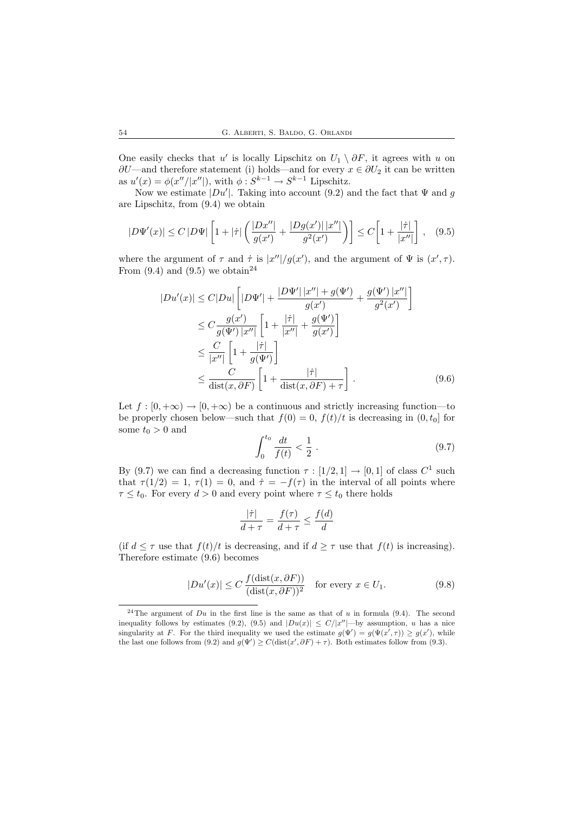One easily checks that u' is locally Lipschitz on  $U_1 \setminus \partial F$ , it agrees with u on  $\partial U$ —and therefore statement (i) holds—and for every  $x \in \partial U_2$  it can be written as  $u'(x) = \phi(x''/|x''|)$ , with  $\phi: S^{k-1} \to S^{k-1}$  Lipschitz.

Now we estimate  $|Du'|$ . Taking into account (9.2) and the fact that  $\Psi$  and g are Lipschitz, from (9.4) we obtain

$$
|D\Psi'(x)| \le C |D\Psi| \left[ 1 + |\dot{\tau}| \left( \frac{|Dx''|}{g(x')} + \frac{|Dg(x')| |x''|}{g^2(x')} \right) \right] \le C \left[ 1 + \frac{|\dot{\tau}|}{|x''|} \right], \quad (9.5)
$$

where the argument of  $\tau$  and  $\dot{\tau}$  is  $|x''|/g(x')$ , and the argument of  $\Psi$  is  $(x', \tau)$ . From  $(9.4)$  and  $(9.5)$  we obtain<sup>24</sup>

$$
|Du'(x)| \le C|Du| \left[ |D\Psi'| + \frac{|D\Psi'| |x''| + g(\Psi')}{g(x')} + \frac{g(\Psi') |x''|}{g^2(x')} \right]
$$
  
\n
$$
\le C \frac{g(x')}{g(\Psi') |x''|} \left[ 1 + \frac{|\dot{\tau}|}{|x''|} + \frac{g(\Psi')}{g(x')} \right]
$$
  
\n
$$
\le \frac{C}{|x''|} \left[ 1 + \frac{|\dot{\tau}|}{g(\Psi')} \right]
$$
  
\n
$$
\le \frac{C}{\text{dist}(x, \partial F)} \left[ 1 + \frac{|\dot{\tau}|}{\text{dist}(x, \partial F) + \tau} \right].
$$
 (9.6)

Let  $f : [0, +\infty) \to [0, +\infty)$  be a continuous and strictly increasing function—to be properly chosen below—such that  $f(0) = 0$ ,  $f(t)/t$  is decreasing in  $(0, t_0]$  for some  $t_0>0$  and

$$
\int_0^{t_0} \frac{dt}{f(t)} < \frac{1}{2} \tag{9.7}
$$

By (9.7) we can find a decreasing function  $\tau : [1/2, 1] \rightarrow [0, 1]$  of class  $C^1$  such that  $\tau(1/2) = 1$ ,  $\tau(1) = 0$ , and  $\dot{\tau} = -f(\tau)$  in the interval of all points where  $\tau \leq t_0$ . For every  $d > 0$  and every point where  $\tau \leq t_0$  there holds

$$
\frac{|\dot{\tau}|}{d+\tau} = \frac{f(\tau)}{d+\tau} \le \frac{f(d)}{d}
$$

(if  $d \leq \tau$  use that  $f(t)/t$  is decreasing, and if  $d \geq \tau$  use that  $f(t)$  is increasing). Therefore estimate (9.6) becomes

$$
|Du'(x)| \le C \frac{f(\text{dist}(x, \partial F))}{(\text{dist}(x, \partial F))^2} \quad \text{for every } x \in U_1.
$$
 (9.8)

<sup>&</sup>lt;sup>24</sup>The argument of  $Du$  in the first line is the same as that of u in formula (9.4). The second inequality follows by estimates (9.2), (9.5) and  $|Du(x)| \leq C/|x''|$ —by assumption, u has a nice singularity at F. For the third inequality we used the estimate  $g(\Psi') = g(\Psi(x', \tau)) \ge g(x')$ , while the last one follows from (9.2) and  $g(\Psi') \ge C(\text{dist}(x', \partial F) + \tau)$ . Both estimates follow from (9.3).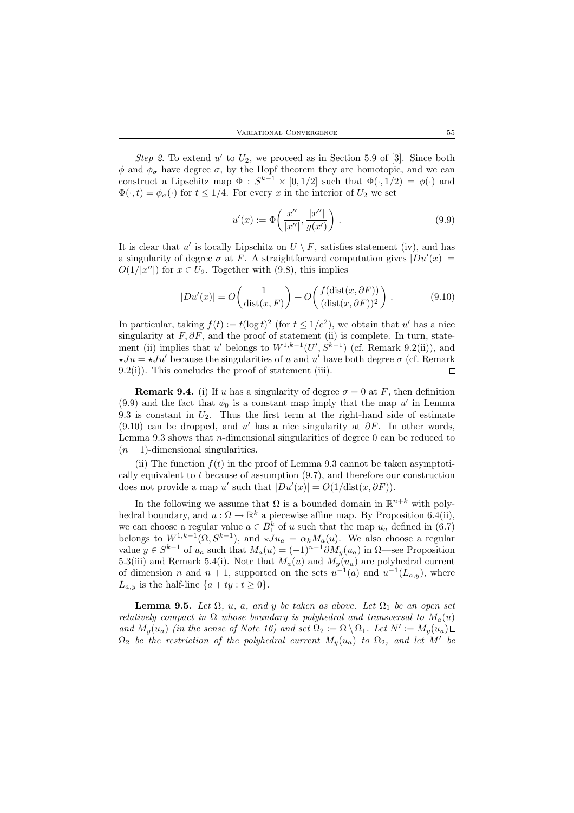Step 2. To extend  $u'$  to  $U_2$ , we proceed as in Section 5.9 of [3]. Since both  $\phi$  and  $\phi_{\sigma}$  have degree  $\sigma$ , by the Hopf theorem they are homotopic, and we can construct a Lipschitz map  $\Phi : S^{k-1} \times [0, 1/2]$  such that  $\Phi(\cdot, 1/2) = \phi(\cdot)$  and  $\Phi(\cdot, t) = \phi_{\sigma}(\cdot)$  for  $t \leq 1/4$ . For every x in the interior of  $U_2$  we set

$$
u'(x) := \Phi\left(\frac{x''}{|x''|}, \frac{|x''|}{g(x')}\right).
$$
 (9.9)

It is clear that u' is locally Lipschitz on  $U \setminus F$ , satisfies statement (iv), and has a singularity of degree  $\sigma$  at F. A straightforward computation gives  $|Du'(x)| =$  $O(1/|x''|)$  for  $x \in U_2$ . Together with (9.8), this implies

$$
|Du'(x)| = O\left(\frac{1}{\text{dist}(x, F)}\right) + O\left(\frac{f(\text{dist}(x, \partial F))}{(\text{dist}(x, \partial F))^2}\right). \tag{9.10}
$$

In particular, taking  $f(t) := t(\log t)^2$  (for  $t \leq 1/e^2$ ), we obtain that u' has a nice singularity at  $F, \partial F$ , and the proof of statement (ii) is complete. In turn, statement (ii) implies that u' belongs to  $W^{1,k-1}(U', S^{k-1})$  (cf. Remark 9.2(ii)), and  $\star Ju = \star Ju'$  because the singularities of u and u' have both degree  $\sigma$  (cf. Remark  $9.2(i)$ ). This concludes the proof of statement (iii).  $\Box$ 

**Remark 9.4.** (i) If u has a singularity of degree  $\sigma = 0$  at F, then definition (9.9) and the fact that  $\phi_0$  is a constant map imply that the map u' in Lemma 9.3 is constant in  $U_2$ . Thus the first term at the right-hand side of estimate (9.10) can be dropped, and u' has a nice singularity at  $\partial F$ . In other words, Lemma 9.3 shows that *n*-dimensional singularities of degree 0 can be reduced to  $(n-1)$ -dimensional singularities.

(ii) The function  $f(t)$  in the proof of Lemma 9.3 cannot be taken asymptotically equivalent to  $t$  because of assumption  $(9.7)$ , and therefore our construction does not provide a map u' such that  $|Du'(x)| = O(1/\text{dist}(x, \partial F)).$ 

In the following we assume that  $\Omega$  is a bounded domain in  $\mathbb{R}^{n+k}$  with polyhedral boundary, and  $u : \overline{\Omega} \to \mathbb{R}^k$  a piecewise affine map. By Proposition 6.4(ii), we can choose a regular value  $a \in B_1^k$  of u such that the map  $u_a$  defined in (6.7) belongs to  $W^{1,k-1}(\Omega, S^{k-1})$ , and  $\star Ju_a = \alpha_k M_a(u)$ . We also choose a regular value  $y \in S^{k-1}$  of  $u_a$  such that  $M_a(u) = (-1)^{n-1} \partial M_y(u_a)$  in  $\Omega$ —see Proposition 5.3(iii) and Remark 5.4(i). Note that  $M_a(u)$  and  $M_y(u_a)$  are polyhedral current of dimension *n* and  $n + 1$ , supported on the sets  $u^{-1}(a)$  and  $u^{-1}(L_{a,y})$ , where  $L_{a,y}$  is the half-line  $\{a+ty: t \geq 0\}.$ 

**Lemma 9.5.** Let  $\Omega$ , u, a, and y be taken as above. Let  $\Omega_1$  be an open set relatively compact in  $\Omega$  whose boundary is polyhedral and transversal to  $M_a(u)$ and  $M_y(u_a)$  (in the sense of Note 16) and set  $\Omega_2 := \Omega \setminus \overline{\Omega}_1$ . Let  $N' := M_y(u_a)$  $\Omega_2$  be the restriction of the polyhedral current  $M_y(u_a)$  to  $\Omega_2$ , and let M' be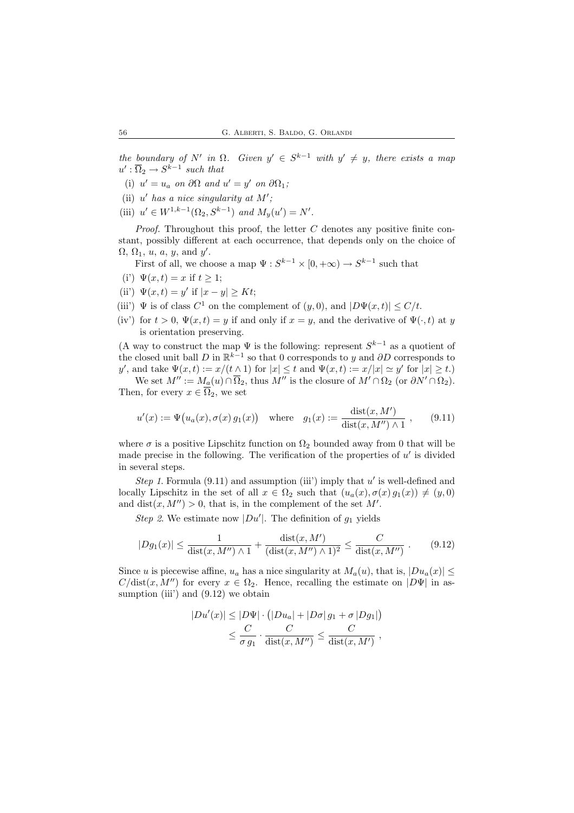the boundary of N' in  $\Omega$ . Given  $y' \in S^{k-1}$  with  $y' \neq y$ , there exists a map  $u': \overline{\Omega}_2 \to S^{k-1}$  such that

- (i)  $u' = u_a$  on  $\partial \Omega$  and  $u' = y'$  on  $\partial \Omega_1$ ;
- (ii)  $u'$  has a nice singularity at M';
- (iii)  $u' \in W^{1,k-1}(\Omega_2, S^{k-1})$  and  $M_y(u') = N'.$

*Proof.* Throughout this proof, the letter  $C$  denotes any positive finite constant, possibly different at each occurrence, that depends only on the choice of  $\Omega$ ,  $\Omega$ <sub>1</sub>, *u*, *a*, *y*, and *y'*.

First of all, we choose a map  $\Psi: S^{k-1} \times [0, +\infty) \to S^{k-1}$  such that

- (i')  $\Psi(x,t) = x$  if  $t \geq 1$ ;
- (ii')  $\Psi(x,t) = y'$  if  $|x y| \geq Kt$ ;
- (iii')  $\Psi$  is of class  $C^1$  on the complement of  $(y, 0)$ , and  $|D\Psi(x, t)| \le C/t$ .
- (iv') for  $t > 0$ ,  $\Psi(x, t) = y$  if and only if  $x = y$ , and the derivative of  $\Psi(\cdot, t)$  at y is orientation preserving.

(A way to construct the map  $\Psi$  is the following: represent  $S^{k-1}$  as a quotient of the closed unit ball D in  $\mathbb{R}^{k-1}$  so that 0 corresponds to y and  $\partial D$  corresponds to y', and take  $\Psi(x,t) := x/(t \wedge 1)$  for  $|x| \le t$  and  $\Psi(x,t) := x/|x| \simeq y'$  for  $|x| \ge t$ . We set  $M'' := M_a(u) \cap \overline{\Omega}_2$ , thus  $M''$  is the closure of  $M' \cap \Omega_2$  (or  $\partial N' \cap \Omega_2$ ).

Then, for every  $x \in \overline{\Omega}_2$ , we set

$$
u'(x) := \Psi(u_a(x), \sigma(x) g_1(x)) \quad \text{where} \quad g_1(x) := \frac{\text{dist}(x, M')}{\text{dist}(x, M'') \land 1} \,, \tag{9.11}
$$

where  $\sigma$  is a positive Lipschitz function on  $\Omega_2$  bounded away from 0 that will be made precise in the following. The verification of the properties of  $u'$  is divided in several steps.

Step 1. Formula  $(9.11)$  and assumption (iii') imply that u' is well-defined and locally Lipschitz in the set of all  $x \in \Omega_2$  such that  $(u_a(x), \sigma(x)g_1(x)) \neq (y, 0)$ and  $dist(x, M'') > 0$ , that is, in the complement of the set M'.

Step 2. We estimate now  $|Du'|$ . The definition of  $g_1$  yields

$$
|Dg_1(x)| \le \frac{1}{\text{dist}(x, M'') \land 1} + \frac{\text{dist}(x, M')}{(\text{dist}(x, M'') \land 1)^2} \le \frac{C}{\text{dist}(x, M'')} \ . \tag{9.12}
$$

Since u is piecewise affine,  $u_a$  has a nice singularity at  $M_a(u)$ , that is,  $|Du_a(x)| \leq$  $C/\text{dist}(x, M'')$  for every  $x \in \Omega_2$ . Hence, recalling the estimate on  $|D\Psi|$  in assumption (iii) and  $(9.12)$  we obtain

$$
|Du'(x)| \le |D\Psi| \cdot (|Du_a| + |D\sigma| g_1 + \sigma |Dg_1|)
$$
  

$$
\le \frac{C}{\sigma g_1} \cdot \frac{C}{\text{dist}(x, M'')} \le \frac{C}{\text{dist}(x, M')},
$$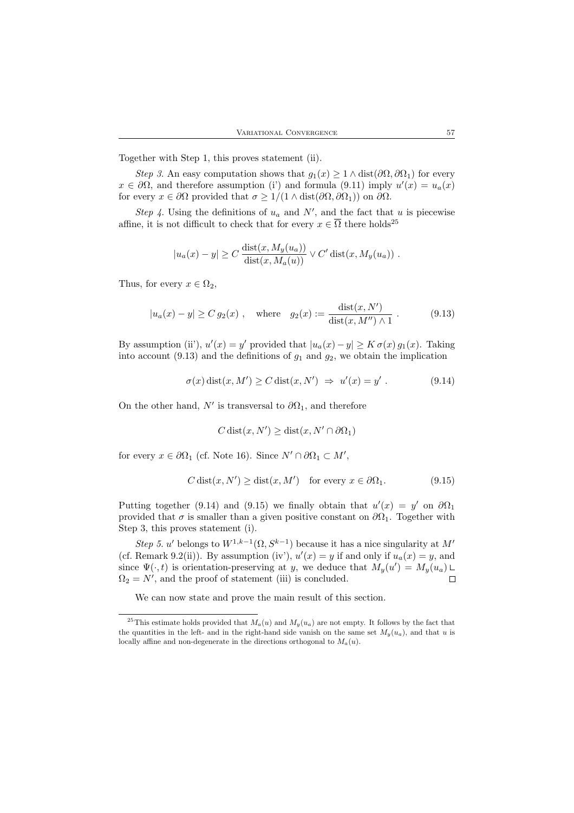Together with Step 1, this proves statement (ii).

Step 3. An easy computation shows that  $g_1(x) \geq 1 \wedge dist(\partial \Omega, \partial \Omega_1)$  for every  $x \in \partial\Omega$ , and therefore assumption (i') and formula (9.11) imply  $u'(x) = u_a(x)$ for every  $x \in \partial \Omega$  provided that  $\sigma \geq 1/(1 \wedge dist(\partial \Omega, \partial \Omega_1))$  on  $\partial \Omega$ .

Step 4. Using the definitions of  $u_a$  and  $N'$ , and the fact that u is piecewise affine, it is not difficult to check that for every  $x \in \overline{\Omega}$  there holds<sup>25</sup>

$$
|u_a(x) - y| \ge C \frac{\operatorname{dist}(x, M_y(u_a))}{\operatorname{dist}(x, M_a(u))} \vee C' \operatorname{dist}(x, M_y(u_a)) .
$$

Thus, for every  $x \in \Omega_2$ ,

$$
|u_a(x) - y| \ge C g_2(x)
$$
, where  $g_2(x) := \frac{\text{dist}(x, N')}{\text{dist}(x, M'') \wedge 1}$ . (9.13)

By assumption (ii'),  $u'(x) = y'$  provided that  $|u_a(x) - y| \ge K \sigma(x) g_1(x)$ . Taking into account (9.13) and the definitions of  $g_1$  and  $g_2$ , we obtain the implication

$$
\sigma(x) \operatorname{dist}(x, M') \ge C \operatorname{dist}(x, N') \implies u'(x) = y'.
$$
\n(9.14)

On the other hand,  $N'$  is transversal to  $\partial\Omega_1$ , and therefore

$$
C\operatorname{dist}(x,N')\geq \operatorname{dist}(x,N'\cap\partial\Omega_1)
$$

for every  $x \in \partial \Omega_1$  (cf. Note 16). Since  $N' \cap \partial \Omega_1 \subset M'$ ,

$$
C \operatorname{dist}(x, N') \ge \operatorname{dist}(x, M') \quad \text{for every } x \in \partial \Omega_1. \tag{9.15}
$$

Putting together (9.14) and (9.15) we finally obtain that  $u'(x) = y'$  on  $\partial\Omega_1$ provided that  $\sigma$  is smaller than a given positive constant on  $\partial\Omega_1$ . Together with Step 3, this proves statement (i).

Step 5. u' belongs to  $W^{1,k-1}(\Omega, S^{k-1})$  because it has a nice singularity at M' (cf. Remark 9.2(ii)). By assumption (iv'),  $u'(x) = y$  if and only if  $u_a(x) = y$ , and since  $\Psi(\cdot, t)$  is orientation-preserving at y, we deduce that  $M_y(u') = M_y(u_a)$  $\Omega_2 = N'$ , and the proof of statement (iii) is concluded.  $\Box$ 

We can now state and prove the main result of this section.

<sup>&</sup>lt;sup>25</sup>This estimate holds provided that  $M_a(u)$  and  $M_y(u_a)$  are not empty. It follows by the fact that the quantities in the left- and in the right-hand side vanish on the same set  $M_u(u_a)$ , and that u is locally affine and non-degenerate in the directions orthogonal to  $M_a(u)$ .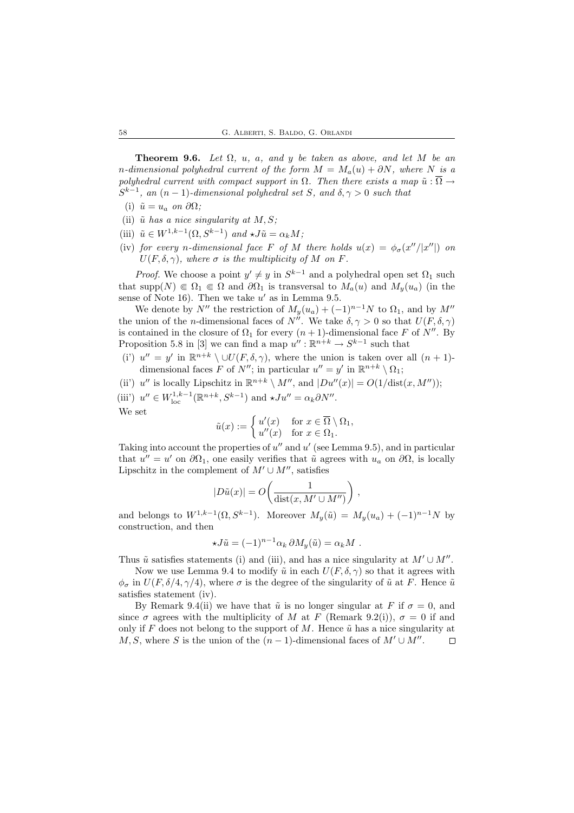**Theorem 9.6.** Let  $\Omega$ , u, a, and y be taken as above, and let M be an n-dimensional polyhedral current of the form  $M = M_a(u) + \partial N$ , where N is a polyhedral current with compact support in  $\Omega$ . Then there exists a map  $\tilde{u} : \Omega \to$  $S^{k-1}$ , an  $(n-1)$ -dimensional polyhedral set S, and  $\delta, \gamma > 0$  such that

- (i)  $\tilde{u} = u_a$  on  $\partial \Omega$ ;
- (ii)  $\tilde{u}$  has a nice singularity at  $M, S$ ;
- (iii)  $\tilde{u} \in W^{1,k-1}(\Omega, S^{k-1})$  and  $\star J\tilde{u} = \alpha_k M;$
- (iv) for every n-dimensional face F of M there holds  $u(x) = \phi_{\sigma}(x''/|x''|)$  on  $U(F, \delta, \gamma)$ , where  $\sigma$  is the multiplicity of M on F.

*Proof.* We choose a point  $y' \neq y$  in  $S^{k-1}$  and a polyhedral open set  $\Omega_1$  such that supp $(N) \in \Omega_1 \in \Omega$  and  $\partial\Omega_1$  is transversal to  $M_a(u)$  and  $M_y(u_a)$  (in the sense of Note 16). Then we take  $u'$  as in Lemma 9.5.

We denote by  $N''$  the restriction of  $M_y(u_a) + (-1)^{n-1}N$  to  $\Omega_1$ , and by  $M''$ the union of the *n*-dimensional faces of  $N''$ . We take  $\delta, \gamma > 0$  so that  $U(F, \delta, \gamma)$ is contained in the closure of  $\Omega_1$  for every  $(n + 1)$ -dimensional face F of N''. By Proposition 5.8 in [3] we can find a map  $u'': \mathbb{R}^{n+k} \to S^{k-1}$  such that

(i')  $u'' = y'$  in  $\mathbb{R}^{n+k} \setminus \cup U(F, \delta, \gamma)$ , where the union is taken over all  $(n + 1)$ dimensional faces F of  $N''$ ; in particular  $u'' = y'$  in  $\mathbb{R}^{n+k} \setminus \Omega_1$ ;

(ii')  $u''$  is locally Lipschitz in  $\mathbb{R}^{n+k} \setminus M''$ , and  $|Du''(x)| = O(1/\text{dist}(x, M''))$ ; (iii')  $u'' \in W_{\text{loc}}^{1,k-1}(\mathbb{R}^{n+k}, S^{k-1})$  and  $\star Ju'' = \alpha_k \partial N''$ . We set

$$
\tilde{u}(x):=\left\{\begin{matrix}u'(x)&\text{for }x\in\overline{\Omega}\setminus\Omega_1,\\ u''(x)&\text{for }x\in\Omega_1.\end{matrix}\right.
$$

Taking into account the properties of  $u''$  and  $u'$  (see Lemma 9.5), and in particular that  $u'' = u'$  on  $\partial\Omega_1$ , one easily verifies that  $\tilde{u}$  agrees with  $u_a$  on  $\partial\Omega$ , is locally Lipschitz in the complement of  $M' \cup M''$ , satisfies

$$
|D\tilde{u}(x)| = O\!\left(\frac{1}{\text{dist}(x, M' \cup M'')}\right),\,
$$

and belongs to  $W^{1,k-1}(\Omega, S^{k-1})$ . Moreover  $M_y(\tilde{u}) = M_y(u_a) + (-1)^{n-1}N$  by construction, and then

$$
\star J\tilde{u} = (-1)^{n-1} \alpha_k \, \partial M_y(\tilde{u}) = \alpha_k M \; .
$$

Thus  $\tilde{u}$  satisfies statements (i) and (iii), and has a nice singularity at  $M' \cup M''$ .

Now we use Lemma 9.4 to modify  $\tilde{u}$  in each  $U(F, \delta, \gamma)$  so that it agrees with  $\phi_{\sigma}$  in  $U(F, \delta/4, \gamma/4)$ , where  $\sigma$  is the degree of the singularity of  $\tilde{u}$  at F. Hence  $\tilde{u}$ satisfies statement (iv).

By Remark 9.4(ii) we have that  $\tilde{u}$  is no longer singular at F if  $\sigma = 0$ , and since  $\sigma$  agrees with the multiplicity of M at F (Remark 9.2(i)),  $\sigma = 0$  if and only if F does not belong to the support of M. Hence  $\tilde{u}$  has a nice singularity at  $M, S$ , where S is the union of the  $(n-1)$ -dimensional faces of  $M' \cup M''$ .  $\Box$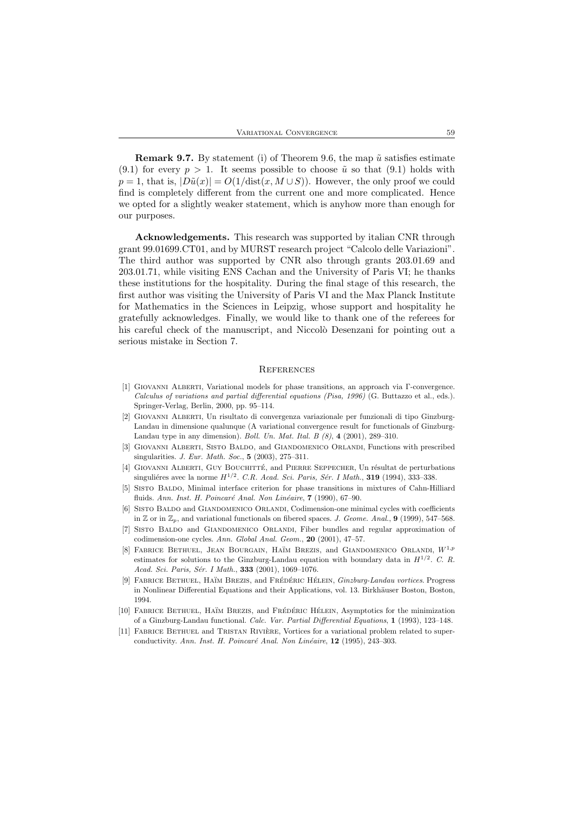**Remark 9.7.** By statement (i) of Theorem 9.6, the map  $\tilde{u}$  satisfies estimate  $(9.1)$  for every  $p > 1$ . It seems possible to choose  $\tilde{u}$  so that  $(9.1)$  holds with  $p = 1$ , that is,  $|D\tilde{u}(x)| = O(1/\text{dist}(x, M \cup S))$ . However, the only proof we could find is completely different from the current one and more complicated. Hence we opted for a slightly weaker statement, which is anyhow more than enough for our purposes.

Acknowledgements. This research was supported by italian CNR through grant 99.01699.CT01, and by MURST research project "Calcolo delle Variazioni". The third author was supported by CNR also through grants 203.01.69 and 203.01.71, while visiting ENS Cachan and the University of Paris VI; he thanks these institutions for the hospitality. During the final stage of this research, the first author was visiting the University of Paris VI and the Max Planck Institute for Mathematics in the Sciences in Leipzig, whose support and hospitality he gratefully acknowledges. Finally, we would like to thank one of the referees for his careful check of the manuscript, and Niccolò Desenzani for pointing out a serious mistake in Section 7.

#### **REFERENCES**

- [1] Giovanni Alberti, Variational models for phase transitions, an approach via Γ-convergence. Calculus of variations and partial differential equations (Pisa, 1996) (G. Buttazzo et al., eds.). Springer-Verlag, Berlin, 2000, pp. 95–114.
- [2] Giovanni Alberti, Un risultato di convergenza variazionale per funzionali di tipo Ginzburg-Landau in dimensione qualunque (A variational convergence result for functionals of Ginzburg-Landau type in any dimension). Boll. Un. Mat. Ital. B (8), 4 (2001), 289–310.
- [3] Giovanni Alberti, Sisto Baldo, and Giandomenico Orlandi, Functions with prescribed singularities. *J. Eur. Math. Soc.*, **5** (2003), 275-311.
- [4] GIOVANNI ALBERTI, GUY BOUCHITTÉ, and PIERRE SEPPECHER, Un résultat de perturbations singuliéres avec la norme  $H^{1/2}$ . C.R. Acad. Sci. Paris, Sér. I Math., **319** (1994), 333-338.
- [5] SISTO BALDO, Minimal interface criterion for phase transitions in mixtures of Cahn-Hilliard fluids. Ann. Inst. H. Poincaré Anal. Non Linéaire, 7 (1990), 67–90.
- [6] Sisto Baldo and Giandomenico Orlandi, Codimension-one minimal cycles with coefficients in  $\mathbb{Z}$  or in  $\mathbb{Z}_p$ , and variational functionals on fibered spaces. J. Geome. Anal., 9 (1999), 547–568.
- [7] Sisto Baldo and Giandomenico Orlandi, Fiber bundles and regular approximation of codimension-one cycles. Ann. Global Anal. Geom., 20 (2001), 47–57.
- [8] FABRICE BETHUEL, JEAN BOURGAIN, HAÏM BREZIS, and GIANDOMENICO ORLANDI,  $W^{1,p}$ estimates for solutions to the Ginzburg-Landau equation with boundary data in  $H^{1/2}$ . C. R. Acad. Sci. Paris, Sér. I Math., 333 (2001), 1069-1076.
- [9] FABRICE BETHUEL, HAÏM BREZIS, and FRÉDÉRIC HÉLEIN, *Ginzburg-Landau vortices*, Progress in Nonlinear Differential Equations and their Applications, vol. 13. Birkhäuser Boston, Boston, 1994.
- [10] FABRICE BETHUEL, HAÏM BREZIS, and FRÉDÉRIC HÉLEIN, Asymptotics for the minimization of a Ginzburg-Landau functional. Calc. Var. Partial Differential Equations, 1 (1993), 123–148.
- [11] FABRICE BETHUEL and TRISTAN RIVIÈRE, Vortices for a variational problem related to superconductivity. Ann. Inst. H. Poincaré Anal. Non Linéaire, 12 (1995), 243-303.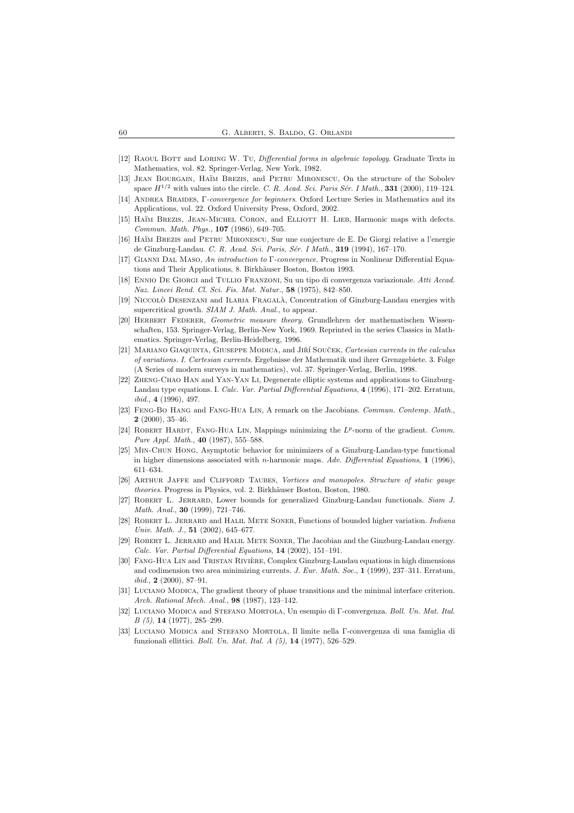- [12] RAOUL BOTT and LORING W. TU, Differential forms in algebraic topology. Graduate Texts in Mathematics, vol. 82. Springer-Verlag, New York, 1982.
- [13] JEAN BOURGAIN, HAÏM BREZIS, and PETRU MIRONESCU, On the structure of the Sobolev space  $H^{1/2}$  with values into the circle. C. R. Acad. Sci. Paris Sér. I Math., 331 (2000), 119–124.
- [14] ANDREA BRAIDES, Γ-convergence for beginners. Oxford Lecture Series in Mathematics and its Applications, vol. 22. Oxford University Press, Oxford, 2002.
- [15] HAÏM BREZIS, JEAN-MICHEL CORON, and ELLIOTT H. LIEB, Harmonic maps with defects. Commun. Math. Phys., 107 (1986), 649–705.
- [16] HAÏM BREZIS and PETRU MIRONESCU, Sur une conjecture de E. De Giorgi relative a l'energie de Ginzburg-Landau. C. R. Acad. Sci. Paris, Sér. I Math., 319 (1994), 167-170.
- [17] Gianni Dal Maso, An introduction to Γ-convergence. Progress in Nonlinear Differential Equations and Their Applications, 8. Birkhäuser Boston, Boston 1993.
- [18] Ennio De Giorgi and Tullio Franzoni, Su un tipo di convergenza variazionale. Atti Accad. Naz. Lincei Rend. Cl. Sci. Fis. Mat. Natur., 58 (1975), 842–850.
- [19] NICCOLÒ DESENZANI and ILARIA FRAGALÀ, Concentration of Ginzburg-Landau energies with supercritical growth. SIAM J. Math. Anal., to appear.
- [20] HERBERT FEDERER, Geometric measure theory. Grundlehren der mathematischen Wissenschaften, 153. Springer-Verlag, Berlin-New York, 1969. Reprinted in the series Classics in Mathematics. Springer-Verlag, Berlin-Heidelberg, 1996.
- [21] MARIANO GIAQUINTA, GIUSEPPE MODICA, and JIŘÍ SOUČEK, Cartesian currents in the calculus of variations. I. Cartesian currents. Ergebnisse der Mathematik und ihrer Grenzgebiete. 3. Folge (A Series of modern surveys in mathematics), vol. 37. Springer-Verlag, Berlin, 1998.
- [22] Zheng-Chao Han and Yan-Yan Li, Degenerate elliptic systems and applications to Ginzburg-Landau type equations. I. Calc. Var. Partial Differential Equations, 4 (1996), 171–202. Erratum,  $ibid., 4 (1996), 497.$
- [23] Feng-Bo Hang and Fang-Hua Lin, A remark on the Jacobians. Commun. Contemp. Math., 2 (2000), 35–46.
- [24] ROBERT HARDT, FANG-HUA LIN, Mappings minimizing the  $L^p$ -norm of the gradient. Comm. Pure Appl. Math., 40 (1987), 555–588.
- [25] Min-Chun Hong, Asymptotic behavior for minimizers of a Ginzburg-Landau-type functional in higher dimensions associated with n-harmonic maps. Adv. Differential Equations, 1 (1996), 611–634.
- [26] ARTHUR JAFFE and CLIFFORD TAUBES, Vortices and monopoles. Structure of static gauge theories. Progress in Physics, vol. 2. Birkhäuser Boston, Boston, 1980.
- [27] ROBERT L. JERRARD, Lower bounds for generalized Ginzburg-Landau functionals. Siam J. Math. Anal., 30 (1999), 721–746.
- [28] ROBERT L. JERRARD and HALIL METE SONER, Functions of bounded higher variation. *Indiana* Univ. Math. J., 51 (2002), 645–677.
- [29] Robert L. Jerrard and Halil Mete Soner, The Jacobian and the Ginzburg-Landau energy. Calc. Var. Partial Differential Equations, 14 (2002), 151–191.
- [30] FANG-HUA LIN and TRISTAN RIVIÈRE, Complex Ginzburg-Landau equations in high dimensions and codimension two area minimizing currents. J. Eur. Math. Soc., 1 (1999), 237–311. Erratum,  $ibid., 2 (2000), 87-91.$
- [31] Luciano Modica, The gradient theory of phase transitions and the minimal interface criterion. Arch. Rational Mech. Anal., 98 (1987), 123–142.
- [32] Luciano Modica and Stefano Mortola, Un esempio di Γ-convergenza. Boll. Un. Mat. Ital. B (5), 14 (1977), 285–299.
- [33] LUCIANO MODICA and STEFANO MORTOLA, Il limite nella Γ-convergenza di una famiglia di funzionali ellittici. Boll. Un. Mat. Ital. A (5), 14 (1977), 526–529.